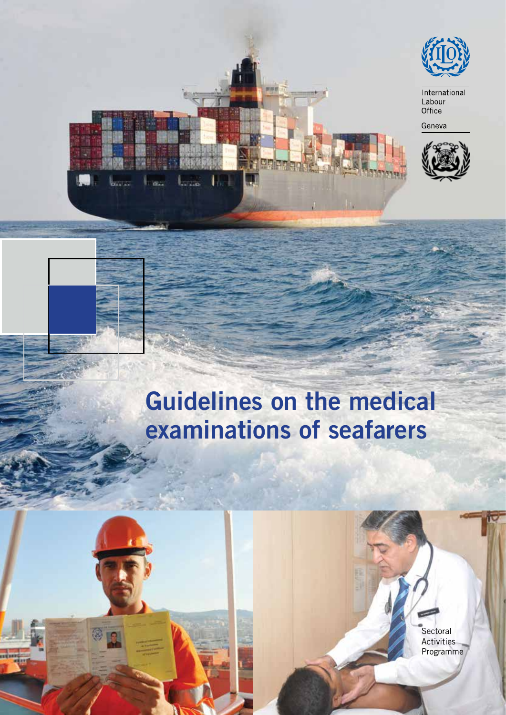

International<br>Labour Office

Geneva



# Guidelines on the medical examinations of seafarers

m



**Sectoral Activities** Programme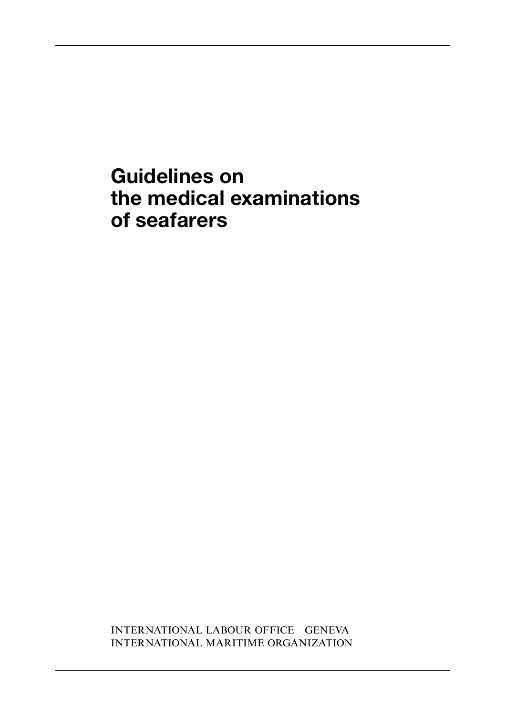**Guidelines on the medical examinations of seafarers**

INTERNATIONAL LABOUR OFFICE GENEVA International Maritime Organization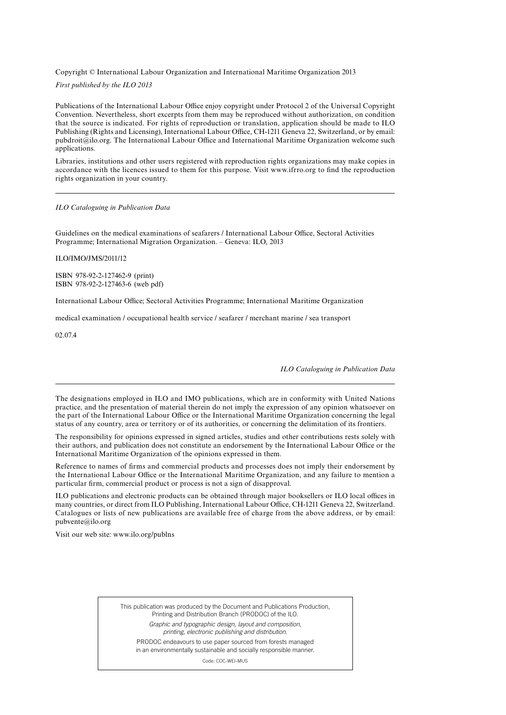Copyright © International Labour Organization and International Maritime Organization 2013

*First published by the ILO 2013*

Publications of the International Labour Office enjoy copyright under Protocol 2 of the Universal Copyright Convention. Nevertheless, short excerpts from them may be reproduced without authorization, on condition that the source is indicated. For rights of reproduction or translation, application should be made to ILO Publishing (Rights and Licensing), International Labour Office, CH-1211 Geneva 22, Switzerland, or by email: pubdroit@ilo.org. The International Labour Office and International Maritime Organization welcome such applications.

Libraries, institutions and other users registered with reproduction rights organizations may make copies in accordance with the licences issued to them for this purpose. Visit www.ifrro.org to find the reproduction rights organization in your country.

#### *ILO Cataloguing in Publication Data*

Guidelines on the medical examinations of seafarers / International Labour Office, Sectoral Activities Programme; International Migration Organization. – Geneva: ILO, 2013

ILO/IMO/JMS/2011/12

ISBN 978-92-2-127462-9 (print) ISBN 978-92-2-127463-6 (web pdf)

International Labour Office; Sectoral Activities Programme; International Maritime Organization

medical examination / occupational health service / seafarer / merchant marine / sea transport

02.07.4

*ILO Cataloguing in Publication Data*

The responsibility for opinions expressed in signed articles, studies and other contributions rests solely with their authors, and publication does not constitute an endorsement by the International Labour Office or the International Maritime Organization of the opinions expressed in them.

Reference to names of firms and commercial products and processes does not imply their endorsement by the International Labour Office or the International Maritime Organization, and any failure to mention a particular firm, commercial product or process is not a sign of disapproval.

ILO publications and electronic products can be obtained through major booksellers or ILO local offices in many countries, or direct from ILO Publishing, International Labour Office, CH-1211 Geneva 22, Switzerland. Catalogues or lists of new publications are available free of charge from the above address, or by email: pubvente@ilo.org

Visit our web site: www.ilo.org/publns

This publication was produced by the Document and Publications Production, Printing and Distribution Branch (PRODOC) of the ILO. Graphic and typographic design, layout and composition, printing, electronic publishing and distribution.

PRODOC endeavours to use paper sourced from forests managed in an environmentally sustainable and socially responsible manner.

Code: COC-WEI-MUS

The designations employed in ILO and IMO publications, which are in conformity with United Nations practice, and the presentation of material therein do not imply the expression of any opinion whatsoever on the part of the International Labour Office or the International Maritime Organization concerning the legal status of any country, area or territory or of its authorities, or concerning the delimitation of its frontiers.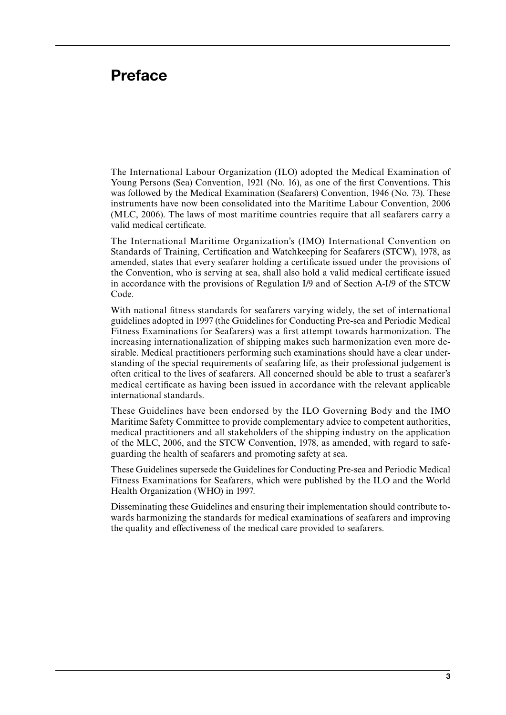# **Preface**

The International Labour Organization (ILO) adopted the Medical Examination of Young Persons (Sea) Convention, 1921 (No. 16), as one of the first Conventions. This was followed by the Medical Examination (Seafarers) Convention, 1946 (No. 73). These instruments have now been consolidated into the Maritime Labour Convention, 2006 (MLC, 2006). The laws of most maritime countries require that all seafarers carry a valid medical certificate.

The International Maritime Organization's (IMO) International Convention on Standards of Training, Certification and Watchkeeping for Seafarers (STCW), 1978, as amended, states that every seafarer holding a certificate issued under the provisions of the Convention, who is serving at sea, shall also hold a valid medical certificate issued in accordance with the provisions of Regulation I/9 and of Section A-I/9 of the STCW Code.

With national fitness standards for seafarers varying widely, the set of international guidelines adopted in 1997 (the Guidelines for Conducting Pre-sea and Periodic Medical Fitness Examinations for Seafarers) was a first attempt towards harmonization. The increasing internationalization of shipping makes such harmonization even more desirable. Medical practitioners performing such examinations should have a clear understanding of the special requirements of seafaring life, as their professional judgement is often critical to the lives of seafarers. All concerned should be able to trust a seafarer's medical certificate as having been issued in accordance with the relevant applicable international standards.

These Guidelines have been endorsed by the ILO Governing Body and the IMO Maritime Safety Committee to provide complementary advice to competent authorities, medical practitioners and all stakeholders of the shipping industry on the application of the MLC, 2006, and the STCW Convention, 1978, as amended, with regard to safeguarding the health of seafarers and promoting safety at sea.

These Guidelines supersede the Guidelines for Conducting Pre-sea and Periodic Medical Fitness Examinations for Seafarers, which were published by the ILO and the World Health Organization (WHO) in 1997.

Disseminating these Guidelines and ensuring their implementation should contribute towards harmonizing the standards for medical examinations of seafarers and improving the quality and effectiveness of the medical care provided to seafarers.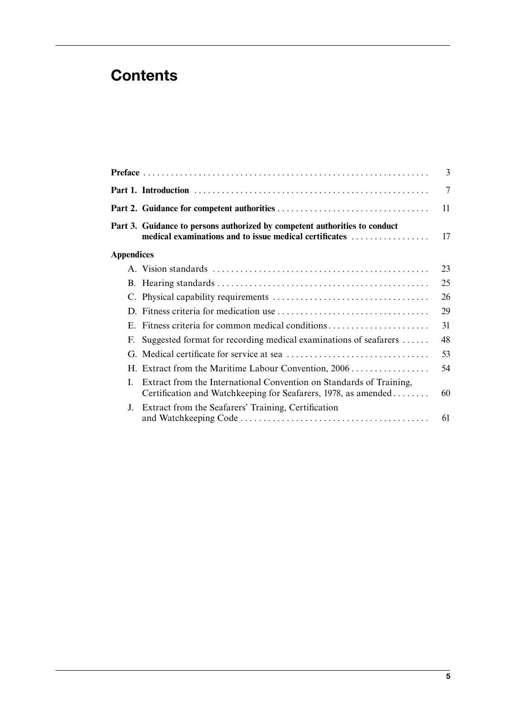# **Contents**

|                   |                                                                                                                                       | 3              |
|-------------------|---------------------------------------------------------------------------------------------------------------------------------------|----------------|
|                   |                                                                                                                                       | $\overline{7}$ |
|                   |                                                                                                                                       | 11             |
|                   | Part 3. Guidance to persons authorized by competent authorities to conduct<br>medical examinations and to issue medical certificates  | 17             |
| <b>Appendices</b> |                                                                                                                                       |                |
|                   |                                                                                                                                       | 23             |
|                   |                                                                                                                                       | 25             |
| C.                |                                                                                                                                       | 26             |
| D.                |                                                                                                                                       | 29             |
|                   | E. Fitness criteria for common medical conditions                                                                                     | 31             |
| F.                | Suggested format for recording medical examinations of seafarers                                                                      | 48             |
|                   |                                                                                                                                       | 53             |
|                   | H. Extract from the Maritime Labour Convention, 2006                                                                                  | 54             |
| L                 | Extract from the International Convention on Standards of Training,<br>Certification and Watchkeeping for Seafarers, 1978, as amended | 60             |
| J.                | Extract from the Seafarers' Training, Certification                                                                                   | 61             |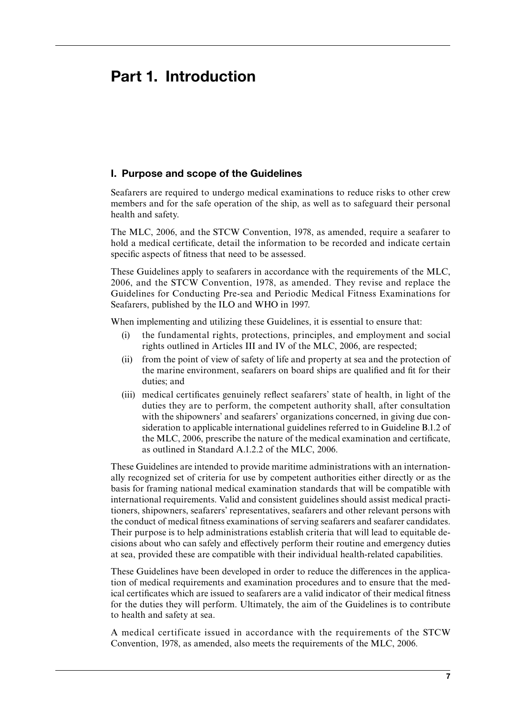# **Part 1. Introduction**

### **I. Purpose and scope of the Guidelines**

Seafarers are required to undergo medical examinations to reduce risks to other crew members and for the safe operation of the ship, as well as to safeguard their personal health and safety.

The MLC, 2006, and the STCW Convention, 1978, as amended, require a seafarer to hold a medical certificate, detail the information to be recorded and indicate certain specific aspects of fitness that need to be assessed.

These Guidelines apply to seafarers in accordance with the requirements of the MLC, 2006, and the STCW Convention, 1978, as amended. They revise and replace the Guidelines for Conducting Pre-sea and Periodic Medical Fitness Examinations for Seafarers, published by the ILO and WHO in 1997.

When implementing and utilizing these Guidelines, it is essential to ensure that:

- (i) the fundamental rights, protections, principles, and employment and social rights outlined in Articles III and IV of the MLC, 2006, are respected;
- (ii) from the point of view of safety of life and property at sea and the protection of the marine environment, seafarers on board ships are qualified and fit for their duties; and
- (iii) medical certificates genuinely reflect seafarers' state of health, in light of the duties they are to perform, the competent authority shall, after consultation with the shipowners' and seafarers' organizations concerned, in giving due consideration to applicable international guidelines referred to in Guideline B.1.2 of the MLC, 2006, prescribe the nature of the medical examination and certificate, as outlined in Standard A.1.2.2 of the MLC, 2006.

These Guidelines are intended to provide maritime administrations with an internationally recognized set of criteria for use by competent authorities either directly or as the basis for framing national medical examination standards that will be compatible with international requirements. Valid and consistent guidelines should assist medical practitioners, shipowners, seafarers' representatives, seafarers and other relevant persons with the conduct of medical fitness examinations of serving seafarers and seafarer candidates. Their purpose is to help administrations establish criteria that will lead to equitable decisions about who can safely and effectively perform their routine and emergency duties at sea, provided these are compatible with their individual health-related capabilities.

These Guidelines have been developed in order to reduce the differences in the application of medical requirements and examination procedures and to ensure that the medical certificates which are issued to seafarers are a valid indicator of their medical fitness for the duties they will perform. Ultimately, the aim of the Guidelines is to contribute to health and safety at sea.

A medical certificate issued in accordance with the requirements of the STCW Convention, 1978, as amended, also meets the requirements of the MLC, 2006.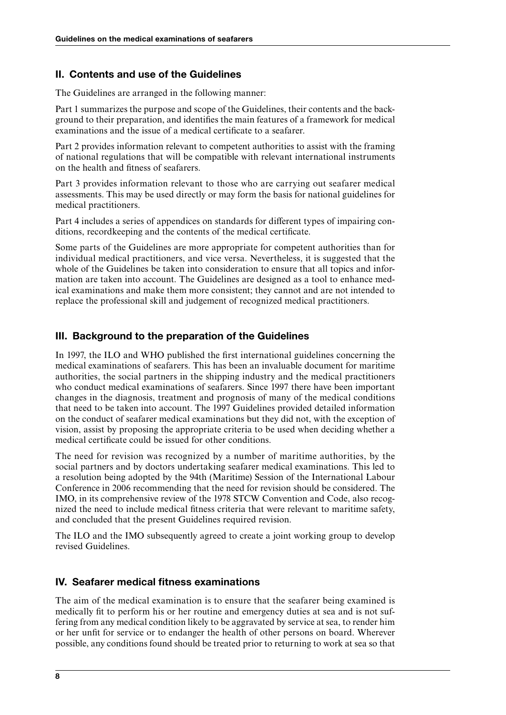### **II. Contents and use of the Guidelines**

The Guidelines are arranged in the following manner:

Part 1 summarizes the purpose and scope of the Guidelines, their contents and the background to their preparation, and identifies the main features of a framework for medical examinations and the issue of a medical certificate to a seafarer.

Part 2 provides information relevant to competent authorities to assist with the framing of national regulations that will be compatible with relevant international instruments on the health and fitness of seafarers.

Part 3 provides information relevant to those who are carrying out seafarer medical assessments. This may be used directly or may form the basis for national guidelines for medical practitioners.

Part 4 includes a series of appendices on standards for different types of impairing conditions, recordkeeping and the contents of the medical certificate.

Some parts of the Guidelines are more appropriate for competent authorities than for individual medical practitioners, and vice versa. Nevertheless, it is suggested that the whole of the Guidelines be taken into consideration to ensure that all topics and information are taken into account. The Guidelines are designed as a tool to enhance medical examinations and make them more consistent; they cannot and are not intended to replace the professional skill and judgement of recognized medical practitioners.

### **III. Background to the preparation of the Guidelines**

In 1997, the ILO and WHO published the first international guidelines concerning the medical examinations of seafarers. This has been an invaluable document for maritime authorities, the social partners in the shipping industry and the medical practitioners who conduct medical examinations of seafarers. Since 1997 there have been important changes in the diagnosis, treatment and prognosis of many of the medical conditions that need to be taken into account. The 1997 Guidelines provided detailed information on the conduct of seafarer medical examinations but they did not, with the exception of vision, assist by proposing the appropriate criteria to be used when deciding whether a medical certificate could be issued for other conditions.

The need for revision was recognized by a number of maritime authorities, by the social partners and by doctors undertaking seafarer medical examinations. This led to a resolution being adopted by the 94th (Maritime) Session of the International Labour Conference in 2006 recommending that the need for revision should be considered. The IMO, in its comprehensive review of the 1978 STCW Convention and Code, also recognized the need to include medical fitness criteria that were relevant to maritime safety, and concluded that the present Guidelines required revision.

The ILO and the IMO subsequently agreed to create a joint working group to develop revised Guidelines.

### **IV. Seafarer medical fitness examinations**

The aim of the medical examination is to ensure that the seafarer being examined is medically fit to perform his or her routine and emergency duties at sea and is not suffering from any medical condition likely to be aggravated by service at sea, to render him or her unfit for service or to endanger the health of other persons on board. Wherever possible, any conditions found should be treated prior to returning to work at sea so that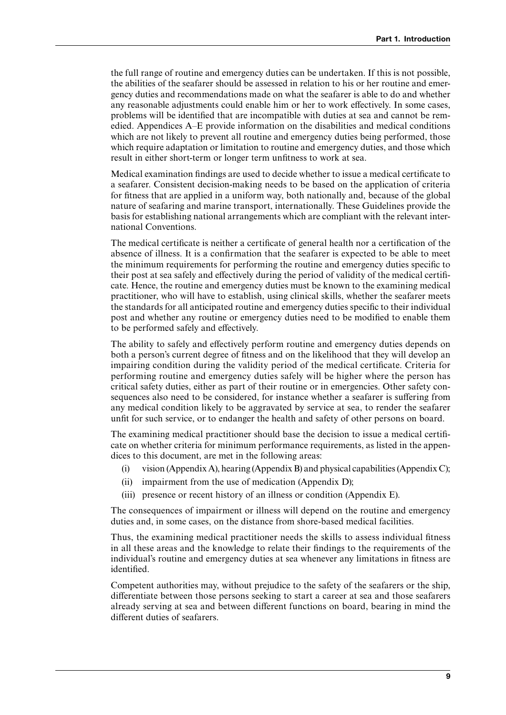the full range of routine and emergency duties can be undertaken. If this is not possible, the abilities of the seafarer should be assessed in relation to his or her routine and emergency duties and recommendations made on what the seafarer is able to do and whether any reasonable adjustments could enable him or her to work effectively. In some cases, problems will be identified that are incompatible with duties at sea and cannot be remedied. Appendices A–E provide information on the disabilities and medical conditions which are not likely to prevent all routine and emergency duties being performed, those which require adaptation or limitation to routine and emergency duties, and those which result in either short-term or longer term unfitness to work at sea.

Medical examination findings are used to decide whether to issue a medical certificate to a seafarer. Consistent decision-making needs to be based on the application of criteria for fitness that are applied in a uniform way, both nationally and, because of the global nature of seafaring and marine transport, internationally. These Guidelines provide the basis for establishing national arrangements which are compliant with the relevant international Conventions.

The medical certificate is neither a certificate of general health nor a certification of the absence of illness. It is a confirmation that the seafarer is expected to be able to meet the minimum requirements for performing the routine and emergency duties specific to their post at sea safely and effectively during the period of validity of the medical certificate. Hence, the routine and emergency duties must be known to the examining medical practitioner, who will have to establish, using clinical skills, whether the seafarer meets the standards for all anticipated routine and emergency duties specific to their individual post and whether any routine or emergency duties need to be modified to enable them to be performed safely and effectively.

The ability to safely and effectively perform routine and emergency duties depends on both a person's current degree of fitness and on the likelihood that they will develop an impairing condition during the validity period of the medical certificate. Criteria for performing routine and emergency duties safely will be higher where the person has critical safety duties, either as part of their routine or in emergencies. Other safety consequences also need to be considered, for instance whether a seafarer is suffering from any medical condition likely to be aggravated by service at sea, to render the seafarer unfit for such service, or to endanger the health and safety of other persons on board.

The examining medical practitioner should base the decision to issue a medical certificate on whether criteria for minimum performance requirements, as listed in the appendices to this document, are met in the following areas:

- (i) vision (Appendix A), hearing (Appendix B) and physical capabilities (Appendix C);
- (ii) impairment from the use of medication (Appendix D);
- (iii) presence or recent history of an illness or condition (Appendix E).

The consequences of impairment or illness will depend on the routine and emergency duties and, in some cases, on the distance from shore-based medical facilities.

Thus, the examining medical practitioner needs the skills to assess individual fitness in all these areas and the knowledge to relate their findings to the requirements of the individual's routine and emergency duties at sea whenever any limitations in fitness are identified.

Competent authorities may, without prejudice to the safety of the seafarers or the ship, differentiate between those persons seeking to start a career at sea and those seafarers already serving at sea and between different functions on board, bearing in mind the different duties of seafarers.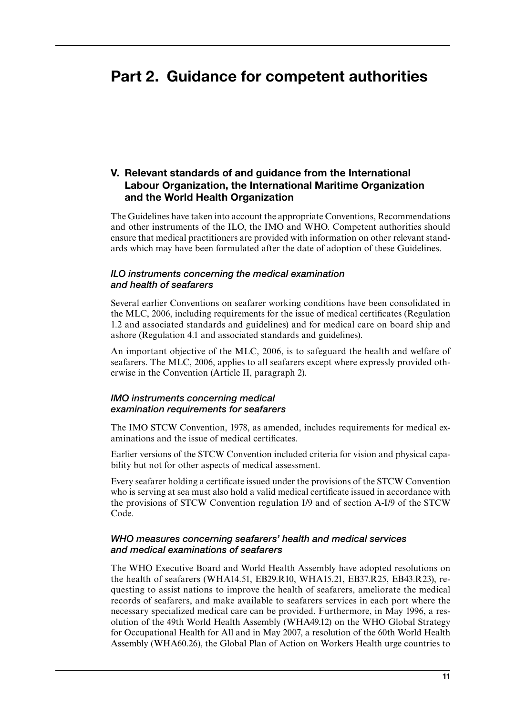# **Part 2. Guidance for competent authorities**

### **V. Relevant standards of and guidance from the International Labour Organization, the International Maritime Organization and the World Health Organization**

The Guidelines have taken into account the appropriate Conventions, Recommendations and other instruments of the ILO, the IMO and WHO. Competent authorities should ensure that medical practitioners are provided with information on other relevant standards which may have been formulated after the date of adoption of these Guidelines.

#### *ILO instruments concerning the medical examination and health of seafarers*

Several earlier Conventions on seafarer working conditions have been consolidated in the MLC, 2006, including requirements for the issue of medical certificates (Regulation 1.2 and associated standards and guidelines) and for medical care on board ship and ashore (Regulation 4.1 and associated standards and guidelines).

An important objective of the MLC, 2006, is to safeguard the health and welfare of seafarers. The MLC, 2006, applies to all seafarers except where expressly provided otherwise in the Convention (Article II, paragraph 2).

#### *IMO instruments concerning medical examination requirements for seafarers*

The IMO STCW Convention, 1978, as amended, includes requirements for medical examinations and the issue of medical certificates.

Earlier versions of the STCW Convention included criteria for vision and physical capability but not for other aspects of medical assessment.

Every seafarer holding a certificate issued under the provisions of the STCW Convention who is serving at sea must also hold a valid medical certificate issued in accordance with the provisions of STCW Convention regulation I/9 and of section A-I/9 of the STCW Code.

### *WHO measures concerning seafarers' health and medical services and medical examinations of seafarers*

The WHO Executive Board and World Health Assembly have adopted resolutions on the health of seafarers (WHA14.51, EB29.R10, WHA15.21, EB37.R25, EB43.R23), requesting to assist nations to improve the health of seafarers, ameliorate the medical records of seafarers, and make available to seafarers services in each port where the necessary specialized medical care can be provided. Furthermore, in May 1996, a resolution of the 49th World Health Assembly (WHA49.12) on the WHO Global Strategy for Occupational Health for All and in May 2007, a resolution of the 60th World Health Assembly (WHA60.26), the Global Plan of Action on Workers Health urge countries to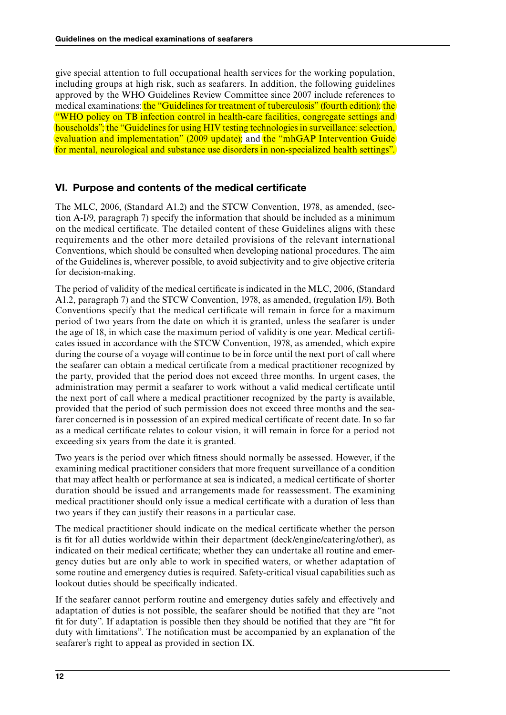give special attention to full occupational health services for the working population, including groups at high risk, such as seafarers. In addition, the following guidelines approved by the WHO Guidelines Review Committee since 2007 include references to medical examinations: the "Guidelines for treatment of tuberculosis" (fourth edition); the "WHO policy on TB infection control in health-care facilities, congregate settings and households"; the "Guidelines for using HIV testing technologies in surveillance: selection, evaluation and implementation" (2009 update); and the "mhGAP Intervention Guide for mental, neurological and substance use disorders in non-specialized health settings".

### **VI. Purpose and contents of the medical certificate**

The MLC, 2006, (Standard A1.2) and the STCW Convention, 1978, as amended, (section A-I/9, paragraph 7) specify the information that should be included as a minimum on the medical certificate. The detailed content of these Guidelines aligns with these requirements and the other more detailed provisions of the relevant international Conventions, which should be consulted when developing national procedures. The aim of the Guidelines is, wherever possible, to avoid subjectivity and to give objective criteria for decision-making.

The period of validity of the medical certificate is indicated in the MLC, 2006, (Standard A1.2, paragraph 7) and the STCW Convention, 1978, as amended, (regulation I/9). Both Conventions specify that the medical certificate will remain in force for a maximum period of two years from the date on which it is granted, unless the seafarer is under the age of 18, in which case the maximum period of validity is one year. Medical certificates issued in accordance with the STCW Convention, 1978, as amended, which expire during the course of a voyage will continue to be in force until the next port of call where the seafarer can obtain a medical certificate from a medical practitioner recognized by the party, provided that the period does not exceed three months. In urgent cases, the administration may permit a seafarer to work without a valid medical certificate until the next port of call where a medical practitioner recognized by the party is available, provided that the period of such permission does not exceed three months and the seafarer concerned is in possession of an expired medical certificate of recent date. In so far as a medical certificate relates to colour vision, it will remain in force for a period not exceeding six years from the date it is granted.

Two years is the period over which fitness should normally be assessed. However, if the examining medical practitioner considers that more frequent surveillance of a condition that may affect health or performance at sea is indicated, a medical certificate of shorter duration should be issued and arrangements made for reassessment. The examining medical practitioner should only issue a medical certificate with a duration of less than two years if they can justify their reasons in a particular case.

The medical practitioner should indicate on the medical certificate whether the person is fit for all duties worldwide within their department (deck/engine/catering/other), as indicated on their medical certificate; whether they can undertake all routine and emergency duties but are only able to work in specified waters, or whether adaptation of some routine and emergency duties is required. Safety-critical visual capabilities such as lookout duties should be specifically indicated.

If the seafarer cannot perform routine and emergency duties safely and effectively and adaptation of duties is not possible, the seafarer should be notified that they are "not fit for duty". If adaptation is possible then they should be notified that they are "fit for duty with limitations". The notification must be accompanied by an explanation of the seafarer's right to appeal as provided in section IX.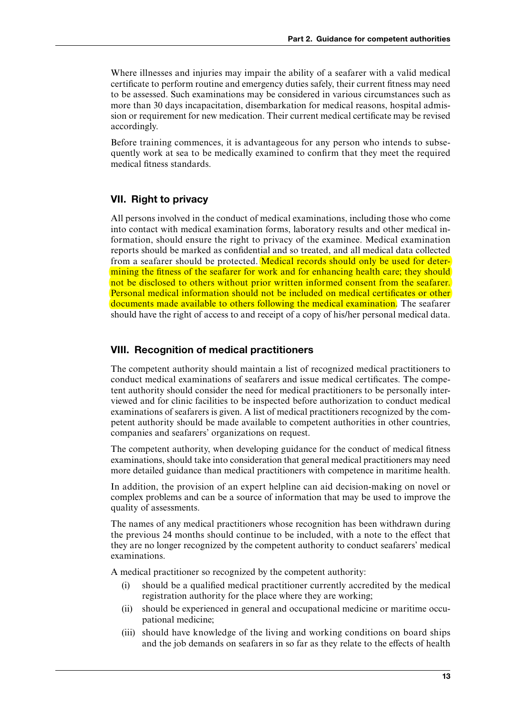Where illnesses and injuries may impair the ability of a seafarer with a valid medical certificate to perform routine and emergency duties safely, their current fitness may need to be assessed. Such examinations may be considered in various circumstances such as more than 30 days incapacitation, disembarkation for medical reasons, hospital admission or requirement for new medication. Their current medical certificate may be revised accordingly.

Before training commences, it is advantageous for any person who intends to subsequently work at sea to be medically examined to confirm that they meet the required medical fitness standards.

### **VII. Right to privacy**

All persons involved in the conduct of medical examinations, including those who come into contact with medical examination forms, laboratory results and other medical information, should ensure the right to privacy of the examinee. Medical examination reports should be marked as confidential and so treated, and all medical data collected from a seafarer should be protected. Medical records should only be used for determining the fitness of the seafarer for work and for enhancing health care; they should not be disclosed to others without prior written informed consent from the seafarer. Personal medical information should not be included on medical certificates or other documents made available to others following the medical examination. The seafarer should have the right of access to and receipt of a copy of his/her personal medical data.

#### **VIII. Recognition of medical practitioners**

The competent authority should maintain a list of recognized medical practitioners to conduct medical examinations of seafarers and issue medical certificates. The competent authority should consider the need for medical practitioners to be personally interviewed and for clinic facilities to be inspected before authorization to conduct medical examinations of seafarers is given. A list of medical practitioners recognized by the competent authority should be made available to competent authorities in other countries, companies and seafarers' organizations on request.

The competent authority, when developing guidance for the conduct of medical fitness examinations, should take into consideration that general medical practitioners may need more detailed guidance than medical practitioners with competence in maritime health.

In addition, the provision of an expert helpline can aid decision-making on novel or complex problems and can be a source of information that may be used to improve the quality of assessments.

The names of any medical practitioners whose recognition has been withdrawn during the previous 24 months should continue to be included, with a note to the effect that they are no longer recognized by the competent authority to conduct seafarers' medical examinations.

A medical practitioner so recognized by the competent authority:

- (i) should be a qualified medical practitioner currently accredited by the medical registration authority for the place where they are working;
- (ii) should be experienced in general and occupational medicine or maritime occupational medicine;
- (iii) should have knowledge of the living and working conditions on board ships and the job demands on seafarers in so far as they relate to the effects of health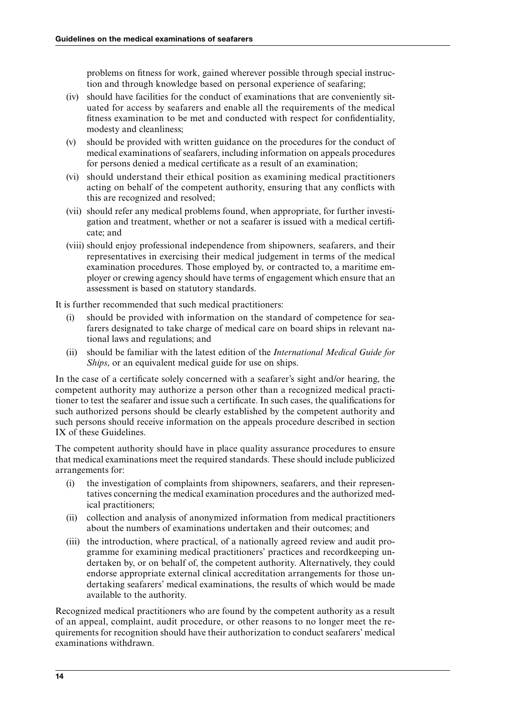problems on fitness for work, gained wherever possible through special instruction and through knowledge based on personal experience of seafaring;

- (iv) should have facilities for the conduct of examinations that are conveniently situated for access by seafarers and enable all the requirements of the medical fitness examination to be met and conducted with respect for confidentiality, modesty and cleanliness;
- (v) should be provided with written guidance on the procedures for the conduct of medical examinations of seafarers, including information on appeals procedures for persons denied a medical certificate as a result of an examination;
- (vi) should understand their ethical position as examining medical practitioners acting on behalf of the competent authority, ensuring that any conflicts with this are recognized and resolved;
- (vii) should refer any medical problems found, when appropriate, for further investigation and treatment, whether or not a seafarer is issued with a medical certificate; and
- (viii) should enjoy professional independence from shipowners, seafarers, and their representatives in exercising their medical judgement in terms of the medical examination procedures. Those employed by, or contracted to, a maritime employer or crewing agency should have terms of engagement which ensure that an assessment is based on statutory standards.

It is further recommended that such medical practitioners:

- (i) should be provided with information on the standard of competence for seafarers designated to take charge of medical care on board ships in relevant national laws and regulations; and
- (ii) should be familiar with the latest edition of the *International Medical Guide for Ships*, or an equivalent medical guide for use on ships.

In the case of a certificate solely concerned with a seafarer's sight and/or hearing, the competent authority may authorize a person other than a recognized medical practitioner to test the seafarer and issue such a certificate. In such cases, the qualifications for such authorized persons should be clearly established by the competent authority and such persons should receive information on the appeals procedure described in section IX of these Guidelines.

The competent authority should have in place quality assurance procedures to ensure that medical examinations meet the required standards. These should include publicized arrangements for:

- (i) the investigation of complaints from shipowners, seafarers, and their representatives concerning the medical examination procedures and the authorized medical practitioners;
- (ii) collection and analysis of anonymized information from medical practitioners about the numbers of examinations undertaken and their outcomes; and
- (iii) the introduction, where practical, of a nationally agreed review and audit programme for examining medical practitioners' practices and recordkeeping undertaken by, or on behalf of, the competent authority. Alternatively, they could endorse appropriate external clinical accreditation arrangements for those undertaking seafarers' medical examinations, the results of which would be made available to the authority.

Recognized medical practitioners who are found by the competent authority as a result of an appeal, complaint, audit procedure, or other reasons to no longer meet the requirements for recognition should have their authorization to conduct seafarers' medical examinations withdrawn.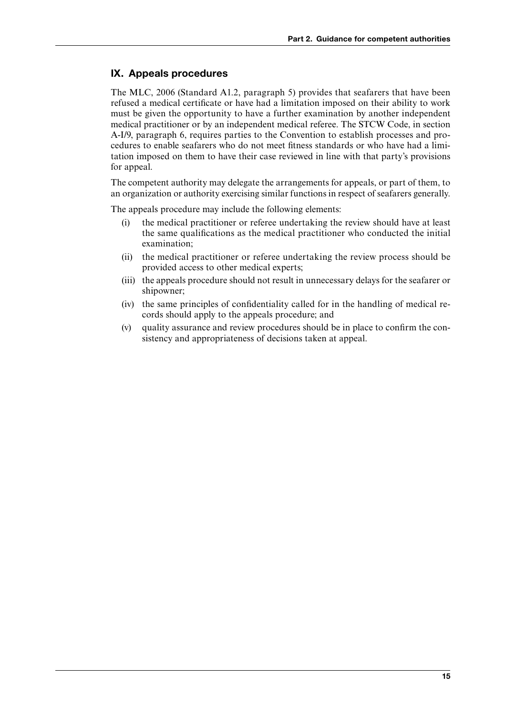# **IX. Appeals procedures**

The MLC, 2006 (Standard A1.2, paragraph 5) provides that seafarers that have been refused a medical certificate or have had a limitation imposed on their ability to work must be given the opportunity to have a further examination by another independent medical practitioner or by an independent medical referee. The STCW Code, in section A-I/9, paragraph 6, requires parties to the Convention to establish processes and procedures to enable seafarers who do not meet fitness standards or who have had a limitation imposed on them to have their case reviewed in line with that party's provisions for appeal.

The competent authority may delegate the arrangements for appeals, or part of them, to an organization or authority exercising similar functions in respect of seafarers generally.

The appeals procedure may include the following elements:

- (i) the medical practitioner or referee undertaking the review should have at least the same qualifications as the medical practitioner who conducted the initial examination;
- (ii) the medical practitioner or referee undertaking the review process should be provided access to other medical experts;
- (iii) the appeals procedure should not result in unnecessary delays for the seafarer or shipowner;
- (iv) the same principles of confidentiality called for in the handling of medical records should apply to the appeals procedure; and
- (v) quality assurance and review procedures should be in place to confirm the consistency and appropriateness of decisions taken at appeal.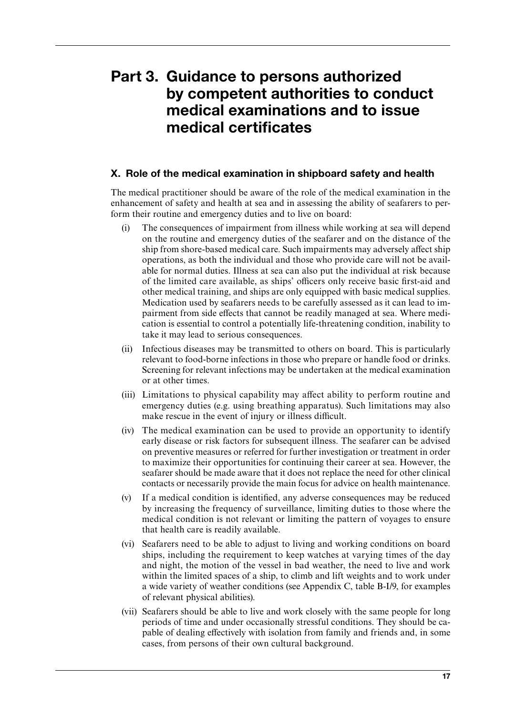# **Part 3. Guidance to persons authorized by competent authorities to conduct medical examinations and to issue medical certificates**

# **X. Role of the medical examination in shipboard safety and health**

The medical practitioner should be aware of the role of the medical examination in the enhancement of safety and health at sea and in assessing the ability of seafarers to perform their routine and emergency duties and to live on board:

- (i) The consequences of impairment from illness while working at sea will depend on the routine and emergency duties of the seafarer and on the distance of the ship from shore-based medical care. Such impairments may adversely affect ship operations, as both the individual and those who provide care will not be available for normal duties. Illness at sea can also put the individual at risk because of the limited care available, as ships' officers only receive basic first-aid and other medical training, and ships are only equipped with basic medical supplies. Medication used by seafarers needs to be carefully assessed as it can lead to impairment from side effects that cannot be readily managed at sea. Where medication is essential to control a potentially life-threatening condition, inability to take it may lead to serious consequences.
- (ii) Infectious diseases may be transmitted to others on board. This is particularly relevant to food-borne infections in those who prepare or handle food or drinks. Screening for relevant infections may be undertaken at the medical examination or at other times.
- (iii) Limitations to physical capability may affect ability to perform routine and emergency duties (e.g. using breathing apparatus). Such limitations may also make rescue in the event of injury or illness difficult.
- (iv) The medical examination can be used to provide an opportunity to identify early disease or risk factors for subsequent illness. The seafarer can be advised on preventive measures or referred for further investigation or treatment in order to maximize their opportunities for continuing their career at sea. However, the seafarer should be made aware that it does not replace the need for other clinical contacts or necessarily provide the main focus for advice on health maintenance.
- (v) If a medical condition is identified, any adverse consequences may be reduced by increasing the frequency of surveillance, limiting duties to those where the medical condition is not relevant or limiting the pattern of voyages to ensure that health care is readily available.
- (vi) Seafarers need to be able to adjust to living and working conditions on board ships, including the requirement to keep watches at varying times of the day and night, the motion of the vessel in bad weather, the need to live and work within the limited spaces of a ship, to climb and lift weights and to work under a wide variety of weather conditions (see Appendix C, table B-I/9, for examples of relevant physical abilities).
- (vii) Seafarers should be able to live and work closely with the same people for long periods of time and under occasionally stressful conditions. They should be capable of dealing effectively with isolation from family and friends and, in some cases, from persons of their own cultural background.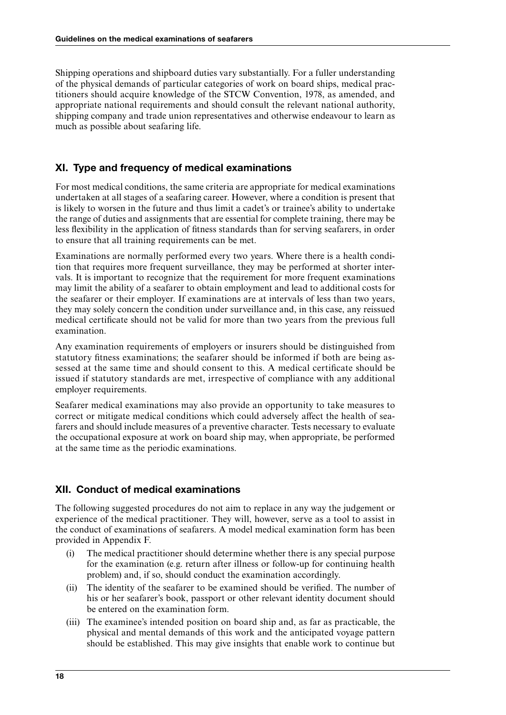Shipping operations and shipboard duties vary substantially. For a fuller understanding of the physical demands of particular categories of work on board ships, medical practitioners should acquire knowledge of the STCW Convention, 1978, as amended, and appropriate national requirements and should consult the relevant national authority, shipping company and trade union representatives and otherwise endeavour to learn as much as possible about seafaring life.

### **XI. Type and frequency of medical examinations**

For most medical conditions, the same criteria are appropriate for medical examinations undertaken at all stages of a seafaring career. However, where a condition is present that is likely to worsen in the future and thus limit a cadet's or trainee's ability to undertake the range of duties and assignments that are essential for complete training, there may be less flexibility in the application of fitness standards than for serving seafarers, in order to ensure that all training requirements can be met.

Examinations are normally performed every two years. Where there is a health condition that requires more frequent surveillance, they may be performed at shorter intervals. It is important to recognize that the requirement for more frequent examinations may limit the ability of a seafarer to obtain employment and lead to additional costs for the seafarer or their employer. If examinations are at intervals of less than two years, they may solely concern the condition under surveillance and, in this case, any reissued medical certificate should not be valid for more than two years from the previous full examination.

Any examination requirements of employers or insurers should be distinguished from statutory fitness examinations; the seafarer should be informed if both are being assessed at the same time and should consent to this. A medical certificate should be issued if statutory standards are met, irrespective of compliance with any additional employer requirements.

Seafarer medical examinations may also provide an opportunity to take measures to correct or mitigate medical conditions which could adversely affect the health of seafarers and should include measures of a preventive character. Tests necessary to evaluate the occupational exposure at work on board ship may, when appropriate, be performed at the same time as the periodic examinations.

### **XII. Conduct of medical examinations**

The following suggested procedures do not aim to replace in any way the judgement or experience of the medical practitioner. They will, however, serve as a tool to assist in the conduct of examinations of seafarers. A model medical examination form has been provided in Appendix F.

- (i) The medical practitioner should determine whether there is any special purpose for the examination (e.g. return after illness or follow-up for continuing health problem) and, if so, should conduct the examination accordingly.
- (ii) The identity of the seafarer to be examined should be verified. The number of his or her seafarer's book, passport or other relevant identity document should be entered on the examination form.
- (iii) The examinee's intended position on board ship and, as far as practicable, the physical and mental demands of this work and the anticipated voyage pattern should be established. This may give insights that enable work to continue but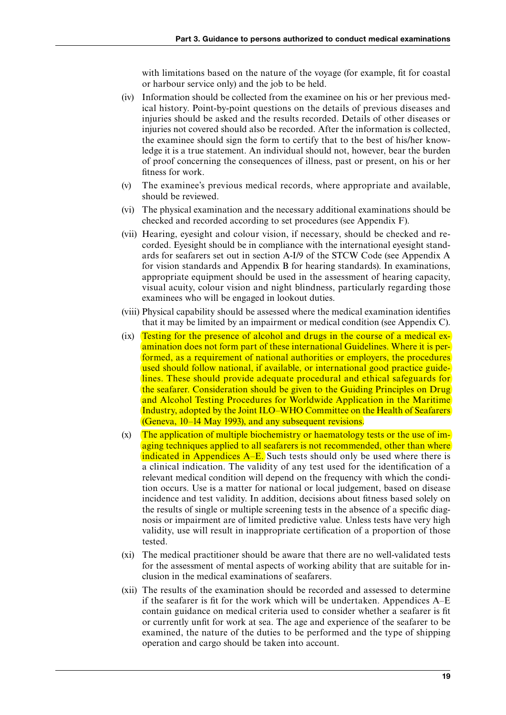with limitations based on the nature of the voyage (for example, fit for coastal or harbour service only) and the job to be held.

- (iv) Information should be collected from the examinee on his or her previous medical history. Point-by-point questions on the details of previous diseases and injuries should be asked and the results recorded. Details of other diseases or injuries not covered should also be recorded. After the information is collected, the examinee should sign the form to certify that to the best of his/her knowledge it is a true statement. An individual should not, however, bear the burden of proof concerning the consequences of illness, past or present, on his or her fitness for work.
- (v) The examinee's previous medical records, where appropriate and available, should be reviewed.
- (vi) The physical examination and the necessary additional examinations should be checked and recorded according to set procedures (see Appendix F).
- (vii) Hearing, eyesight and colour vision, if necessary, should be checked and recorded. Eyesight should be in compliance with the international eyesight standards for seafarers set out in section A-I/9 of the STCW Code (see Appendix A for vision standards and Appendix B for hearing standards). In examinations, appropriate equipment should be used in the assessment of hearing capacity, visual acuity, colour vision and night blindness, particularly regarding those examinees who will be engaged in lookout duties.
- (viii) Physical capability should be assessed where the medical examination identifies that it may be limited by an impairment or medical condition (see Appendix C).
- (ix) Testing for the presence of alcohol and drugs in the course of a medical examination does not form part of these international Guidelines. Where it is performed, as a requirement of national authorities or employers, the procedures used should follow national, if available, or international good practice guidelines. These should provide adequate procedural and ethical safeguards for the seafarer. Consideration should be given to the Guiding Principles on Drug and Alcohol Testing Procedures for Worldwide Application in the Maritime Industry, adopted by the Joint ILO–WHO Committee on the Health of Seafarers (Geneva, 10–14 May 1993), and any subsequent revisions.
- $(x)$  The application of multiple biochemistry or haematology tests or the use of imaging techniques applied to all seafarers is not recommended, other than where indicated in Appendices A–E. Such tests should only be used where there is a clinical indication. The validity of any test used for the identification of a relevant medical condition will depend on the frequency with which the condition occurs. Use is a matter for national or local judgement, based on disease incidence and test validity. In addition, decisions about fitness based solely on the results of single or multiple screening tests in the absence of a specific diagnosis or impairment are of limited predictive value. Unless tests have very high validity, use will result in inappropriate certification of a proportion of those tested.
- (xi) The medical practitioner should be aware that there are no well-validated tests for the assessment of mental aspects of working ability that are suitable for inclusion in the medical examinations of seafarers.
- (xii) The results of the examination should be recorded and assessed to determine if the seafarer is fit for the work which will be undertaken. Appendices A–E contain guidance on medical criteria used to consider whether a seafarer is fit or currently unfit for work at sea. The age and experience of the seafarer to be examined, the nature of the duties to be performed and the type of shipping operation and cargo should be taken into account.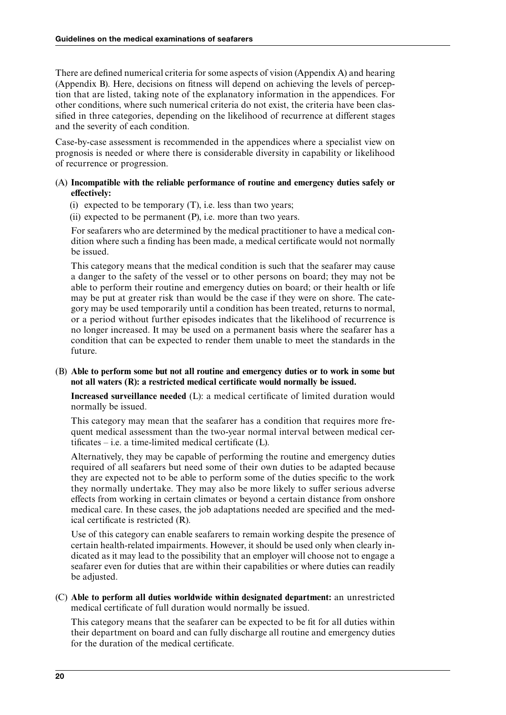There are defined numerical criteria for some aspects of vision (Appendix A) and hearing (Appendix B). Here, decisions on fitness will depend on achieving the levels of perception that are listed, taking note of the explanatory information in the appendices. For other conditions, where such numerical criteria do not exist, the criteria have been classified in three categories, depending on the likelihood of recurrence at different stages and the severity of each condition.

Case-by-case assessment is recommended in the appendices where a specialist view on prognosis is needed or where there is considerable diversity in capability or likelihood of recurrence or progression.

#### (A) **Incompatible with the reliable performance of routine and emergency duties safely or effectively:**

- (i) expected to be temporary  $(T)$ , i.e. less than two years;
- (ii) expected to be permanent (P), i.e. more than two years.

For seafarers who are determined by the medical practitioner to have a medical condition where such a finding has been made, a medical certificate would not normally be issued.

This category means that the medical condition is such that the seafarer may cause a danger to the safety of the vessel or to other persons on board; they may not be able to perform their routine and emergency duties on board; or their health or life may be put at greater risk than would be the case if they were on shore. The category may be used temporarily until a condition has been treated, returns to normal, or a period without further episodes indicates that the likelihood of recurrence is no longer increased. It may be used on a permanent basis where the seafarer has a condition that can be expected to render them unable to meet the standards in the future.

(B) **Able to perform some but not all routine and emergency duties or to work in some but not all waters (R): a restricted medical certificate would normally be issued.** 

**Increased surveillance needed** (L): a medical certificate of limited duration would normally be issued.

This category may mean that the seafarer has a condition that requires more frequent medical assessment than the two-year normal interval between medical certificates – i.e. a time-limited medical certificate (L).

Alternatively, they may be capable of performing the routine and emergency duties required of all seafarers but need some of their own duties to be adapted because they are expected not to be able to perform some of the duties specific to the work they normally undertake. They may also be more likely to suffer serious adverse effects from working in certain climates or beyond a certain distance from onshore medical care. In these cases, the job adaptations needed are specified and the medical certificate is restricted (R).

Use of this category can enable seafarers to remain working despite the presence of certain health-related impairments. However, it should be used only when clearly indicated as it may lead to the possibility that an employer will choose not to engage a seafarer even for duties that are within their capabilities or where duties can readily be adjusted.

(C) **Able to perform all duties worldwide within designated department:** an unrestricted medical certificate of full duration would normally be issued.

This category means that the seafarer can be expected to be fit for all duties within their department on board and can fully discharge all routine and emergency duties for the duration of the medical certificate.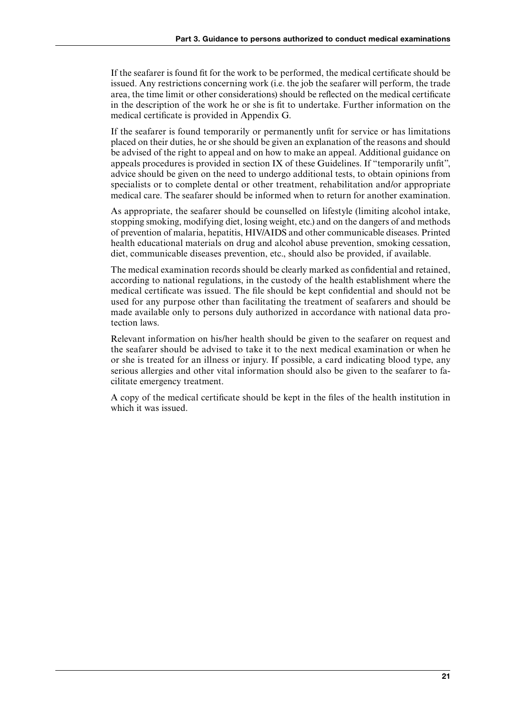If the seafarer is found fit for the work to be performed, the medical certificate should be issued. Any restrictions concerning work (i.e. the job the seafarer will perform, the trade area, the time limit or other considerations) should be reflected on the medical certificate in the description of the work he or she is fit to undertake. Further information on the medical certificate is provided in Appendix G.

If the seafarer is found temporarily or permanently unfit for service or has limitations placed on their duties, he or she should be given an explanation of the reasons and should be advised of the right to appeal and on how to make an appeal. Additional guidance on appeals procedures is provided in section IX of these Guidelines. If "temporarily unfit", advice should be given on the need to undergo additional tests, to obtain opinions from specialists or to complete dental or other treatment, rehabilitation and/or appropriate medical care. The seafarer should be informed when to return for another examination.

As appropriate, the seafarer should be counselled on lifestyle (limiting alcohol intake, stopping smoking, modifying diet, losing weight, etc.) and on the dangers of and methods of prevention of malaria, hepatitis, HIV/AIDS and other communicable diseases. Printed health educational materials on drug and alcohol abuse prevention, smoking cessation, diet, communicable diseases prevention, etc., should also be provided, if available.

The medical examination records should be clearly marked as confidential and retained, according to national regulations, in the custody of the health establishment where the medical certificate was issued. The file should be kept confidential and should not be used for any purpose other than facilitating the treatment of seafarers and should be made available only to persons duly authorized in accordance with national data protection laws.

Relevant information on his/her health should be given to the seafarer on request and the seafarer should be advised to take it to the next medical examination or when he or she is treated for an illness or injury. If possible, a card indicating blood type, any serious allergies and other vital information should also be given to the seafarer to facilitate emergency treatment.

A copy of the medical certificate should be kept in the files of the health institution in which it was issued.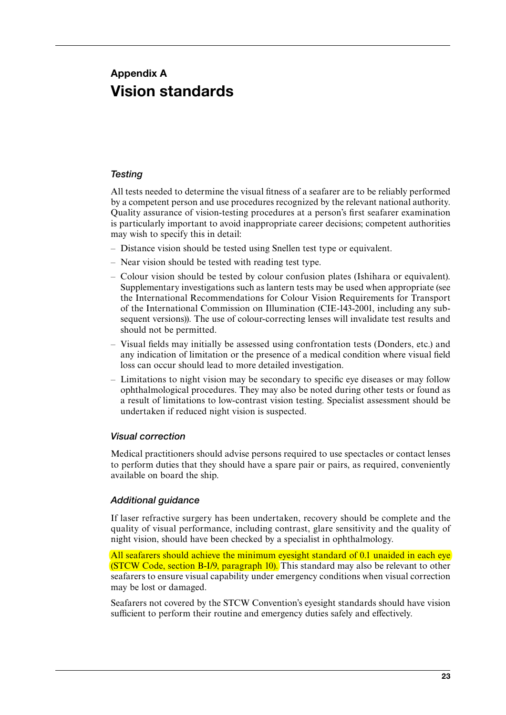# **Appendix A Vision standards**

### *Testing*

All tests needed to determine the visual fitness of a seafarer are to be reliably performed by a competent person and use procedures recognized by the relevant national authority. Quality assurance of vision-testing procedures at a person's first seafarer examination is particularly important to avoid inappropriate career decisions; competent authorities may wish to specify this in detail:

- Distance vision should be tested using Snellen test type or equivalent.
- Near vision should be tested with reading test type.
- Colour vision should be tested by colour confusion plates (Ishihara or equivalent). Supplementary investigations such as lantern tests may be used when appropriate (see the International Recommendations for Colour Vision Requirements for Transport of the International Commission on Illumination (CIE-143-2001, including any subsequent versions)). The use of colour-correcting lenses will invalidate test results and should not be permitted.
- Visual fields may initially be assessed using confrontation tests (Donders, etc.) and any indication of limitation or the presence of a medical condition where visual field loss can occur should lead to more detailed investigation.
- Limitations to night vision may be secondary to specific eye diseases or may follow ophthalmological procedures. They may also be noted during other tests or found as a result of limitations to low-contrast vision testing. Specialist assessment should be undertaken if reduced night vision is suspected.

### *Visual correction*

Medical practitioners should advise persons required to use spectacles or contact lenses to perform duties that they should have a spare pair or pairs, as required, conveniently available on board the ship.

### *Additional guidance*

If laser refractive surgery has been undertaken, recovery should be complete and the quality of visual performance, including contrast, glare sensitivity and the quality of night vision, should have been checked by a specialist in ophthalmology.

All seafarers should achieve the minimum eyesight standard of 0.1 unaided in each eye (STCW Code, section B-I/9, paragraph 10). This standard may also be relevant to other seafarers to ensure visual capability under emergency conditions when visual correction may be lost or damaged.

Seafarers not covered by the STCW Convention's eyesight standards should have vision sufficient to perform their routine and emergency duties safely and effectively.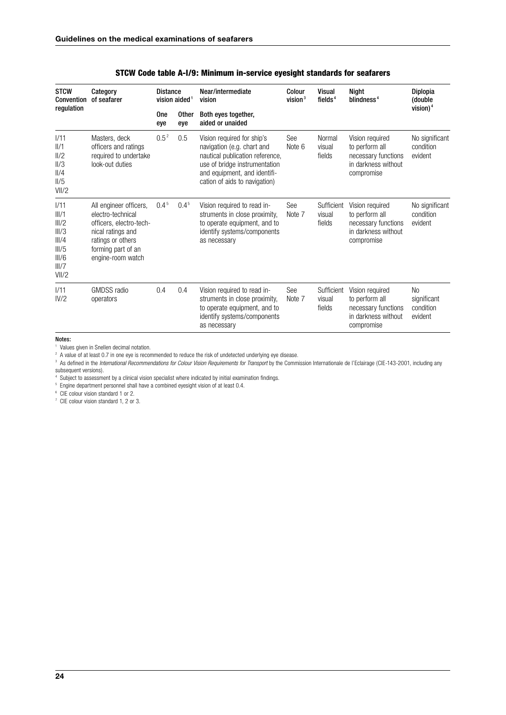| <b>STCW</b><br>Convention                                                    | Category<br>of seafarer                                                                                                                                     | <b>Distance</b>   | vision aided <sup>1</sup> | Near/intermediate<br>vision                                                                                                                                                                   | Colour<br>vision <sup>3</sup> | Visual<br>fields $4$           | Night<br>blindness <sup>4</sup>                                                               | Diplopia<br>(double                                   |
|------------------------------------------------------------------------------|-------------------------------------------------------------------------------------------------------------------------------------------------------------|-------------------|---------------------------|-----------------------------------------------------------------------------------------------------------------------------------------------------------------------------------------------|-------------------------------|--------------------------------|-----------------------------------------------------------------------------------------------|-------------------------------------------------------|
| regulation                                                                   |                                                                                                                                                             | <b>One</b><br>eye | <b>Other</b><br>eye       | Both eyes together,<br>aided or unaided                                                                                                                                                       |                               |                                |                                                                                               | $vision)^4$                                           |
| 1/11<br>II/1<br>II/2<br>II/3<br>II/4<br>II/5<br>VII/2                        | Masters, deck<br>officers and ratings<br>required to undertake<br>look-out duties                                                                           | $0.5^2$           | 0.5                       | Vision required for ship's<br>navigation (e.g. chart and<br>nautical publication reference,<br>use of bridge instrumentation<br>and equipment, and identifi-<br>cation of aids to navigation) | See<br>Note 6                 | Normal<br>visual<br>fields     | Vision required<br>to perform all<br>necessary functions<br>in darkness without<br>compromise | No significant<br>condition<br>evident                |
| 1/11<br>III/1<br>III/2<br>III/3<br>III/4<br>III/5<br>III/6<br>III/7<br>VII/2 | All engineer officers,<br>electro-technical<br>officers, electro-tech-<br>nical ratings and<br>ratings or others<br>forming part of an<br>engine-room watch | 0.4 <sup>5</sup>  | 0.4 <sup>5</sup>          | Vision required to read in-<br>struments in close proximity,<br>to operate equipment, and to<br>identify systems/components<br>as necessary                                                   | See<br>Note 7                 | Sufficient<br>visual<br>fields | Vision required<br>to perform all<br>necessary functions<br>in darkness without<br>compromise | No significant<br>condition<br>evident                |
| 1/11<br>IV/2                                                                 | <b>GMDSS</b> radio<br>operators                                                                                                                             | 0.4               | 0.4                       | Vision required to read in-<br>struments in close proximity,<br>to operate equipment, and to<br>identify systems/components<br>as necessary                                                   | See<br>Note 7                 | Sufficient<br>visual<br>fields | Vision required<br>to perform all<br>necessary functions<br>in darkness without<br>compromise | N <sub>0</sub><br>significant<br>condition<br>evident |

| STCW Code table A-I/9: Minimum in-service eyesight standards for seafarers |  |  |
|----------------------------------------------------------------------------|--|--|
|----------------------------------------------------------------------------|--|--|

Notes:

<sup>1</sup> Values given in Snellen decimal notation.

<sup>2</sup> A value of at least 0.7 in one eye is recommended to reduce the risk of undetected underlying eye disease.

<sup>3</sup> As defined in the *International Recommendations for Colour Vision Requirements for Transport* by the Commission Internationale de l'Eclairage (CIE-143-2001, including any subsequent versions).

<sup>4</sup> Subject to assessment by a clinical vision specialist where indicated by initial examination findings.

<sup>5</sup> Engine department personnel shall have a combined eyesight vision of at least 0.4.

<sup>6</sup> CIE colour vision standard 1 or 2.

<sup>7</sup> CIE colour vision standard 1, 2 or 3.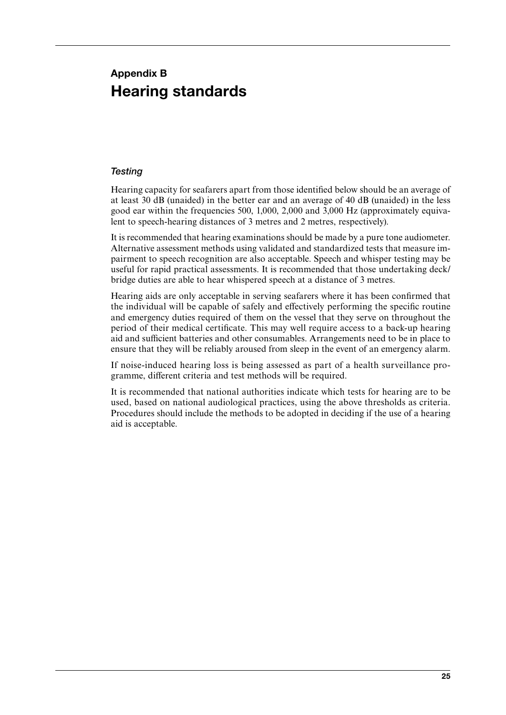# **Appendix B Hearing standards**

#### *Testing*

Hearing capacity for seafarers apart from those identified below should be an average of at least 30 dB (unaided) in the better ear and an average of 40 dB (unaided) in the less good ear within the frequencies 500, 1,000, 2,000 and 3,000 Hz (approximately equivalent to speech-hearing distances of 3 metres and 2 metres, respectively).

It is recommended that hearing examinations should be made by a pure tone audiometer. Alternative assessment methods using validated and standardized tests that measure impairment to speech recognition are also acceptable. Speech and whisper testing may be useful for rapid practical assessments. It is recommended that those undertaking deck/ bridge duties are able to hear whispered speech at a distance of 3 metres.

Hearing aids are only acceptable in serving seafarers where it has been confirmed that the individual will be capable of safely and effectively performing the specific routine and emergency duties required of them on the vessel that they serve on throughout the period of their medical certificate. This may well require access to a back-up hearing aid and sufficient batteries and other consumables. Arrangements need to be in place to ensure that they will be reliably aroused from sleep in the event of an emergency alarm.

If noise-induced hearing loss is being assessed as part of a health surveillance programme, different criteria and test methods will be required.

It is recommended that national authorities indicate which tests for hearing are to be used, based on national audiological practices, using the above thresholds as criteria. Procedures should include the methods to be adopted in deciding if the use of a hearing aid is acceptable.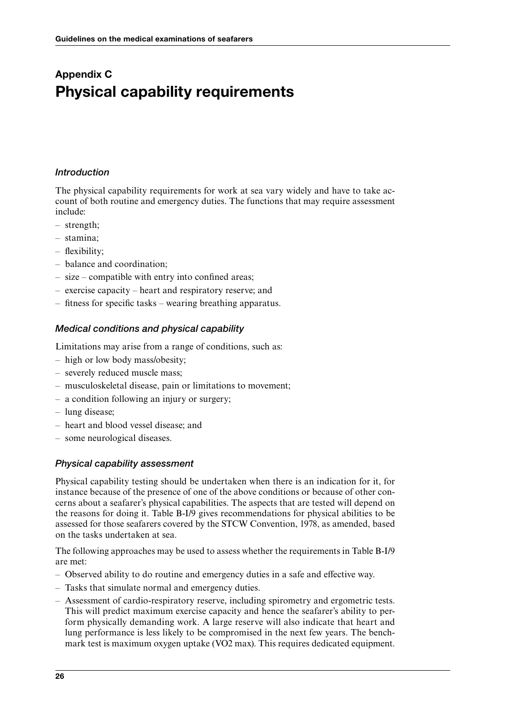# **Appendix C Physical capability requirements**

### *Introduction*

The physical capability requirements for work at sea vary widely and have to take account of both routine and emergency duties. The functions that may require assessment include:

- strength;
- stamina;
- flexibility;
- balance and coordination;
- size compatible with entry into confined areas;
- exercise capacity heart and respiratory reserve; and
- fitness for specific tasks wearing breathing apparatus.

### *Medical conditions and physical capability*

Limitations may arise from a range of conditions, such as:

- high or low body mass/obesity;
- severely reduced muscle mass;
- musculoskeletal disease, pain or limitations to movement;
- a condition following an injury or surgery;
- lung disease;
- heart and blood vessel disease; and
- some neurological diseases.

### *Physical capability assessment*

Physical capability testing should be undertaken when there is an indication for it, for instance because of the presence of one of the above conditions or because of other concerns about a seafarer's physical capabilities. The aspects that are tested will depend on the reasons for doing it. Table B-I/9 gives recommendations for physical abilities to be assessed for those seafarers covered by the STCW Convention, 1978, as amended, based on the tasks undertaken at sea.

The following approaches may be used to assess whether the requirements in Table B-I/9 are met:

- Observed ability to do routine and emergency duties in a safe and effective way.
- Tasks that simulate normal and emergency duties.
- Assessment of cardio-respiratory reserve, including spirometry and ergometric tests. This will predict maximum exercise capacity and hence the seafarer's ability to perform physically demanding work. A large reserve will also indicate that heart and lung performance is less likely to be compromised in the next few years. The benchmark test is maximum oxygen uptake (VO2 max). This requires dedicated equipment.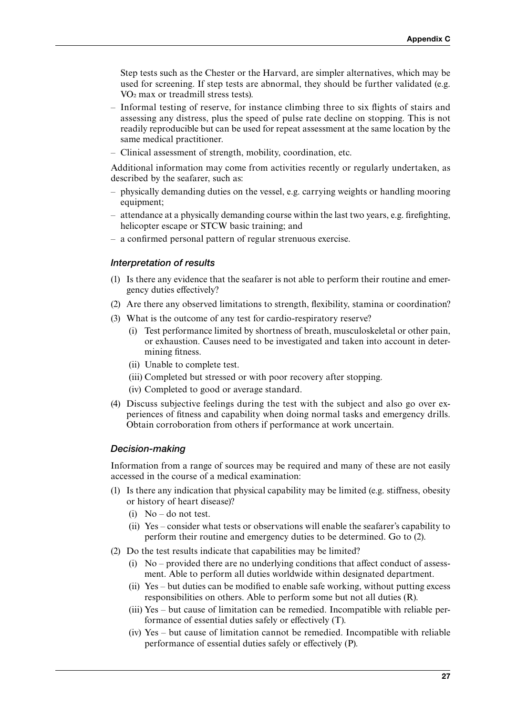Step tests such as the Chester or the Harvard, are simpler alternatives, which may be used for screening. If step tests are abnormal, they should be further validated (e.g. VO2 max or treadmill stress tests).

- Informal testing of reserve, for instance climbing three to six flights of stairs and assessing any distress, plus the speed of pulse rate decline on stopping. This is not readily reproducible but can be used for repeat assessment at the same location by the same medical practitioner.
- Clinical assessment of strength, mobility, coordination, etc.

Additional information may come from activities recently or regularly undertaken, as described by the seafarer, such as:

- physically demanding duties on the vessel, e.g. carrying weights or handling mooring equipment:
- attendance at a physically demanding course within the last two years, e.g. firefighting, helicopter escape or STCW basic training; and
- a confirmed personal pattern of regular strenuous exercise.

#### *Interpretation of results*

- (1) Is there any evidence that the seafarer is not able to perform their routine and emergency duties effectively?
- (2) Are there any observed limitations to strength, flexibility, stamina or coordination?
- (3) What is the outcome of any test for cardio-respiratory reserve?
	- (i) Test performance limited by shortness of breath, musculoskeletal or other pain, or exhaustion. Causes need to be investigated and taken into account in determining fitness.
	- (ii) Unable to complete test.
	- (iii) Completed but stressed or with poor recovery after stopping.
	- (iv) Completed to good or average standard.
- (4) Discuss subjective feelings during the test with the subject and also go over experiences of fitness and capability when doing normal tasks and emergency drills. Obtain corroboration from others if performance at work uncertain.

#### *Decision-making*

Information from a range of sources may be required and many of these are not easily accessed in the course of a medical examination:

- (1) Is there any indication that physical capability may be limited (e.g. stiffness, obesity or history of heart disease)?
	- $(i)$  No do not test.
	- (ii) Yes consider what tests or observations will enable the seafarer's capability to perform their routine and emergency duties to be determined. Go to (2).
- (2) Do the test results indicate that capabilities may be limited?
	- (i) No provided there are no underlying conditions that affect conduct of assessment. Able to perform all duties worldwide within designated department.
	- (ii) Yes but duties can be modified to enable safe working, without putting excess responsibilities on others. Able to perform some but not all duties (R).
	- (iii) Yes but cause of limitation can be remedied. Incompatible with reliable performance of essential duties safely or effectively (T).
	- (iv) Yes but cause of limitation cannot be remedied. Incompatible with reliable performance of essential duties safely or effectively (P).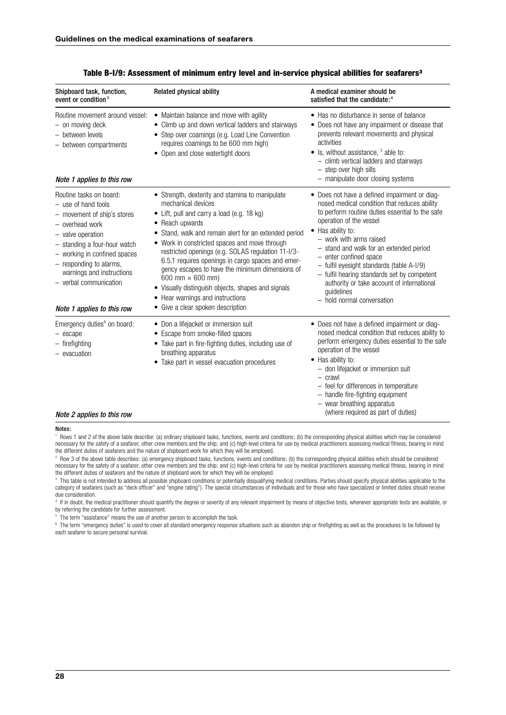| Shipboard task, function,<br>event or condition <sup>3</sup>                                                                                                                                                                                                                                          | <b>Related physical ability</b>                                                                                                                                                                                                                                                                                                                                                                                                                                                                                                                                          | A medical examiner should be<br>satisfied that the candidate: <sup>4</sup>                                                                                                                                                                                                                                                                                                                                                                                                             |
|-------------------------------------------------------------------------------------------------------------------------------------------------------------------------------------------------------------------------------------------------------------------------------------------------------|--------------------------------------------------------------------------------------------------------------------------------------------------------------------------------------------------------------------------------------------------------------------------------------------------------------------------------------------------------------------------------------------------------------------------------------------------------------------------------------------------------------------------------------------------------------------------|----------------------------------------------------------------------------------------------------------------------------------------------------------------------------------------------------------------------------------------------------------------------------------------------------------------------------------------------------------------------------------------------------------------------------------------------------------------------------------------|
| Routine movement around vessel:<br>- on moving deck<br>- between levels<br>- between compartments<br>Note 1 applies to this row                                                                                                                                                                       | • Maintain balance and move with agility<br>• Climb up and down vertical ladders and stairways<br>• Step over coamings (e.g. Load Line Convention<br>requires coamings to be 600 mm high)<br>• Open and close watertight doors                                                                                                                                                                                                                                                                                                                                           | • Has no disturbance in sense of balance<br>• Does not have any impairment or disease that<br>prevents relevant movements and physical<br>activities<br>$\bullet$ Is, without assistance, $5$ able to:<br>- climb vertical ladders and stairways<br>- step over high sills<br>- manipulate door closing systems                                                                                                                                                                        |
| Routine tasks on board:<br>- use of hand tools<br>- movement of ship's stores<br>- overhead work<br>- valve operation<br>- standing a four-hour watch<br>- working in confined spaces<br>- responding to alarms,<br>warnings and instructions<br>- verbal communication<br>Note 1 applies to this row | • Strength, dexterity and stamina to manipulate<br>mechanical devices<br>• Lift, pull and carry a load (e.g. 18 kg)<br>• Reach upwards<br>• Stand, walk and remain alert for an extended period<br>• Work in constricted spaces and move through<br>restricted openings (e.g. SOLAS regulation 11-I/3-<br>6.5.1 requires openings in cargo spaces and emer-<br>gency escapes to have the minimum dimensions of<br>600 mm $\times$ 600 mm)<br>• Visually distinguish objects, shapes and signals<br>• Hear warnings and instructions<br>• Give a clear spoken description | • Does not have a defined impairment or diag-<br>nosed medical condition that reduces ability<br>to perform routine duties essential to the safe<br>operation of the vessel<br>• Has ability to:<br>- work with arms raised<br>- stand and walk for an extended period<br>- enter confined space<br>- fulfil eyesight standards (table A-I/9)<br>- fulfil hearing standards set by competent<br>authority or take account of international<br>guidelines<br>- hold normal conversation |
| Emergency duties <sup>6</sup> on board:<br>- escape<br>- firefighting<br>- evacuation<br>Note 2 applies to this row                                                                                                                                                                                   | • Don a lifejacket or immersion suit<br>• Escape from smoke-filled spaces<br>• Take part in fire-fighting duties, including use of<br>breathing apparatus<br>• Take part in vessel evacuation procedures                                                                                                                                                                                                                                                                                                                                                                 | • Does not have a defined impairment or diag-<br>nosed medical condition that reduces ability to<br>perform emergency duties essential to the safe<br>operation of the vessel<br>• Has ability to:<br>- don lifejacket or immersion suit<br>$-$ crawl<br>- feel for differences in temperature<br>- handle fire-fighting equipment<br>- wear breathing apparatus<br>(where required as part of duties)                                                                                 |

#### *Note 2 applies to this row*

Notes:

<sup>1</sup> Rows 1 and 2 of the above table describe: (a) ordinary shipboard tasks, functions, events and conditions; (b) the corresponding physical abilities which may be considered necessary for the safety of a seafarer, other crew members and the ship; and (c) high-level criteria for use by medical practitioners assessing medical fitness, bearing in mind the different duties of seafarers and the nature of shipboard work for which they will be employed.

<sup>2</sup> Row 3 of the above table describes: (a) emergency shipboard tasks, functions, events and conditions; (b) the corresponding physical abilities which should be considered necessary for the safety of a seafarer, other crew members and the ship; and (c) high-level criteria for use by medical practitioners assessing medical fitness, bearing in mind the different duties of seafarers and the nature of shipboard work for which they will be employed.

<sup>3</sup> This table is not intended to address all possible shipboard conditions or potentially disqualifying medical conditions. Parties should specify physical abilities applicable to the category of seafarers (such as "deck officer" and "engine rating"). The special circumstances of individuals and for those who have specialized or limited duties should receive due consideration.

<sup>4</sup> If in doubt, the medical practitioner should quantify the degree or severity of any relevant impairment by means of objective tests, whenever appropriate tests are available, or by referring the candidate for further assessment.

 $5\overline{}$ . The term "assistance" means the use of another person to accomplish the task.

<sup>6</sup> The term "emergency duties" is used to cover all standard emergency response situations such as abandon ship or firefighting as well as the procedures to be followed by each seafarer to secure personal survival.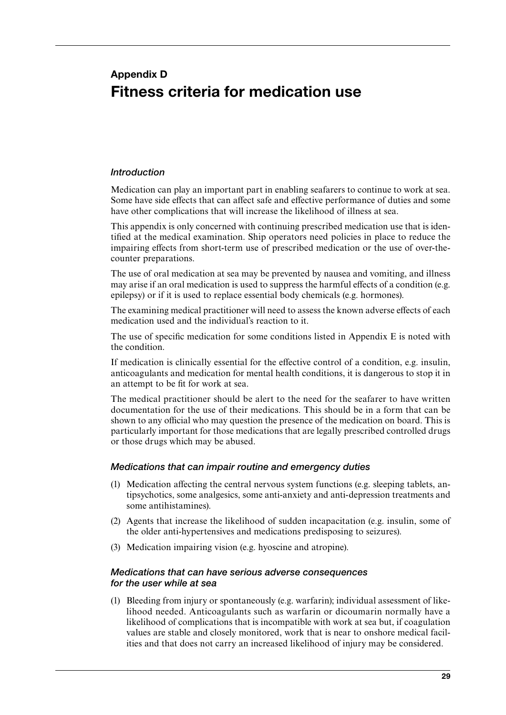# **Appendix D Fitness criteria for medication use**

#### *Introduction*

Medication can play an important part in enabling seafarers to continue to work at sea. Some have side effects that can affect safe and effective performance of duties and some have other complications that will increase the likelihood of illness at sea.

This appendix is only concerned with continuing prescribed medication use that is identified at the medical examination. Ship operators need policies in place to reduce the impairing effects from short-term use of prescribed medication or the use of over-thecounter preparations.

The use of oral medication at sea may be prevented by nausea and vomiting, and illness may arise if an oral medication is used to suppress the harmful effects of a condition (e.g. epilepsy) or if it is used to replace essential body chemicals (e.g. hormones).

The examining medical practitioner will need to assess the known adverse effects of each medication used and the individual's reaction to it.

The use of specific medication for some conditions listed in Appendix E is noted with the condition.

If medication is clinically essential for the effective control of a condition, e.g. insulin, anticoagulants and medication for mental health conditions, it is dangerous to stop it in an attempt to be fit for work at sea.

The medical practitioner should be alert to the need for the seafarer to have written documentation for the use of their medications. This should be in a form that can be shown to any official who may question the presence of the medication on board. This is particularly important for those medications that are legally prescribed controlled drugs or those drugs which may be abused.

#### *Medications that can impair routine and emergency duties*

- (1) Medication affecting the central nervous system functions (e.g. sleeping tablets, antipsychotics, some analgesics, some anti-anxiety and anti-depression treatments and some antihistamines).
- (2) Agents that increase the likelihood of sudden incapacitation (e.g. insulin, some of the older anti-hypertensives and medications predisposing to seizures).
- (3) Medication impairing vision (e.g. hyoscine and atropine).

#### *Medications that can have serious adverse consequences for the user while at sea*

(1) Bleeding from injury or spontaneously (e.g. warfarin); individual assessment of likelihood needed. Anticoagulants such as warfarin or dicoumarin normally have a likelihood of complications that is incompatible with work at sea but, if coagulation values are stable and closely monitored, work that is near to onshore medical facilities and that does not carry an increased likelihood of injury may be considered.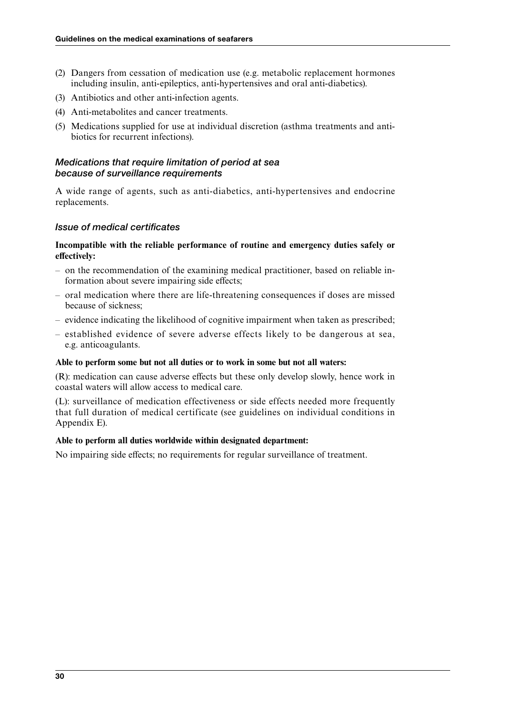- (2) Dangers from cessation of medication use (e.g. metabolic replacement hormones including insulin, anti-epileptics, anti-hypertensives and oral anti-diabetics).
- (3) Antibiotics and other anti-infection agents.
- (4) Anti-metabolites and cancer treatments.
- (5) Medications supplied for use at individual discretion (asthma treatments and antibiotics for recurrent infections).

#### *Medications that require limitation of period at sea because of surveillance requirements*

A wide range of agents, such as anti-diabetics, anti-hypertensives and endocrine replacements.

#### *Issue of medical certificates*

#### **Incompatible with the reliable performance of routine and emergency duties safely or effectively:**

- on the recommendation of the examining medical practitioner, based on reliable information about severe impairing side effects;
- oral medication where there are life-threatening consequences if doses are missed because of sickness;
- evidence indicating the likelihood of cognitive impairment when taken as prescribed;
- established evidence of severe adverse effects likely to be dangerous at sea, e.g. anticoagulants.

#### **Able to perform some but not all duties or to work in some but not all waters:**

(R): medication can cause adverse effects but these only develop slowly, hence work in coastal waters will allow access to medical care.

(L): surveillance of medication effectiveness or side effects needed more frequently that full duration of medical certificate (see guidelines on individual conditions in Appendix E).

#### **Able to perform all duties worldwide within designated department:**

No impairing side effects; no requirements for regular surveillance of treatment.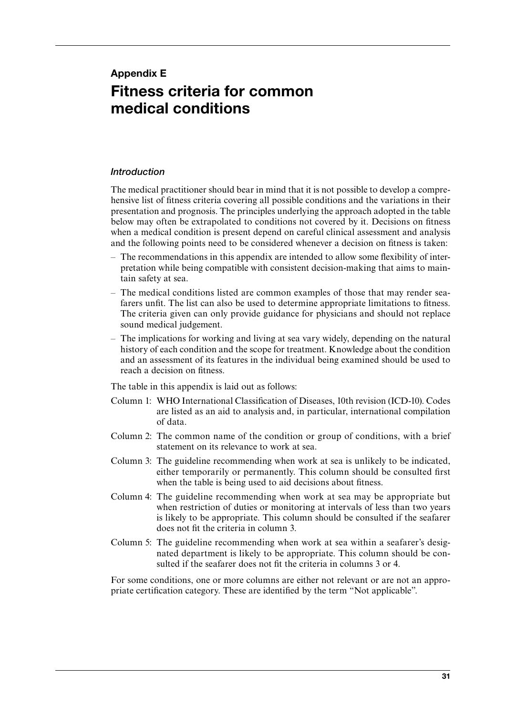### **Appendix E**

# **Fitness criteria for common medical conditions**

#### *Introduction*

The medical practitioner should bear in mind that it is not possible to develop a comprehensive list of fitness criteria covering all possible conditions and the variations in their presentation and prognosis. The principles underlying the approach adopted in the table below may often be extrapolated to conditions not covered by it. Decisions on fitness when a medical condition is present depend on careful clinical assessment and analysis and the following points need to be considered whenever a decision on fitness is taken:

- The recommendations in this appendix are intended to allow some flexibility of interpretation while being compatible with consistent decision-making that aims to maintain safety at sea.
- The medical conditions listed are common examples of those that may render seafarers unfit. The list can also be used to determine appropriate limitations to fitness. The criteria given can only provide guidance for physicians and should not replace sound medical judgement.
- The implications for working and living at sea vary widely, depending on the natural history of each condition and the scope for treatment. Knowledge about the condition and an assessment of its features in the individual being examined should be used to reach a decision on fitness.

The table in this appendix is laid out as follows:

- Column 1: WHO International Classification of Diseases, 10th revision (ICD-10). Codes are listed as an aid to analysis and, in particular, international compilation of data.
- Column 2: The common name of the condition or group of conditions, with a brief statement on its relevance to work at sea.
- Column 3: The guideline recommending when work at sea is unlikely to be indicated, either temporarily or permanently. This column should be consulted first when the table is being used to aid decisions about fitness.
- Column 4: The guideline recommending when work at sea may be appropriate but when restriction of duties or monitoring at intervals of less than two years is likely to be appropriate. This column should be consulted if the seafarer does not fit the criteria in column 3.
- Column 5: The guideline recommending when work at sea within a seafarer's designated department is likely to be appropriate. This column should be consulted if the seafarer does not fit the criteria in columns 3 or 4.

For some conditions, one or more columns are either not relevant or are not an appropriate certification category. These are identified by the term "Not applicable".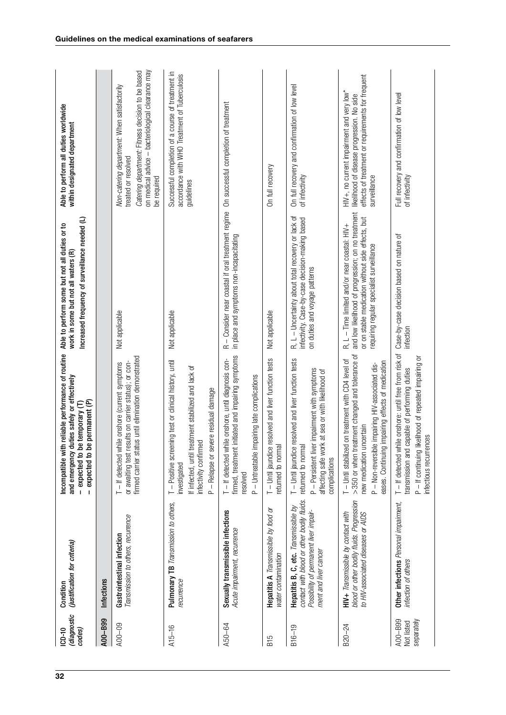| (diagnostic<br>$0 - 10$<br>codes)       | (justification for criteria)<br>Condition                                                                                                              | reliable performance of routine<br>and emergency duties safely or effectively<br>permanent (P)<br>temporary (T)<br>Incompatible with<br>- expected to be<br>- expected to be                                                                       | Increased frequency of surveillance needed (L)<br>Able to perform some but not all duties or to<br>work in some but not all waters (R)                                                                | Able to perform all duties worldwide<br>within designated department                                                                                                                         |
|-----------------------------------------|--------------------------------------------------------------------------------------------------------------------------------------------------------|----------------------------------------------------------------------------------------------------------------------------------------------------------------------------------------------------------------------------------------------------|-------------------------------------------------------------------------------------------------------------------------------------------------------------------------------------------------------|----------------------------------------------------------------------------------------------------------------------------------------------------------------------------------------------|
| A00-B99                                 | Infections                                                                                                                                             |                                                                                                                                                                                                                                                    |                                                                                                                                                                                                       |                                                                                                                                                                                              |
| $A00 - 09$                              | Transmission to others, recurrence<br>Gastrointestinal infection                                                                                       | firmed carrier status until elimination demonstrated<br>or awaiting test results on carrier status); or con-<br>T - If detected while onshore (current symptoms                                                                                    | Not applicable                                                                                                                                                                                        | on medical advice – bacteriological clearance may<br>Catering department: Fitness decision to be based<br>Non-catering department: When satisfactorily<br>treated or resolved<br>be required |
| $A15 - 16$                              | Pulmonary TB Transmission to others,<br>recurrence                                                                                                     | T - Positive screening test or clinical history, until<br>If infected, until treatment stabilized and lack of<br>P - Relapse or severe residual damage<br>infectivity confirmed<br>investigated                                                    | Not applicable                                                                                                                                                                                        | Successful completion of a course of treatment in<br>accordance with WHO Treatment of Tuberculosis<br>guidelines                                                                             |
| A50-64                                  | Sexually transmissible infections<br>Acute impairment, recurrence                                                                                      | firmed, treatment initiated and impairing symptoms<br>ile onshore, until diagnosis con-<br>pairing late complications<br>P – Untreatable im<br>$T - If detected wh$<br>resolved                                                                    | R - Consider near coastal if oral treatment regime<br>in place and symptoms non-incapacitating                                                                                                        | On successful completion of treatment                                                                                                                                                        |
| B <sub>15</sub>                         | Hepatitis A Transmissible by food or<br>water contamination                                                                                            | resolved and liver function tests<br>returned to normal<br>T - Until jaundice                                                                                                                                                                      | Not applicable                                                                                                                                                                                        | On full recovery                                                                                                                                                                             |
| $B16 - 19$                              | contact with blood or other bodily fluids.<br>Hepatitis B, C, etc. Transmissible by<br>Possibility of permanent liver impair-<br>ment and liver cancer | resolved and liver function tests<br>impairment with symptoms<br>affecting safe work at sea or with likelihood of<br>returned to normal<br>P - Persistent liver<br>T-Until jaundice<br>complications                                               | R, L - Uncertainty about total recovery or lack of<br>infectivity. Case-by-case decision-making based<br>on duties and voyage patterns                                                                | On full recovery and confirmation of low level<br>of infectivity                                                                                                                             |
| B20-24                                  | blood or other bodily fluids. Progression<br>HIV+ Transmissible by contact with<br>to HIV-associated diseases or AIDS                                  | >350 or when treatment changed and tolerance of<br>on treatment with CD4 level of<br>impairing effects of medication<br>impairing HIV-associated dis-<br>new medication uncertain<br>T-Until stabilized<br>P - Non-reversible<br>eases. Continuing | and low likelihood of progression; on no treatment<br>or on stable medication without side effects, but<br>R, L - Time limited and/or near coastal: HIV+<br>requiring regular specialist surveillance | effects of treatment or requirements for frequent<br>$HIV+$ , no current impairment and very low*<br>likelihood of disease progression. No side<br>surveillance                              |
| $A00 - B99$<br>separately<br>Not listed | Other infections Personal impaiment,<br>infection of others                                                                                            | ile onshore: until free from risk of<br>P - If continuing likelihood of repeated impairing or<br>transmission and capable of performing duties<br>infectious recurrences<br>$T - H$ detected wh                                                    | Case-by-case decision based on nature of<br>infection                                                                                                                                                 | Full recovery and confirmation of low level<br>of infectivity                                                                                                                                |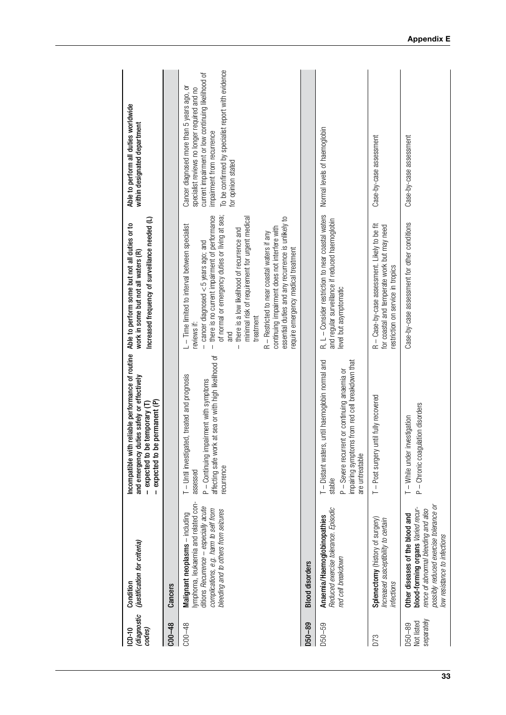| (diagnostic<br>$0 - 10$<br>codes)  | (justification for criteria)<br>Condition                                                                                                                                                         | reliable performance of routine<br>ties safely or effectively<br>- expected to be permanent (P)<br>$-$ expected to be temporary $(T)$<br>and emergency du<br>Incompatible with       | Increased frequency of surveillance needed (L)<br>Able to perform some but not all duties or to<br>work in some but not all waters (R)                                                                                                                                                                                                                                                                                                                                                                                                                                        | Able to perform all duties worldwide<br>within designated department                                                                                                                                                                                       |
|------------------------------------|---------------------------------------------------------------------------------------------------------------------------------------------------------------------------------------------------|--------------------------------------------------------------------------------------------------------------------------------------------------------------------------------------|-------------------------------------------------------------------------------------------------------------------------------------------------------------------------------------------------------------------------------------------------------------------------------------------------------------------------------------------------------------------------------------------------------------------------------------------------------------------------------------------------------------------------------------------------------------------------------|------------------------------------------------------------------------------------------------------------------------------------------------------------------------------------------------------------------------------------------------------------|
| $C00 - 48$                         | Cancers                                                                                                                                                                                           |                                                                                                                                                                                      |                                                                                                                                                                                                                                                                                                                                                                                                                                                                                                                                                                               |                                                                                                                                                                                                                                                            |
| $C00 - 48$                         | lymphoma, leukaemia and related con-<br>ditions Recurrence - especially acute<br>complications, e.g. harm to self from<br>bleeding and to others from seizures<br>Malignant neoplasms – including | at sea or with high likelihood of<br>T - Until investigated, treated and prognosis<br>P - Continuing impairment with symptoms<br>affecting safe work<br>recurrence<br>assessed       | of normal or emergency duties or living at sea;<br>there is no current impairment of performance<br>minimal risk of requirement for urgent medical<br>essential duties and any recurrence is unlikely to<br>L - Time limited to interval between specialist<br>continuing impairment does not interfere with<br>there is a low likelihood of recurrence and<br>R – Restricted to near coastal waters if any<br>$-$ cancer diagnosed $<$ 5 years ago; and<br>require emergency medical treatment<br>treatment<br>reviews if:<br><b>Pue</b><br>$\overline{1}$<br>$\overline{1}$ | To be confirmed by specialist report with evidence<br>current impairment or low continuing likelihood of<br>Cancer diagnosed more than 5 years ago, or<br>specialist reviews no longer required and no<br>impairment from recurrence<br>for opinion stated |
| D50-89                             | <b>Blood disorders</b>                                                                                                                                                                            |                                                                                                                                                                                      |                                                                                                                                                                                                                                                                                                                                                                                                                                                                                                                                                                               |                                                                                                                                                                                                                                                            |
| D50-59                             | Reduced exercise tolerance. Episodic<br>Anaemia/Haemoglobinopathies<br>red cell breakdown                                                                                                         | until haemoglobin normal and<br>impairing symptoms from red cell breakdown that<br>P - Severe recurrent or continuing anaemia or<br>T - Distant waters,<br>are untreatable<br>stable | R, L - Consider restriction to near coastal waters<br>and regular surveillance if reduced haemoglobin<br>level but asymptomatic                                                                                                                                                                                                                                                                                                                                                                                                                                               | Normal levels of haemoglobin                                                                                                                                                                                                                               |
| D73                                | Splenectomy (history of surgery)<br>Increased susceptibility to certain<br>infections                                                                                                             | T-Post surgery until fully recovered                                                                                                                                                 | R - Case-by-case assessment. Likely to be fit<br>for coastal and temperate work but may need<br>estriction on service in tropics                                                                                                                                                                                                                                                                                                                                                                                                                                              | Case-by-case assessment                                                                                                                                                                                                                                    |
| separately<br>Not listed<br>D50-89 | possibly reduced exercise tolerance or<br>blood-forming organs Varied recur-<br>rence of abnomnal bleeding and also<br>Other diseases of the blood and<br>low resistance to infections            | P - Chronic coagulation disorders<br>T - While under investigation                                                                                                                   | Case-by-case assessment for other conditions                                                                                                                                                                                                                                                                                                                                                                                                                                                                                                                                  | Case-by-case assessment                                                                                                                                                                                                                                    |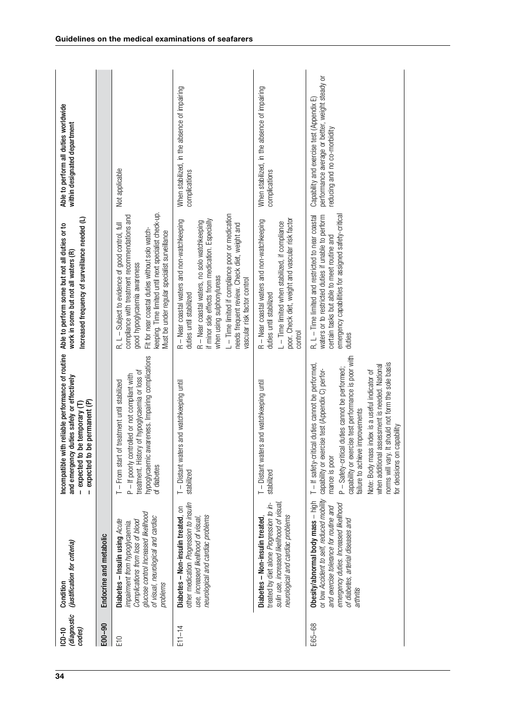| (diagnostic<br>$0 - 10$<br>codes) | (justification for criteria)<br>Condition                                                                                                                                                                               | and emergency duties safely or effectively<br>permanent (P)<br>- expected to be temporary (T)<br>expected to be<br>Incompatible with                                                                                                                                                                                                                                                                                                                                | Increased frequency of surveillance needed (L)<br>reliable performance of routine Able to perform some but not all duties or to<br>work in some but not all waters (R)                                                                                                                                                                           | Able to perform all duties worldwide<br>within designated department                                                         |
|-----------------------------------|-------------------------------------------------------------------------------------------------------------------------------------------------------------------------------------------------------------------------|---------------------------------------------------------------------------------------------------------------------------------------------------------------------------------------------------------------------------------------------------------------------------------------------------------------------------------------------------------------------------------------------------------------------------------------------------------------------|--------------------------------------------------------------------------------------------------------------------------------------------------------------------------------------------------------------------------------------------------------------------------------------------------------------------------------------------------|------------------------------------------------------------------------------------------------------------------------------|
| $E00 - 90$                        | Endocrine and metabolic                                                                                                                                                                                                 |                                                                                                                                                                                                                                                                                                                                                                                                                                                                     |                                                                                                                                                                                                                                                                                                                                                  |                                                                                                                              |
| E10                               | glucose control Increased likelihood<br>of visual, neurological and cardiac<br>Diabetes - Insulin using Acute<br>Complications from loss of blood<br>impairment from hypoglycaemia.<br>problems                         | hypoglycaemic awareness. Impairing complications<br>treatment. History of hypoglycaemia or loss of<br>P - If poorly controlled or not compliant with<br>T-From start of treatment until stabilized<br>of diabetes                                                                                                                                                                                                                                                   | keeping. Time limited until next specialist check-up.<br>compliance with treatment recommendations and<br>R, L - Subject to evidence of good control, full<br>Fit for near coastal duties without solo watch-<br>Must be under regular specialist surveillance<br>good hypoglycaemia awareness                                                   | Not applicable                                                                                                               |
| $E11 - 14$                        | other medication Progression to insulin<br>Diabetes - Non-insulin treated, on<br>neurological and cardiac problems<br>use, increased likelihood of visual,                                                              | and watchkeeping until<br>T - Distant waters<br>stabilized                                                                                                                                                                                                                                                                                                                                                                                                          | L - Time limited if compliance poor or medication<br>if minor side effects from medication. Especially<br>R - Near coastal waters and non-watchkeeping<br>R - Near coastal waters, no solo watchkeeping<br>needs frequent review. Check diet, weight and<br>when using sulphonylureas<br>vascular risk factor control<br>duties until stabilized | When stabilized, in the absence of impairing<br>complications                                                                |
|                                   | treated by diet alone Progression to in-<br>sulin use, increased likelihood of visual,<br>neurological and cardiac problems<br>Diabetes - Non-insulin treated                                                           | and watchkeeping until<br>T-Distant waters<br>stabilized                                                                                                                                                                                                                                                                                                                                                                                                            | poor. Check diet, weight and vascular risk factor<br>R - Near coastal waters and non-watchkeeping<br>L - Time limited when stabilized, if compliance<br>duties until stabilized<br>control                                                                                                                                                       | When stabilized, in the absence of impairing<br>complications                                                                |
| E65-68                            | or low Accident to self, reduced mobility<br>Obesity/abnormal body mass $-$ high<br>emergency duties. Increased likelihood<br>and exercise tolerance for routine and<br>of diabetes, arterial diseases and<br>arthritis | capability or exercise test performance is poor with<br>norms will vary. It should not form the sole basis<br>duties cannot be performed,<br>when additional assessment is needed. National<br>P - Safety-critical duties cannot be performed;<br>capability or exercise test (Appendix C) perfor-<br>Note: Body mass index is a useful indicator of<br>failure to achieve improvements<br>for decisions on capability<br>$I - If satety-critical$<br>mance is poor | emergency capabilities for assigned safety-critical<br>waters or to restricted duties if unable to perform<br>R, L - Time limited and restricted to near coastal<br>certain tasks but able to meet routine and<br>duties                                                                                                                         | performance average or better, weight steady or<br>Capability and exercise test (Appendix E)<br>reducing and no co-morbidity |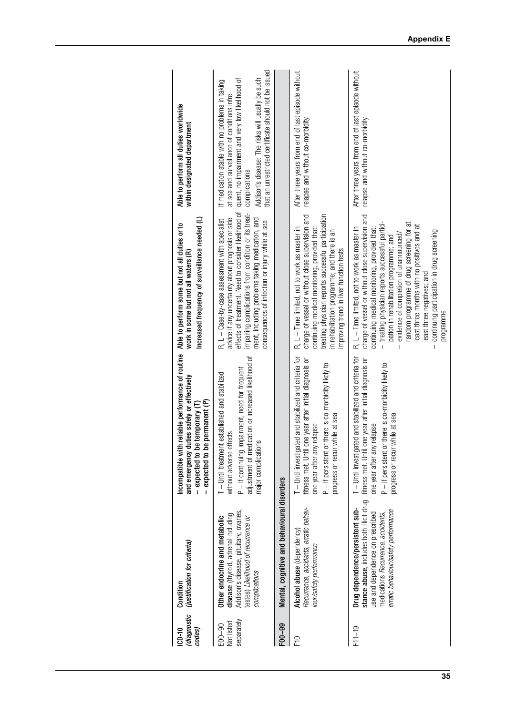| (diagnostic<br>$0 - 10$<br>codes)      | (justification for criteria)<br>Condition                                                                                                                                                     | reliable performance of routine<br>and emergency duties safely or effectively<br>- expected to be permanent (P)<br>- expected to be temporary (T<br>Incompatible with                                                                             | Increased frequency of surveillance needed (L)<br>Able to perform some but not all duties or to<br>work in some but not all waters (R)                                                                                                                                                                                                                                                                                                                                                                                   | Able to perform all duties worldwide<br>within designated department                                                                                                                                                                                                              |
|----------------------------------------|-----------------------------------------------------------------------------------------------------------------------------------------------------------------------------------------------|---------------------------------------------------------------------------------------------------------------------------------------------------------------------------------------------------------------------------------------------------|--------------------------------------------------------------------------------------------------------------------------------------------------------------------------------------------------------------------------------------------------------------------------------------------------------------------------------------------------------------------------------------------------------------------------------------------------------------------------------------------------------------------------|-----------------------------------------------------------------------------------------------------------------------------------------------------------------------------------------------------------------------------------------------------------------------------------|
| separately<br>Not listed<br>$E00 - 90$ | Addison's disease, pituitary, ovaries,<br>disease (thyroid, adrenal including<br>testes) Likelihood of recurrence or<br>Other endocrine and metabolic<br>complications                        | adjustment of medication or increased likelihood of<br>P - If continuing impairment, need for frequent<br>T - Until treatment established and stabilized<br>without adverse effects<br>$\overline{S}$<br>major complication                       | effects of treatment. Need to consider likelihood of<br>impairing complications from condition or its treat-<br>advice if any uncertainty about prognosis or side<br>ment, including problems taking medication, and<br>R, L - Case-by-case assessment with specialist<br>consequences of infection or injury while at sea                                                                                                                                                                                               | that an unrestricted certificate should not be issued<br>quent, no impairment and very low likelihood of<br>Addison's disease: The risks will usually be such<br>If medication stable with no problems in taking<br>at sea and surveillance of conditions infre-<br>complications |
| F00-99                                 | Mental, cognitive and behavioural disorders                                                                                                                                                   |                                                                                                                                                                                                                                                   |                                                                                                                                                                                                                                                                                                                                                                                                                                                                                                                          |                                                                                                                                                                                                                                                                                   |
| F <sub>10</sub>                        | Recurrence, accidents, erratic behav-<br>Alcohol abuse (dependency)<br>jour/safety pertormance                                                                                                | T - Until investigated and stabilized and criteria for<br>one year after initial diagnosis or<br>P - If persistent or there is co-morbidity likely to<br>while at sea<br>one year after any relapse<br>progress or recur-<br>fitness met. Until o | treating physician reports successful participation<br>charge of vessel or without close supervision and<br>R, L - Time limited, not to work as master in<br>continuing medical monitoring, provided that:<br>in rehabilitation programme; and there is an<br>improving trend in liver function tests                                                                                                                                                                                                                    | After three years from end of last episode without<br>relapse and without co-morbidity                                                                                                                                                                                            |
| $F11 - 19$                             | stance abuse, includes both illicit drug<br>Drug dependence/persistent sub-<br>erratic behaviour/safety performance<br>use and dependence on prescribed<br>medications Recurrence, accidents, | T - Until investigated and stabilized and criteria for<br>one year after initial diagnosis or<br>P – If persistent or there is co-morbidity likely to<br>while at sea<br>relapse<br>one year after any<br>fitness met. Until<br>progress or recur | charge of vessel or without close supervision and<br>treating physician reports successful partici-<br>random programme of drug screening for at<br>least three months with no positives and at<br>R, L - Time limited, not to work as master in<br>continuing medical monitoring, provided that:<br>continuing participation in drug screening<br>evidence of completion of unannounced/<br>pation in rehabilitation programme; and<br>least three negatives; and<br>programme<br>$\overline{1}$<br>$\overline{1}$<br>Ť | After three years from end of last episode without<br>relapse and without co-morbidity                                                                                                                                                                                            |

**Appendix E**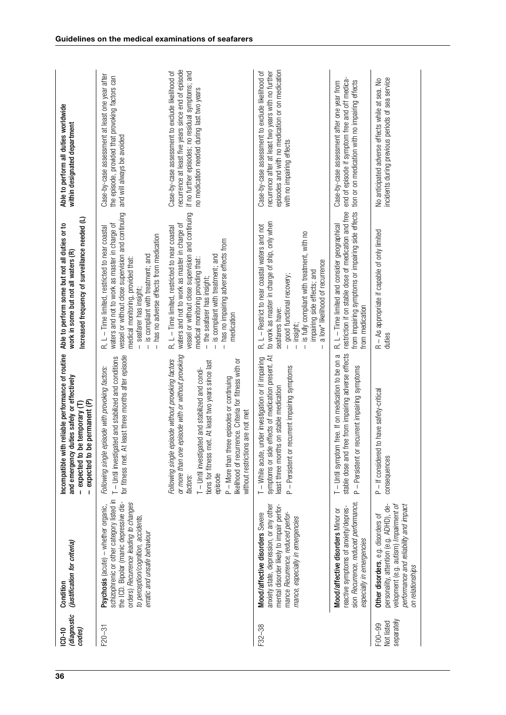| (diagnostic<br>$0 - 10$<br>codes)      | (justification for criteria)<br>Condition                                                                                                                                                                                                    | reliable performance of routine<br>and emergency duties safely or effectively<br>permanent (P)<br>temporary (T)<br>Incompatible with<br>- expected to be<br>- expected to be                                                                                                                                                                                                            | Increased frequency of surveillance needed (L)<br>Able to perform some but not all duties or to<br>work in some but not all waters (R)                                                                                                                                                                                                 | Able to perform all duties worldwide<br>within designated department                                                                                                                                       |
|----------------------------------------|----------------------------------------------------------------------------------------------------------------------------------------------------------------------------------------------------------------------------------------------|-----------------------------------------------------------------------------------------------------------------------------------------------------------------------------------------------------------------------------------------------------------------------------------------------------------------------------------------------------------------------------------------|----------------------------------------------------------------------------------------------------------------------------------------------------------------------------------------------------------------------------------------------------------------------------------------------------------------------------------------|------------------------------------------------------------------------------------------------------------------------------------------------------------------------------------------------------------|
| F20-31                                 | schizophrenic or other category listed in<br>the ICD. Bipolar (manic depressive dis-<br>orders) Recurrence leading to changes<br>Psychosis (acute) – whether organic,<br>to perception/cognition, accidents,<br>erratic and unsafe behaviour | least three months after episode<br>T - Until investigated and stabilized and conditions<br>Following single episode with provoking factors:<br>for fitness met. At                                                                                                                                                                                                                     | vessel or without close supervision and continuing<br>waters and not to work as master in charge of<br>R, L - Time limited, restricted to near coastal<br>has no adverse effects from medication<br>is compliant with treatment; and<br>medical monitoring, provided that:<br>seafarer has insight;<br>$\mathbf{I}$                    | Case-by-case assessment at least one year after<br>the episode, provided that provoking factors can<br>and will always be avoided                                                                          |
|                                        |                                                                                                                                                                                                                                              | or more than one episode with or without provoking<br>Following single episode without provoking factors<br>likelihood of recurrence. Criteria for fitness with or<br>tions for fitness met. At least two years since last<br>T - Until investigated and stabilized and condi-<br>P - More than three episodes or continuing<br>without restrictions are not met<br>episode<br>factors: | vessel or without close supervision and continuing<br>waters and not to work as master in charge of<br>R, L - Time limited, restricted to near coastal<br>has no impairing adverse effects from<br>is compliant with treatment; and<br>medical monitoring providing that:<br>- the seafarer has insight;<br>medication<br>$\mathbf{I}$ | recurrence at least five years since end of episode<br>if no further episodes; no residual symptoms; and<br>Case-by-case assessment to exclude likelihood of<br>no medication needed during last two years |
| F32-38                                 | anxiety state, depression, or any other<br>mental disorder likely to impair perfor-<br>mance Recurrence, reduced perfor-<br>Mood/affective disorders Severe<br>mance, especially in emergencies                                              | symptoms or side effects of medication present. At<br>T - While acute, under investigation or if impairing<br>P - Persistent or recurrent impairing symptoms<br>on stable medication<br>least three months                                                                                                                                                                              | to work as master in charge of ship, only when<br>R, L - Restrict to near coastal waters and not<br>is fully compliant with treatment, with no<br>a low* likelihood of recurrence<br>impairing side effects; and<br>good functional recovery;<br>seafarers have:<br>insight;<br>$\mathbf{I}$<br>$\mathbf{I}$                           | episodes and with no medication or on medication<br>Case-by-case assessment to exclude likelihood of<br>recurrence after at least two years with no further<br>with no impairing effects                   |
|                                        | sion Recurrence, reduced performance,<br>reactive symptoms of anxiety/depres-<br>Mood/affective disorders Minor or<br>especially in emergencies                                                                                              | stable dose and free from impairing adverse effects<br>free. If on medication to be on a<br>P - Persistent or recurrent impairing symptoms<br>T - Until symptom                                                                                                                                                                                                                         | restriction if on stable dose of medication and free<br>from impairing symptoms or impairing side effects<br>R, L – Time limited and consider geographical<br>from medication                                                                                                                                                          | end of episode if symptom free and off medica-<br>tion or on medication with no impairing effects<br>Case-by-case assessment after one year from                                                           |
| separately<br>Not listed<br>$F00 - 99$ | personality, attention (e.g. ADHD), de-<br>velopment (e.g. autism) Impairment of<br>performance and reliability and impact<br>Other disorders, e.g. disorders of<br>on relationships                                                         | P - If considered to have safety-critical<br>consequences                                                                                                                                                                                                                                                                                                                               | R - As appropriate if capable of only limited<br>duties                                                                                                                                                                                                                                                                                | incidents during previous periods of sea service<br>No anticipated adverse effects while at sea. No                                                                                                        |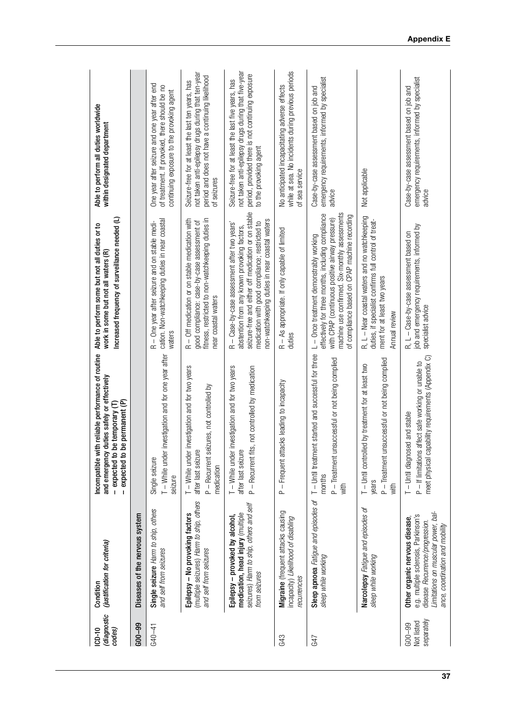| (diagnostic<br>$0 - 10$<br>codes)      | (justification for criteria)<br>Condition                                                                                                                                           | Incompatible with reliable performance of routine<br>duties safely or effectively<br>e permanent (P)<br>$-$ expected to be temporary $(T)$<br>expected to b<br>and emergency<br>$\mathbf{I}$ | Increased frequency of surveillance needed (L)<br>Able to perform some but not all duties or to<br>work in some but not all waters (R)                                                                                                                  | Able to perform all duties worldwide<br>within designated department                                                                                                                     |
|----------------------------------------|-------------------------------------------------------------------------------------------------------------------------------------------------------------------------------------|----------------------------------------------------------------------------------------------------------------------------------------------------------------------------------------------|---------------------------------------------------------------------------------------------------------------------------------------------------------------------------------------------------------------------------------------------------------|------------------------------------------------------------------------------------------------------------------------------------------------------------------------------------------|
| $G00 - 99$                             | Diseases of the nervous system                                                                                                                                                      |                                                                                                                                                                                              |                                                                                                                                                                                                                                                         |                                                                                                                                                                                          |
| $G40 - 41$                             | Single seizure Harm to ship, others<br>and self from seizures                                                                                                                       | investigation and for one year after<br>$T -$ While under<br>Single seizure<br>seizure                                                                                                       | cation. Non-watchkeeping duties in near coastal<br>R – One year after seizure and on stable medi-<br>waters                                                                                                                                             | One year after seizure and one year after end<br>of treatment. If provoked, there should be no<br>continuing exposure to the provoking agent                                             |
|                                        | (multiple seizures) Harm to ship, others<br>Epilepsy - No provoking factors<br>and self from seizures                                                                               | investigation and for two years<br>P - Recurrent seizures, not controlled by<br>after last seizure<br>$T -$ While under<br>medication                                                        | fitness, restricted to non-watchkeeping duties in<br>R - Off medication or on stable medication with<br>good compliance: case-by-case assessment of<br>near coastal waters                                                                              | not taken anti-epilepsy drugs during that ten-year<br>period and does not have a continuing likelihood<br>Seizure-free for at least the last ten years, has<br>of seizures               |
|                                        | seizures) Harm to ship, others and self<br>medication, head injury (multiple<br>Epilepsy – provoked by alcohol,<br>from seizures                                                    | investigation and for two years<br>P - Recurrent fits, not controlled by medication<br>after last seizure<br>$T -$ While under                                                               | seizure-free and either off medication or on stable<br>non-watchkeeping duties in near coastal waters<br>medication with good compliance; restricted to<br>R - Case-by-case assessment after two years'<br>abstention from any known provoking factors, | not taken anti-epilepsy drugs during that five-year<br>period, provided there is not continuing exposure<br>Seizure-free for at least the last five years, has<br>to the provoking agent |
| G43                                    | Migraine (frequent attacks causing<br>incapacity) Likelihood of disabling<br>recurrences                                                                                            | P - Frequent attacks leading to incapacity                                                                                                                                                   | R - As appropriate. If only capable of limited<br>duties                                                                                                                                                                                                | while at sea. No incidents during previous periods<br>No anticipated incapacitating adverse effects<br>of sea service                                                                    |
| G47                                    | Sleep apnoea Fatigue and episodes of<br>sleep while working                                                                                                                         | T - Until treatment started and successful for three<br>P - Treatment unsuccessful or not being complied<br>months<br>with                                                                   | machine use confirmed. Six-monthly assessments<br>effectively for three months, including compliance<br>of compliance based on CPAP machine recording<br>with CPAP (continuous positive airway pressure)<br>L - Once treatment demonstrably working     | emergency requirements, informed by specialist<br>Case-by-case assessment based on job and<br>advice                                                                                     |
|                                        | Narcolepsy Fatigue and episodes of<br>sleep while working                                                                                                                           | asuccessful or not being complied<br>T - Until controlled by treatment for at least two<br>P - Treatment un<br>years<br>with                                                                 | R, L - Near coastal waters and no watchkeeping<br>duties, if specialist confirms full control of treat-<br>ment for at least two years<br>Annual review                                                                                                 | Not applicable                                                                                                                                                                           |
| separately<br>Not listed<br>$G00 - 99$ | Limitations on muscular power, bal-<br>e.g. multiple sclerosis, Parkinson's<br>Other organic nervous disease,<br>disease Recurrence/progression.<br>ance, coordination and mobility | meet physical capability requirements (Appendix C)<br>affect safe working or unable to<br>T-Until diagnosed and stable<br>$P - If$ limitations                                               | job and emergency requirements, informed by<br>R, L - Case-by-case assessment based on<br>specialist advice                                                                                                                                             | emergency requirements, informed by specialist<br>Case-by-case assessment based on job and<br>advice                                                                                     |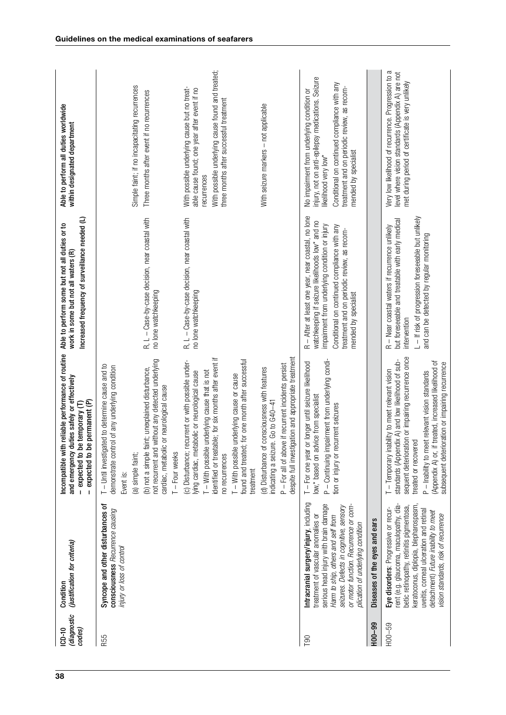| (diagnostic<br>$0 - 10$<br>codes) | (justification for criteria)<br>Condition                                                                                                                                                                                                                                                     | reliable performance of routine<br>and emergency duties safely or effectively<br>permanent (P)<br>$-$ expected to be temporary $(T)$<br>Incompatible with<br>- expected to be                                                                                                                                                                                      | Increased frequency of surveillance needed (L)<br>Able to perform some but not all duties or to<br>work in some but not all waters (R)                                                                                                                                         | Able to perform all duties worldwide<br>within designated department                                                                                                                                                                           |
|-----------------------------------|-----------------------------------------------------------------------------------------------------------------------------------------------------------------------------------------------------------------------------------------------------------------------------------------------|--------------------------------------------------------------------------------------------------------------------------------------------------------------------------------------------------------------------------------------------------------------------------------------------------------------------------------------------------------------------|--------------------------------------------------------------------------------------------------------------------------------------------------------------------------------------------------------------------------------------------------------------------------------|------------------------------------------------------------------------------------------------------------------------------------------------------------------------------------------------------------------------------------------------|
| R <sub>55</sub>                   | Syncope and other disturbances of<br>consciousness Recurrence causing<br>injury or loss of control                                                                                                                                                                                            | not recurrent and without any detected underlying<br>T - Until investigated to determine cause and to<br>demonstrate control of any underlying condition<br>(b) not a simple faint; unexplained disturbance,<br>or neurological cause<br>cardiac, metabolic<br>T - Four weeks<br>(a) simple faint;<br>Event is:                                                    | R, L - Case-by-case decision, near coastal with<br>no lone watchkeeping                                                                                                                                                                                                        | Simple faint; if no incapacitating recurrences<br>Three months after event if no recurrences                                                                                                                                                   |
|                                   |                                                                                                                                                                                                                                                                                               | identified or treatable; for six months after event if<br>for one month after successful<br>(c) Disturbance; recurrent or with possible under-<br>underlying cause that is not<br>lying cardiac, metabolic or neurological cause<br>underlying cause or cause<br>found and treated;<br>$I - W$ ith possible<br>$T - W$ ith possible<br>no recurrences<br>treatment | R, L - Case-by-case decision, near coastal with<br>no lone watchkeeping                                                                                                                                                                                                        | With possible underlying cause found and treated;<br>With possible underlying cause but no treat-<br>able cause found; one year after event if no<br>three months after successful treatment<br>recurrences                                    |
|                                   |                                                                                                                                                                                                                                                                                               | despite full investigation and appropriate treatment<br>P - For all of above if recurrent incidents persist<br>consciousness with features<br>indicating a seizure. Go to G40-41<br>(d) Disturbance of                                                                                                                                                             |                                                                                                                                                                                                                                                                                | With seizure markers - not applicable                                                                                                                                                                                                          |
| <b>DG1</b>                        | Intracranial surgery/injury, including<br>serious head injury with brain damage<br>or motor function. Recurrence or com-<br>seizures. Defects in cognitive, sensory<br>treatment of vascular anomalies or<br>Harm to ship, others and self from<br>plication of underlying condition          | pairment from underlying condi-<br>T - For one year or longer until seizure likelihood<br>low,* based on advice from specialist<br>tion or injury or recurrent seizures<br>P - Continuing im                                                                                                                                                                       | R - After at least one year, near coastal, no lone<br>watchkeeping if seizure likelihoods low* and no<br>impairment from underlying condition or injury<br>Conditional on continued compliance with any<br>treatment and on periodic review, as recom-<br>mended by specialist | injury, not on anti-epilepsy medications. Seizure<br>Conditional on continued compliance with any<br>treatment and on periodic review, as recom-<br>No impairment from underlying condition or<br>mended by specialist<br>likelihood very low* |
| H <sub>00</sub> -99               | Diseases of the eyes and ears                                                                                                                                                                                                                                                                 |                                                                                                                                                                                                                                                                                                                                                                    |                                                                                                                                                                                                                                                                                |                                                                                                                                                                                                                                                |
| H <sub>0</sub> 0-59               | rent (e.g. glaucoma, maculopathy, dia-<br>keratoconus, diplopia, blepharospasm<br>betic retinopathy, retinitis pigmentosa,<br>Eye disorders: Progressive or recur-<br>uveitis, corneal ulceration and retinal<br>detachment) Future inability to meet<br>vision standards, risk of recurrence | sequent deterioration or impairing recurrence once<br>standards (Appendix A) and low likelihood of sub-<br>(Appendix A) or, if treated, increased likelihood of<br>subsequent deterioration or impairing recurrence<br>T - Temporary inability to meet relevant vision<br>P - Inability to meet relevant vision standards<br>treated or recovered                  | L - If risk of progression foreseeable but unlikely<br>but foreseeable and treatable with early medical<br>R - Near coastal waters if recurrence unlikely<br>and can be detected by regular monitoring<br>intervention                                                         | Very low likelihood of recurrence. Progression to a<br>level where vision standards (Appendix A) are not<br>met during period of certificate is very unlikely                                                                                  |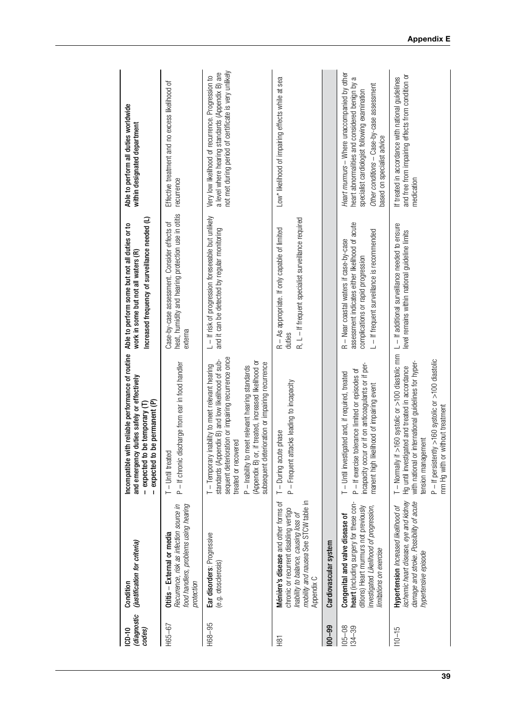| (diagnostic<br>$00 - 10$<br>codes) | (justification for criteria)<br>Condition                                                                                                                                                | reliable performance of routine<br>and emergency duties safely or effectively<br>permanent (P)<br>$-$ expected to be temporary $(T)$<br>Incompatible with<br>- expected to be                                                                                                                                                                          | Increased frequency of surveillance needed (L)<br>Able to perform some but not all duties or to<br>work in some but not all waters (R)                                          | Able to perform all duties worldwide<br>within designated department                                                                                                                                                        |
|------------------------------------|------------------------------------------------------------------------------------------------------------------------------------------------------------------------------------------|--------------------------------------------------------------------------------------------------------------------------------------------------------------------------------------------------------------------------------------------------------------------------------------------------------------------------------------------------------|---------------------------------------------------------------------------------------------------------------------------------------------------------------------------------|-----------------------------------------------------------------------------------------------------------------------------------------------------------------------------------------------------------------------------|
| H65-67                             | food handlers, problems using hearing<br>Recurrence, risk as infection source in<br>Otitis - External or media<br>protection                                                             | P - If chronic discharge from ear in food handler<br>T - Until treated                                                                                                                                                                                                                                                                                 | heat, humidity and hearing protection use in otitis<br>Case-by-case assessment. Consider effects of<br>externa                                                                  | Effective treatment and no excess likelihood of<br>recurrence                                                                                                                                                               |
| H68-95                             | Ear disorders: Progressive<br>(e.g. otosclerosis)                                                                                                                                        | sequent deterioration or impairing recurrence once<br>standards (Appendix B) and low likelihood of sub-<br>(Appendix B) or, if treated, increased likelihood or<br>oration or impairing recurrence<br>T-Temporary inability to meet relevant hearing<br>P - Inability to meet relevant hearing standards<br>treated or recovered<br>subsequent deteric | L - If risk of progression foreseeable but unlikely<br>and it can be detected by regular monitoring                                                                             | not met during period of certificate is very unlikely<br>a level where hearing standards (Appendix B) are<br>Very low likelihood of recurrence. Progression to                                                              |
| i<br>空                             | mobility and nausea See STCW table in<br>Ménière's disease and other forms of<br>chronic or recurrent disabling vertigo<br>Inability to balance, causing loss of<br>Appendix C           | P - Frequent attacks leading to incapacity<br>T - During acute phase                                                                                                                                                                                                                                                                                   | R, L - If frequent specialist surveillance required<br>R - As appropriate. If only capable of limited<br>duties                                                                 | Low* likelihood of impairing effects while at sea                                                                                                                                                                           |
| $66 - 00$                          | Cardiovascular system                                                                                                                                                                    |                                                                                                                                                                                                                                                                                                                                                        |                                                                                                                                                                                 |                                                                                                                                                                                                                             |
| $105 - 08$<br>$134 - 39$           | heart (including surgery for these con-<br>ditions) Heart murmurs not previously<br>nvestigated Likelihood of progression,<br>Congenital and valve disease of<br>limitations on exercise | incapacity occur or if on anticoagulants or if per-<br>P - If exercise tolerance limited or episodes of<br>T - Until investigated and, if required, treated<br>manent high likelihood of impairing event                                                                                                                                               | assessment indicates either likelihood of acute<br>L - If frequent surveillance is recommended<br>R - Near coastal waters if case-by-case<br>complications or rapid progression | Heart murmurs – Where unaccompanied by other<br>heart abnormalities and considered benign by a<br>Other conditions - Case-by-case assessment<br>specialist cardiologist following examination<br>based on specialist advice |
| $110 - 15$                         | ischemic heart disease, eye and kidney<br>damage and stroke. Possibility of acute<br>Hypertension Increased likelihood of<br>hypertensive episode                                        | 60 systolic or >100 diastolic mm<br>>160 systolic or >100 diastolic<br>with national or international guidelines for hyper-<br>Hg until investigated and treated in accordance<br>thout treatment<br>tension management<br>$T -$ Normally if $>1$<br>mm Hg with or wit<br>$P - If$ persistently                                                        | L - If additional surveillance needed to ensure<br>level remains within national guideline limits                                                                               | and free from impairing effects from condition or<br>If treated in accordance with national guidelines<br>medication                                                                                                        |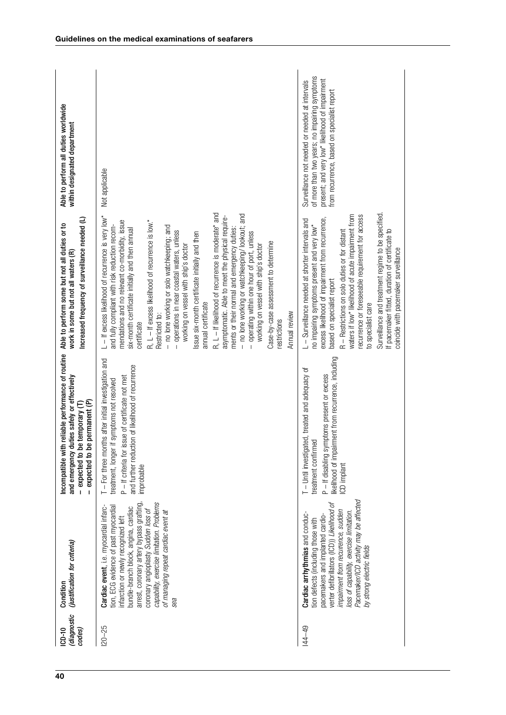| (diagnostic<br>$0 - 10$<br>codes) | (justification for criteria)<br>Condition                                                                                                                                                                                                                                                                                            | Incompatible with reliable performance of routine<br>duties safely or effectively<br>expected to be permanent (P)<br>$-$ expected to be temporary $\P$<br>and emergency<br>$\overline{1}$                                        | Increased frequency of surveillance needed (L)<br>Able to perform some but not all duties or to<br>work in some but not all waters (R)                                                                                                                                                                                                                                                                                                                                                                                                                                                                                                                                                                                                                                                                                                                                                     | Able to perform all duties worldwide<br>within designated department                                                                                                                              |
|-----------------------------------|--------------------------------------------------------------------------------------------------------------------------------------------------------------------------------------------------------------------------------------------------------------------------------------------------------------------------------------|----------------------------------------------------------------------------------------------------------------------------------------------------------------------------------------------------------------------------------|--------------------------------------------------------------------------------------------------------------------------------------------------------------------------------------------------------------------------------------------------------------------------------------------------------------------------------------------------------------------------------------------------------------------------------------------------------------------------------------------------------------------------------------------------------------------------------------------------------------------------------------------------------------------------------------------------------------------------------------------------------------------------------------------------------------------------------------------------------------------------------------------|---------------------------------------------------------------------------------------------------------------------------------------------------------------------------------------------------|
| $120 - 25$                        | capability, exercise limitation. Problems<br>arrest, coronary artery bypass grafting,<br>Cardiac event, i.e. myocardial infarc-<br>tion, ECG evidence of past myocardial<br>bundle-branch block, angina, cardiac<br>coronary angioplasty Sudden loss of<br>of managing repeat cardiac event at<br>nfarction or newly recognized left | T - For three months after initial investigation and<br>and further reduction of likelihood of recurrence<br>issue of certificate not met<br>if symptoms not resolved<br>treatment, longer<br>$P - H$ criteria for<br>improbable | R, L - If likelihood of recurrence is moderate* and<br>- no lone working or watchkeeping/ lookout; and<br>asymptomatic. Able to meet the physical require-<br>L – If excess likelihood of recurrence is very low*<br>mendations and no relevant co-morbidity, issue<br>R, L - If excess likelihood of recurrence is low.*<br>and fully compliant with risk reduction recom-<br>- no lone working or solo watchkeeping; and<br>ments or their normal and emergency duties:<br>six-month certificate initially and then annual<br>operations in near coastal waters, unless<br>Issue six-month certificate initially and then<br>- operating within one hour of port, unless<br>Case-by-case assessment to determine<br>working on vessel with ship's doctor<br>working on vessel with ship's doctor<br>annual certificate<br>Annual review<br>Restricted to:<br>restrictions<br>certificate | Not applicable                                                                                                                                                                                    |
| 144–49                            | Pacemaker/ICD activity may be affected<br>verter defibrillators (ICD)) Likelihood of<br>impairment from recurrence, sudden<br>loss of capability, exercise limitation.<br>Cardiac arrhythmias and conduc-<br>pacemakers and implanted cardio-<br>tion defects (including those with<br>by strong electric fields                     | likelihood of impairment from recurrence, including<br>T - Until investigated, treated and adequacy of<br>P - If disabling symptoms present or excess<br>treatment confirmed<br>ICD implant                                      | Surveillance and treatment regime to be specified.<br>waters if low* likelihood of acute impairment from<br>ecurrence or foreseeable requirement for access<br>excess likelihood of impairment from recurrence,<br>L - Surveillance needed at shorter intervals and<br>no impairing symptoms present and very low*<br>If pacemaker fitted, duration of certificate to<br>R - Restrictions on solo duties or for distant<br>coincide with pacemaker surveillance<br>based on specialist report<br>to specialist care                                                                                                                                                                                                                                                                                                                                                                        | of more than two years; no impairing symptoms<br>present; and very low* likelihood of impairment<br>Surveillance not needed or needed at intervals<br>from recurrence, based on specialist report |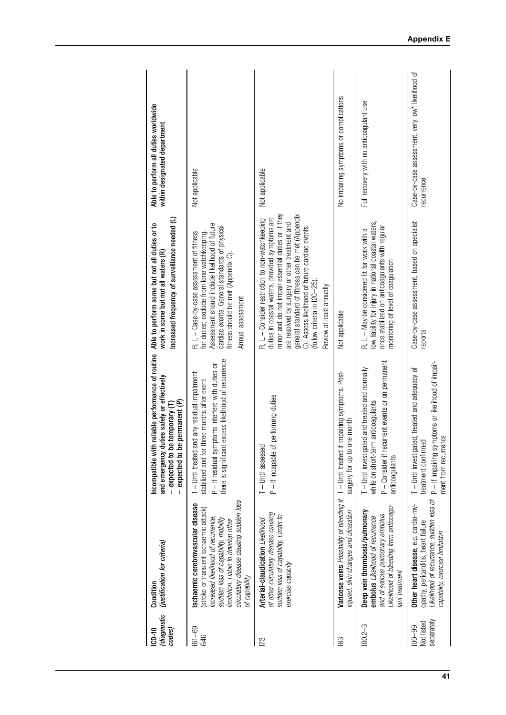| (diagnostic<br><b>ICD-10</b><br>codes) | (justification for criteria)<br>Condition                                                                                                                                                                                                                  | reliable performance of routine<br>and emergency duties safely or effectively<br>permanent (P)<br>temporary (T)<br>Incompatible with<br>- expected to be<br>- expected to be                                 | Increased frequency of surveillance needed (L)<br>Able to perform some but not all duties or to<br>work in some but not all waters (R)                                                                                                                                                                                                                                        | Able to perform all duties worldwide<br>within designated department |
|----------------------------------------|------------------------------------------------------------------------------------------------------------------------------------------------------------------------------------------------------------------------------------------------------------|--------------------------------------------------------------------------------------------------------------------------------------------------------------------------------------------------------------|-------------------------------------------------------------------------------------------------------------------------------------------------------------------------------------------------------------------------------------------------------------------------------------------------------------------------------------------------------------------------------|----------------------------------------------------------------------|
| $61 - 69$<br>G46                       | circulatory disease causing sudden loss<br>schaemic cerebrovascular disease<br>stroke or transient ischaemic attack)<br>Increased likelihood of recurrence,<br>sudden loss of capability, mobility<br>limitation. Liable to develop other<br>of capability | excess likelihood of recurrence<br>P - If residual symptoms interfere with duties or<br>T - Until treated and any residual impairment<br>stabilized and for three months after event<br>there is significant | Assessment should include likelihood of future<br>cardiac events. General standards of physical<br>for duties; exclude from lone watchkeeping.<br>R, L - Case-by-case assessment of fitness<br>fitness should be met (Appendix C).<br>Annual assessment                                                                                                                       | Not applicable                                                       |
| 173                                    | of other circulatory disease causing<br>sudden loss of capability. Limits to<br><b>Arterial-claudication</b> <i>Likelihood</i><br>exercise capacity                                                                                                        | P - If incapable of performing duties<br>T - Until assessed                                                                                                                                                  | minor and do not impair essential duties or if they<br>general standard of fitness can be met (Appendix<br>duties in coastal waters, provided symptoms are<br>R, L - Consider restriction to non-watchkeeping<br>are resolved by surgery or other treatment and<br>C). Assess likelihood of future cardiac events<br>(follow criteria in I20-25).<br>Review at least annually | Not applicable                                                       |
| 83                                     | injured, skin changes and ulceration                                                                                                                                                                                                                       | Varicose veins Possibility of bleeding if T - Until treated if impairing symptoms. Post-<br>surgery for up to one month                                                                                      | Not applicable                                                                                                                                                                                                                                                                                                                                                                | No impairing symptoms or complications                               |
| $80.2 - 3$                             | Likelihood of bleeding from anticoagu-<br>Deep vein thrombosis/pulmonary<br>and of serious pulmonary embolus<br>embolus Likelihood of recurrence<br>ant treatment                                                                                          | P - Consider if recurrent events or on permanent<br>T - Until investigated and treated and normally<br>while on short-term anticoagulants<br>anticoagulants                                                  | low liability for injury in national coastal waters,<br>once stabilized on anticoagulants with regular<br>R, L - May be considered fit for work with a<br>monitoring of level of coagulation                                                                                                                                                                                  | Full recovery with no anticoagulant use                              |
| separately<br>Not listed<br>$00 - 99$  | Likelihood of recurrence, sudden loss of<br>Other heart disease, e.g. cardio-my-<br>opathy, pericarditis, heart failure<br>capability, exercise limitation                                                                                                 | mptoms or likelihood of impair-<br>T - Until investigated, treated and adequacy of<br>ment from recurrence<br>treatment confirmed<br>$P - If$ impairing sy                                                   | Case-by-case assessment, based on specialist<br>reports                                                                                                                                                                                                                                                                                                                       | Case-by-case assessment, very low* likelihood of<br>recurrence       |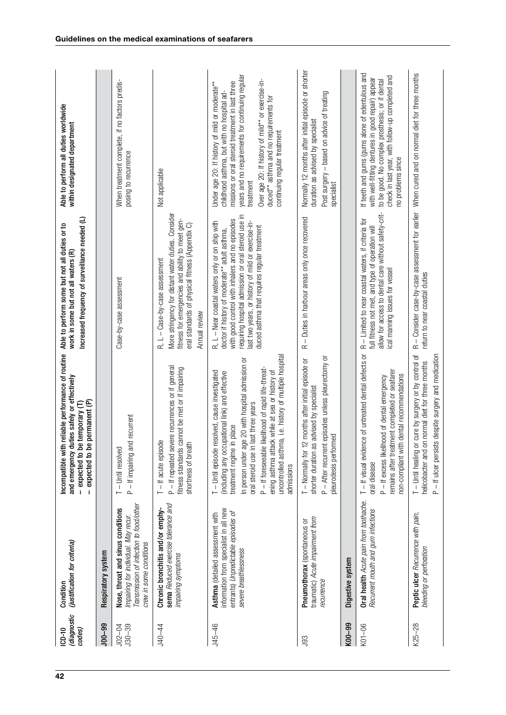| (diagnostic<br>$0 - 10$<br>codes) | (justification for criteria)<br>Condition                                                                                                       | Incompatible with reliable performance of routine<br>and emergency duties safely or effectively<br>- expected to be permanent (P)<br>$-$ expected to be temporary $(T)$                                                                                                                                                                                                                                       | Increased frequency of surveillance needed (L)<br>Able to perform some but not all duties or to<br>work in some but not all waters (R)                                                                                                                                                                          | Able to perform all duties worldwide<br>within designated department                                                                                                                                                                                                                                                                            |
|-----------------------------------|-------------------------------------------------------------------------------------------------------------------------------------------------|---------------------------------------------------------------------------------------------------------------------------------------------------------------------------------------------------------------------------------------------------------------------------------------------------------------------------------------------------------------------------------------------------------------|-----------------------------------------------------------------------------------------------------------------------------------------------------------------------------------------------------------------------------------------------------------------------------------------------------------------|-------------------------------------------------------------------------------------------------------------------------------------------------------------------------------------------------------------------------------------------------------------------------------------------------------------------------------------------------|
| $-900$                            | Respiratory system                                                                                                                              |                                                                                                                                                                                                                                                                                                                                                                                                               |                                                                                                                                                                                                                                                                                                                 |                                                                                                                                                                                                                                                                                                                                                 |
| $J02 - 04$<br>$J30 - 39$          | Transmission of infection to food/other<br>Nose, throat and sinus conditions<br>Impairing for individual. May recur.<br>crew in some conditions | P - If impairing and recurrent<br>T - Until resolved                                                                                                                                                                                                                                                                                                                                                          | Case-by-case assessment                                                                                                                                                                                                                                                                                         | When treatment complete, if no factors predis-<br>posing to recurrence                                                                                                                                                                                                                                                                          |
| $J40 - 44$                        | sema Reduced exercise tolerance and<br>Chronic bronchitis and/or emphy-<br>impairing symptoms                                                   | P - If repeated severe recurrences or if general<br>fitness standards cannot be met or if impairing<br>- If acute episode<br>shortness of breath                                                                                                                                                                                                                                                              | More stringency for distant water duties. Consider<br>fitness for emergencies and ability to meet gen-<br>eral standards of physical fitness (Appendix C)<br>R, L - Case-by-case assessment<br>Annual review                                                                                                    | Not applicable                                                                                                                                                                                                                                                                                                                                  |
| $J45 - 46$                        | information from specialist in all new<br>entrants) Unpredictable episodes of<br>Asthma (detailed assessment with<br>severe breathlessness      | uncontrolled asthma, i.e. history of multiple hospital<br>In person under age 20 with hospital admission or<br>P - If foreseeable likelihood of rapid life-threat-<br>T-Until episode resolved, cause investigated<br>ening asthma attack while at sea or history of<br>(including any occupational link) and effective<br>last three years<br>treatment regime in place<br>oral steroid use in<br>admissions | requiring hospital admission or oral steroid use in<br>with good control with inhalers and no episodes<br>ast two years, or history of mild or exercise-in-<br>R, L - Near coastal waters only or on ship with<br>duced asthma that requires regular treatment<br>doctor if history of moderate** adult asthma, | years and no requirements for continuing regular<br>Over age 20: If history of mild** or exercise-in-<br>missions or oral steroid treatment in last three<br>Under age 20: If history of mild or moderate**<br>childhood asthma, but with no hospital ad-<br>duced** asthma and no requirements for<br>continuing regular treatment<br>reatment |
| <b>J93</b>                        | traumatic) Acute impairment from<br>Pneumothorax (spontaneous or<br>recurrence                                                                  | P - After recurrent episodes unless pleurectomy or<br>T - Normally for 12 months after initial episode or<br>shorter duration as advised by specialist<br>pleurodesis performed                                                                                                                                                                                                                               | R - Duties in harbour areas only once recovered                                                                                                                                                                                                                                                                 | Normally 12 months after initial episode or shorter<br>Post surgery - based on advice of treating<br>duration as advised by specialist<br>specialist                                                                                                                                                                                            |
| K00-99                            | Digestive system                                                                                                                                |                                                                                                                                                                                                                                                                                                                                                                                                               |                                                                                                                                                                                                                                                                                                                 |                                                                                                                                                                                                                                                                                                                                                 |
| $K01 - 06$                        | <b>Oral health</b> Acute pain from toothache.<br>Recurrent mouth and gum infections                                                             | T-If visual evidence of untreated dental defects or<br>remains after treatment completed or seafarer<br>non-compliant with dental recommendations<br>P - If excess likelihood of dental emergency<br>oral disease                                                                                                                                                                                             | allow for access to dental care without safety-crit-<br>R - Limited to near coastal waters, if criteria for<br>full fitness not met, and type of operation will<br>cal manning issues for vessel                                                                                                                | If teeth and gums (gums alone of edentulous and<br>check in last year, with follow-up completed and<br>with well-fitting dentures in good repair) appear<br>to be good. No complex prosthesis; or if dental<br>no problems since                                                                                                                |
| K25-28                            | Peptic ulcer Recurrence with pain,<br>bleeding or perforation                                                                                   | P - If ulcer persists despite surgery and medication<br>T - Until healing or cure by surgery or by control of<br>helicobacter and on normal diet for three months                                                                                                                                                                                                                                             | R - Consider case-by-case assessment for earlier<br>retum to near coastal duties                                                                                                                                                                                                                                | When cured and on normal diet for three months                                                                                                                                                                                                                                                                                                  |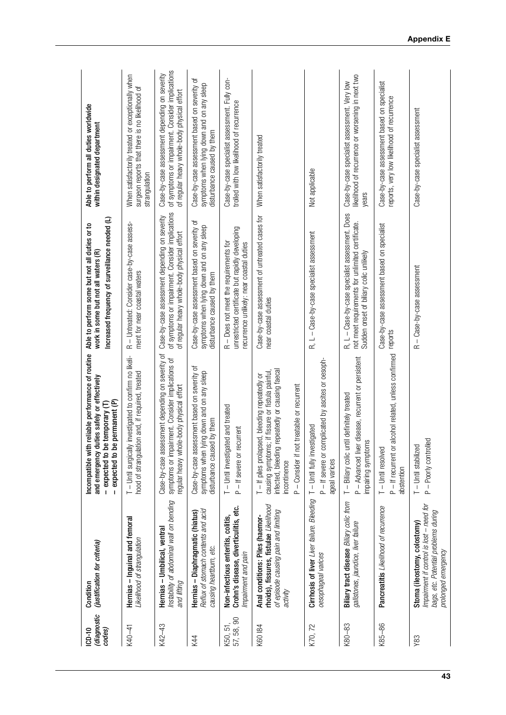| (diagnostic<br>$0 - 10$<br>codes) | (justification for criteria)<br>Condition                                                                                               | Incompatible with reliable performance of routine<br>and emergency duties safely or effectively<br>expected to be permanent (P)<br>- expected to be temporary (T<br>$\mathbf{I}$                                       | Increased frequency of surveillance needed (L)<br>Able to perform some but not all duties or to<br>work in some but not all waters (R)           | Able to perform all duties worldwide<br>within designated department                                                                             |
|-----------------------------------|-----------------------------------------------------------------------------------------------------------------------------------------|------------------------------------------------------------------------------------------------------------------------------------------------------------------------------------------------------------------------|--------------------------------------------------------------------------------------------------------------------------------------------------|--------------------------------------------------------------------------------------------------------------------------------------------------|
| K40-41                            | Hernias – Inguinal and femoral<br>Likelihood of strangulation                                                                           | ly investigated to confirm no likeli-<br>hood of strangulation and, if required, treated<br>$T -$ Until surgical                                                                                                       | R - Untreated: Consider case-by-case assess-<br>ment for near coastal waters                                                                     | When satisfactorily treated or exceptionally when<br>surgeon reports that there is no likelihood of<br>strangulation                             |
| K42-43                            | Instability of abdominal wall on bending<br>Hernias - Umbilical, ventral<br>puttil pue                                                  | Case-by-case assessment depending on severity of<br>symptoms or impairment. Consider implications of<br>regular heavy whole-body physical effort                                                                       | of symptoms or impairment. Consider implications<br>Case-by-case assessment depending on severity<br>of regular heavy whole-body physical effort | of symptoms or impairment. Consider implications<br>Case-by-case assessment depending on severity<br>of regular heavy whole-body physical effort |
| K44                               | Reflux of stomach contents and acid<br>Hernias – Diaphragmatic (hiatus)<br>causing heartburn, etc.                                      | Case-by-case assessment based on severity of<br>symptoms when lying down and on any sleep<br>disturbance caused by them                                                                                                | Case-by-case assessment based on severity of<br>symptoms when lying down and on any sleep<br>disturbance caused by them                          | Case-by-case assessment based on severity of<br>symptoms when lying down and on any sleep<br>disturbance caused by them                          |
| 57, 58, 90<br>K50, 51,            | Crohn's disease, diverticulitis, etc.<br>Non-infectious enteritis, colitis,<br>Impairment and pain                                      | T - Until investigated and treated<br>P - If severe or recurrent                                                                                                                                                       | unrestricted certificate but rapidly developing<br>R - Does not meet the requirements for<br>ecurrence unlikely: near coastal duties             | Case-by-case specialist assessment. Fully con-<br>trolled with low likelihood of recurrence                                                      |
| K60 184                           | rhoids), fissures, fistulae Likelihood<br>of episode causing pain and limiting<br>Anal conditions: Piles (haemor-<br>activity           | repeatedly or causing faecal<br>causing symptoms; if fissure or fistula painful,<br>T - If piles prolapsed, bleeding repeatedly or<br>P - Consider if not treatable or recurrent<br>infected, bleeding<br>incontinence | Case-by-case assessment of untreated cases for<br>near coastal duties                                                                            | When satisfactorily treated                                                                                                                      |
| K70, 72                           | Cirrhosis of liver Liver failure. Bleeding<br>oesophageal varices                                                                       | P – If severe or complicated by ascites or oesoph-<br>T - Until fully investigated<br>ageal varices                                                                                                                    | R, L - Case-by-case specialist assessment                                                                                                        | Not applicable                                                                                                                                   |
| K80-83                            | Biliary tract disease Biliary colic from<br>gallstones, jaundice, liver failure                                                         | P - Advanced liver disease, recurrent or persistent<br>T - Biliary colic until definitely treated<br>impairing symptoms                                                                                                | R, L - Case-by-case specialist assessment. Does<br>not meet requirements for unlimited certificate.<br>Sudden onset of biliary colic unlikely    | ikelihood of recurrence or worsening in next two<br>Case-by-case specialist assessment. Very low<br>years                                        |
| K85-86                            | Pancreatitis Likelihood of recurrence                                                                                                   | alcohol related, unless confirmed<br>$P - If recurrent or$<br>$T -$ Until resolved<br>abstention                                                                                                                       | Case-by-case assessment based on specialist<br>reports                                                                                           | Case-by-case assessment based on specialist<br>eports, very low likelihood of recurrence                                                         |
| Y83                               | Impairment if control is lost – need for<br>bags, etc. Potential problems during<br>Stoma (ileostomy, colostomy)<br>prolonged emergency | P - Poorly controlled<br>T-Until stabilized                                                                                                                                                                            | R - Case-by-case assessment                                                                                                                      | Case-by-case specialist assessment                                                                                                               |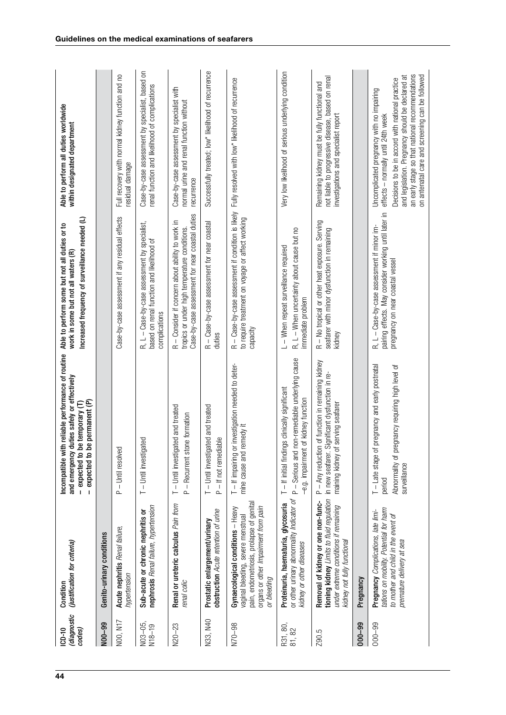| (diagnostic<br>$0 - 10$<br>codes) | (justification for criteria)<br>Condition                                                                                                                                  | Incompatible with reliable performance of routine<br>and emergency duties safely or effectively<br>expected to be permanent (P)<br>$-$ expected to be temporary $(T)$<br>$\overline{1}$ | Increased frequency of surveillance needed (L)<br>Able to perform some but not all duties or to<br>work in some but not all waters (R)               | Able to perform all duties worldwide<br>within designated department                                                                                                                                                                                                                          |
|-----------------------------------|----------------------------------------------------------------------------------------------------------------------------------------------------------------------------|-----------------------------------------------------------------------------------------------------------------------------------------------------------------------------------------|------------------------------------------------------------------------------------------------------------------------------------------------------|-----------------------------------------------------------------------------------------------------------------------------------------------------------------------------------------------------------------------------------------------------------------------------------------------|
| N00-99                            | Genito-urinary conditions                                                                                                                                                  |                                                                                                                                                                                         |                                                                                                                                                      |                                                                                                                                                                                                                                                                                               |
| NOO, N17                          | Acute nephritis Renal failure,<br>hypertension                                                                                                                             | P - Until resolved                                                                                                                                                                      | Case-by-case assessment if any residual effects                                                                                                      | Full recovery with normal kidney function and no<br>residual damage                                                                                                                                                                                                                           |
| N03-05,<br>$N18 - 19$             | nephrosis Renal failure, hypertension<br>Sub-acute or chronic nephritis or                                                                                                 | T - Until investigated                                                                                                                                                                  | R, L - Case-by-case assessment by specialist,<br>based on renal function and likelihood of<br>complications                                          | Case-by-case assessment by specialist, based on<br>renal function and likelihood of complications                                                                                                                                                                                             |
| $N20 - 23$                        | Renal or ureteric calculus Pain from<br>renal colic                                                                                                                        | T-Until investigated and treated<br>P - Recurrent stone formation                                                                                                                       | Case-by-case assessment for near coastal duties<br>R - Consider if concern about ability to work in<br>tropics or under high temperature conditions. | Case-by-case assessment by specialist with<br>normal urine and renal function without<br>recurrence                                                                                                                                                                                           |
| N33, N40                          | obstruction Acute retention of urine<br>Prostatic enlargement/urinary                                                                                                      | T-Until investigated and treated<br>P - If not remediable                                                                                                                               | R - Case-by-case assessment for near coastal<br>duties                                                                                               | Successfully treated; low* likelihood of recurrence                                                                                                                                                                                                                                           |
| N70-98                            | pain, endometriosis, prolapse of genital<br>organs or other Impairment from pain<br>Gynaecological conditions - Heavy<br>vaginal bleeding, severe menstrual<br>or bleeding | T - If impairing or investigation needed to deter-<br>mine cause and remedy it                                                                                                          | R - Case-by-case assessment if condition is likely<br>to require treatment on voyage or affect working<br>capacity                                   | Fully resolved with low* likelihood of recurrence                                                                                                                                                                                                                                             |
| R31, 80,<br>81, 82                | or other urinary abnormality Indicator of<br>Proteinuria, haematuria, glycosuria<br>kidney or other diseases                                                               | non-remediable underlying cause<br>T - If initial findings clinically significant<br>of kidney function<br>-e.g. impairment<br>$P -$ Serious and $I$                                    | R, L - When uncertainty about cause but no<br>L - When repeat surveillance required<br>immediate problem                                             | Very low likelihood of serious underlying condition                                                                                                                                                                                                                                           |
| Z90.5                             | tioning kidney Limits to fluid regulation<br>Removal of kidney or one non-func-<br>under extreme conditions if remaining<br>kidney not fully functional                    | P – Any reduction of function in remaining kidney<br>in new seafarer. Significant dysfunction in re-<br>serving seafarer<br>maining kidney of                                           | R - No tropical or other heat exposure. Serving<br>seafarer with minor dysfunction in remaining<br>kidney                                            | not liable to progressive disease, based on renal<br>Remaining kidney must be fully functional and<br>nvestigations and specialist report                                                                                                                                                     |
| $66 - 000$                        | Pregnancy                                                                                                                                                                  |                                                                                                                                                                                         |                                                                                                                                                      |                                                                                                                                                                                                                                                                                               |
| $000 - 99$                        | tations on mobility. Potential for harm<br>Pregnancy Complications, late limi-<br>to mother and child in the event of<br>premature delivery at sea                         | pregnancy and early postnatal<br>Abnormality of pregnancy requiring high level of<br>$T -$ Late stage of<br>surveillance<br>period                                                      | pairing effects. May consider working until later in<br>R, L - Case-by-case assessment if minor im-<br>pregnancy on near coastal vessel              | an early stage so that national recommendations<br>on antenatal care and screening can be followed<br>and legislation. Pregnancy should be declared at<br>Decisions to be in accord with national practice<br>Uncomplicated pregnancy with no impairing<br>effects - normally until 24th week |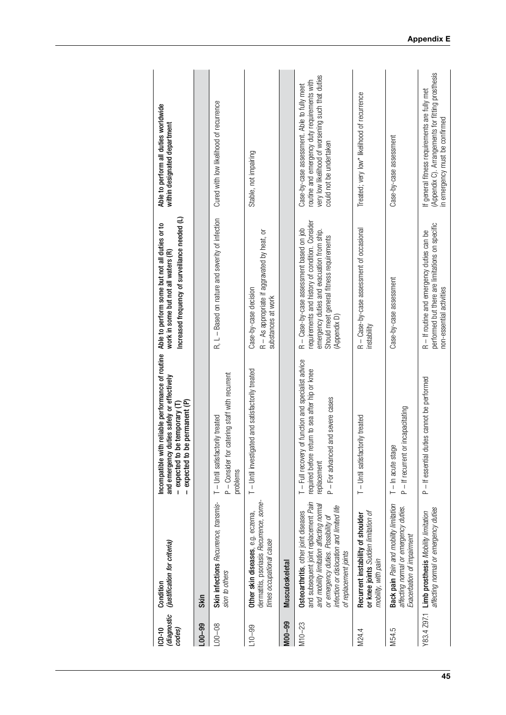| diagnostic<br><b>CD-10</b><br>codes) | (justification for criteria)<br>Condition                                                                                                                                                                                                     | I reliable performance of routine<br>and emergency duties safely or effectively<br>- expected to be permanent (P)<br>- expected to be temporary (T<br>Incompatible with | Increased frequency of surveillance needed (L)<br>Able to perform some but not all duties or to<br>work in some but not all waters (R)                                                                | Able to perform all duties worldwide<br>within designated department                                                                                                        |
|--------------------------------------|-----------------------------------------------------------------------------------------------------------------------------------------------------------------------------------------------------------------------------------------------|-------------------------------------------------------------------------------------------------------------------------------------------------------------------------|-------------------------------------------------------------------------------------------------------------------------------------------------------------------------------------------------------|-----------------------------------------------------------------------------------------------------------------------------------------------------------------------------|
| $-90$                                | Skin                                                                                                                                                                                                                                          |                                                                                                                                                                         |                                                                                                                                                                                                       |                                                                                                                                                                             |
| $100 - 08$                           | Skin infections Recurrence, transmis-<br>sion to others                                                                                                                                                                                       | P - Consider for catering staff with recurrent<br>T-Until satisfactorily treated<br>problems                                                                            | R, L - Based on nature and severity of infection                                                                                                                                                      | Cured with low likelihood of recurrence                                                                                                                                     |
| $U10 - 99$                           | dermatitis, psoriasis Recurrence, some-<br>Other skin diseases, e.g. eczema,<br>times occupational cause                                                                                                                                      | T - Until investigated and satisfactorily treated                                                                                                                       | R - As appropriate if aggravated by heat, or<br>Case-by-case decision<br>substances at work                                                                                                           | Stable, not impairing                                                                                                                                                       |
| $M_{00} - 99$                        | Musculoskeletal                                                                                                                                                                                                                               |                                                                                                                                                                         |                                                                                                                                                                                                       |                                                                                                                                                                             |
| $M10 - 23$                           | and subsequent joint replacement Pain<br>and mobility limitation affecting normal<br>infection or dislocation and limited life<br><b>Osteoarthritis, other joint diseases</b><br>or emergency duties. Possibility of<br>of replacement joints | T - Full recovery of function and specialist advice<br>required before return to sea after hip or knee<br>and severe cases<br>$P - For advanced$<br>replacement         | requirements and history of condition. Consider<br>R - Case-by-case assessment based on job<br>emergency duties and evacuation from ship.<br>Should meet general fitness requirements<br>(Appendix D) | very low likelihood of worsening such that duties<br>routine and emergency duty requirements with<br>Case-by-case assessment. Able to fully meet<br>could not be undertaken |
| M24.4                                | or knee joints Sudden limitation of<br>Recurrent instability of shoulder<br>mobility, with pain                                                                                                                                               | T-Until satisfactorily treated                                                                                                                                          | R - Case-by-case assessment of occasional<br>instability                                                                                                                                              | Treated; very low* likelihood of recurrence                                                                                                                                 |
| M54.5                                | <b>Back pain</b> Pain and mobility limitation<br>affecting normal or emergency duties.<br>Exacerbation of impaiment                                                                                                                           | incapacitating<br>$T - \ln$ acute stage<br>$P - H$ recurrent or                                                                                                         | Case-by-case assessment                                                                                                                                                                               | Case-by-case assessment                                                                                                                                                     |
| Y83.4 Z97.1                          | affecting normal or emergency duties<br>Limb prosthesis Mobility limitation                                                                                                                                                                   | P – If essential duties cannot be performed                                                                                                                             | performed but there are limitations on specific<br>R - If routine and emergency duties can be<br>non-essential activities                                                                             | (Appendix C). Arrangements for fitting prosthesis<br>If general fitness requirements are fully met<br>in emergency must be confirmed                                        |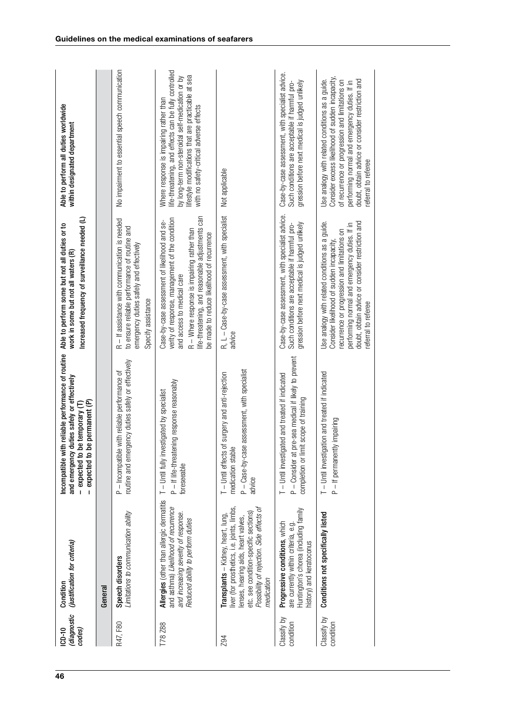| (diagnostic<br><b>ICD-10</b><br>codes) | (justification for criteria)<br>Condition                                                                                                                                                                                   | reliable performance of routine<br>ities safely or effectively<br>permanent (P)<br>temporary (T)<br>- expected to be<br>expected to be<br>Incompatible with<br>and emergency du | Increased frequency of surveillance needed (L)<br>Able to perform some but not all duties or to<br>work in some but not all waters (R)                                                                                                                                          | Able to perform all duties worldwide<br>within designated department                                                                                                                                                                                                               |
|----------------------------------------|-----------------------------------------------------------------------------------------------------------------------------------------------------------------------------------------------------------------------------|---------------------------------------------------------------------------------------------------------------------------------------------------------------------------------|---------------------------------------------------------------------------------------------------------------------------------------------------------------------------------------------------------------------------------------------------------------------------------|------------------------------------------------------------------------------------------------------------------------------------------------------------------------------------------------------------------------------------------------------------------------------------|
|                                        | General                                                                                                                                                                                                                     |                                                                                                                                                                                 |                                                                                                                                                                                                                                                                                 |                                                                                                                                                                                                                                                                                    |
| R47, F80                               | Limitations to communication ability<br>Speech disorders                                                                                                                                                                    | routine and emergency duties safely or effectively<br>ith reliable performance of<br>P - Incompatible w                                                                         | - If assistance with communication is needed<br>to ensure reliable performance of routine and<br>emergency duties safely and effectively<br>Specify assistance<br>$\approx$                                                                                                     | No impairment to essential speech communication                                                                                                                                                                                                                                    |
| T78 Z88                                | <b>Allergies</b> (other than allergic dermatitis<br>and asthma) Likelihood of recurrence<br>and increasing severity of response.<br>Reduced ability to perform duties                                                       | ng response reasonably<br>T - Until fully investigated by specialist<br>$P - H$ life-threateni<br>foreseeable                                                                   | life-threatening, and reasonable adjustments can<br>verity of response, management of the condition<br>Case-by-case assessment of likelihood and se-<br>R - Where response is impairing rather than<br>be made to reduce likelihood of recurrence<br>and access to medical care | life-threatening, and effects can be fully controlled<br>lifestyle modifications that are practicable at sea<br>by long-term non-steroidal self-medication or by<br>Where response is impairing rather than<br>with no safety-critical adverse effects                             |
| 294                                    | liver (for prosthetics, i.e. joints, limbs,<br>Possibility of rejection. Side effects of<br>etc. see condition-specific sections)<br>Transplants - Kidney, heart, lung<br>lenses, hearing aids, heart valves,<br>medication | assessment, with specialist<br>surgery and anti-rejection<br>T-Until effects of<br>$P - Case-by-case$<br>medication stable<br>advice                                            | R, L - Case-by-case assessment, with specialist<br>advice                                                                                                                                                                                                                       | Not applicable                                                                                                                                                                                                                                                                     |
| Classify by<br>condition               | Huntington's chorea (including family<br>Progressive conditions, which<br>are currently within criteria, e.g.<br>history) and keratoconus                                                                                   | P - Consider at pre-sea medical if likely to prevent<br>T - Until investigated and treated if indicated<br>completion or limit scope of training                                | Case-by-case assessment, with specialist advice.<br>Such conditions are acceptable if harmful pro-<br>gression before next medical is judged unlikely                                                                                                                           | Case-by-case assessment, with specialist advice.<br>gression before next medical is judged unlikely<br>Such conditions are acceptable if harmful pro-                                                                                                                              |
| Classify by<br>condition               | Conditions not specifically listed                                                                                                                                                                                          | T-Until investigation and treated if indicated<br>impairing<br>P - If permanently                                                                                               | doubt, obtain advice or consider restriction and<br>Use analogy with related conditions as a guide.<br>performing normal and emergency duties. If in<br>recurrence or progression and limitations on<br>Consider likelihood of sudden incapacity,<br>eferral to referee         | Consider excess likelihood of sudden incapacity,<br>Use analogy with related conditions as a guide.<br>doubt, obtain advice or consider restriction and<br>of recurrence or progression and limitations on<br>performing normal and emergency duties. If in<br>referral to referee |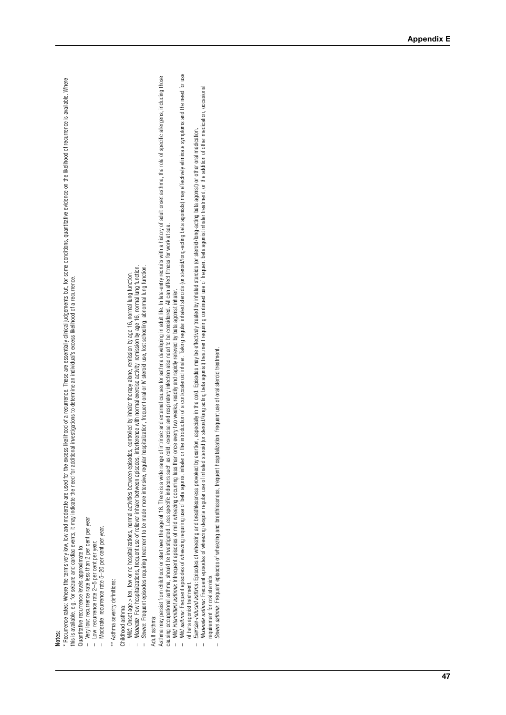r Recurrence rates: Where the terms very low, noderate and used for the excess likelihood of a recurrence. These are essentially clinical judgements but, for some conditions, quantitative evidence on the likelihood of recu Recurrence rates: Where the terms very low, low and moderate are used for the evoses likelihood of a recurrence. These are essentially clinical judgements but, for some conditions, quantitative evidence on the likelihood o this is available, e.g. for seizure and cardiac events, it may indicate the need for additional investigations to determine an individual's excess likelihood of a recurrence. this is available, e.g. for seizure and cardiac events, it may indicate the need for additional investigations to determine an individual's excess likelihood of a recurrence.

Quantitative recurrence levels approximate to: Quantitative recurrence levels approximate to:

- Very low: recurrence rate less than 2 per cent per year; – Very low: recurrence rate less than 2 per cent per year;
	- Low: recurrence rate 2-5 per cent per year; – Low: recurrence rate 2–5 per cent per year;
- Moderate: recurrence rate 5-20 per cent per year. – Moderate: recurrence rate 5–20 per cent per year.
- \*\* Asthma severity definitions: \*\* Asthma severity definitions:

Childhood asthma: Childhood asthma:

- Mild: Onset age >ten, few or no hospitalizations, normal activities between episodes, controlled by inhaler therapy alone, remission by age 16, normal lung function. – *Mild*: Onset age >ten, few or no hospitalizations, normal activities between episodes, controlled by inhaler therapy alone, remission by age 16, normal lung function.
- *Moderate:* Few hospitalizations, frequent use of reliever inhaler between episodes, interference with normal exercise activity, remission by age 16, normal lung function.<br>*Severe:* Frequent episodes requiring treatment to – *Moderate*: Few hospitalizations, frequent use of reliever inhaler between episodes, interference with normal exercise activity, remission by age 16, normal lung function.
	- *Severe*: Frequent episodes requiring treatment to be made more intensive, regular hospitalization, frequent oral or IV steroid use, lost schooling, abnormal lung function.

Adult asthma: Adult asthma:

- Astima may persist from childhood or start over the age of 16. There is a wide range cample cause at the causes for asthma developing in adult life. In late-entry recruits with a history of adult onset asthma, the role of Asthma may persist from childhood or start over the age of 16. There is a wide range of intrinsic and external causes for asthma developing in adult life. In Inte-entry recruits with a history of adult onset asthma, the ro causing occupational asthma, should be investigated. Less specific inducers such as cold, exercise and respiratory infection also need to be considered. All can affect fitness for work at sea.<br>— Mild intermittent asthma: I causing occupational asthma, should be investigated. Less specific inducers such as cold, exercise and respiratory infection also need to be considered. All can affect fitness for work at sea.
	- *Mild intermittent asthma*: Infrequent episodes of mild wheezing occurring less than once every two weeks, readily and rapidly relieved by beta agonist inhaler.
- Mid astima: Frequent episodes of wheezing nequiring use of beta agonist inhaler or the introduction of a corticosteroid inhaler. Taking regular inhaled steroids (or steroid/long-acting beta agonists) may effectively eli  $-$  Mild astimar. Frequent enjoycies of wheezing requiring use of beta agonist inhaler or the introduction of a corticosteroid inhaler. Taking regular inhaled steroid (or steroid/long-acting beta agonists) may effectively of beta agonist treatment. of beta agonist treatment.
	- Exercise-induced asthma: Episodes of wheezing and breathlessness provoked by exercion, especially in the cold. Episodes may be effectively treated by inhaled steroids (or steroid/long-acting beta agonist) or other oral med - *Exercise-induced* asthma: Episodes of wheezing and breathlessness provoked by exertion, especially in the cold. Episodes may be effectively treated by inhaled steroids (or steroid/long-acting beta agonist) or other oral  $\overline{1}$  $\overline{1}$
- Moderate asthma: Frequent episodes of wheezing despite regular use of inhaled steroid (or steroid (or steroid long acting peta agonist) treatment use of frequent beta agonist inhaler treatment, or the addition of other m Moderate asthma: Frequent episodes of wheezing despite regular use of inhaled steroid (or steroid/long acting beta agonist) treatment use of frequent beta agonist inhaler treatment, or the addition of other medication, occ requirement for oral steroids. requirement for oral steroids.
	- Severe asthma: Frequent episodes of wheezing and breathlessness, frequent hospitalization, frequent use of oral steroid treatment. – *Severe asthma*: Frequent episodes of wheezing and breathlessness, frequent hospitalization, frequent use of oral steroid treatment. $\overline{1}$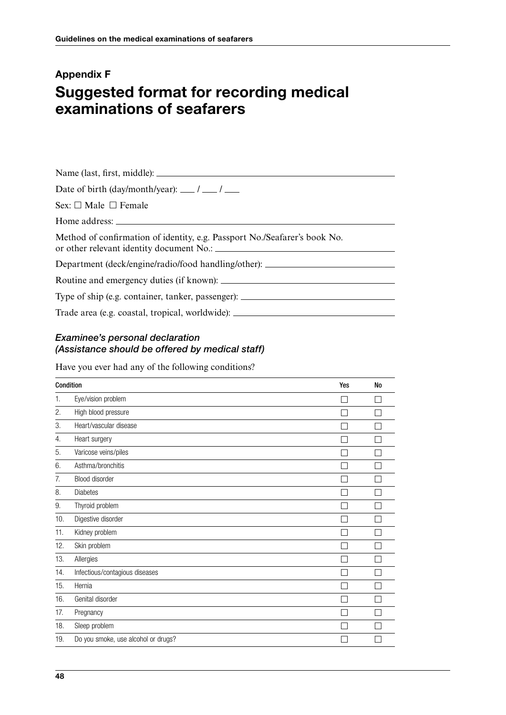# **Appendix F Suggested format for recording medical examinations of seafarers**

| Date of birth (day/month/year): $\frac{\ }{\ }$ / $\frac{\ }{\ }$                |
|----------------------------------------------------------------------------------|
| Sex: $\square$ Male $\square$ Female                                             |
|                                                                                  |
| Method of confirmation of identity, e.g. Passport No./Seafarer's book No.        |
| Department (deck/engine/radio/food handling/other): ____________________________ |
|                                                                                  |
| Type of ship (e.g. container, tanker, passenger): ______________________________ |
| Trade area (e.g. coastal, tropical, worldwide): ________________________________ |
|                                                                                  |

### *Examinee's personal declaration (Assistance should be offered by medical staff)*

#### Have you ever had any of the following conditions?

| Condition |                                     | Yes | <b>No</b> |
|-----------|-------------------------------------|-----|-----------|
| 1.        | Eye/vision problem                  |     |           |
| 2.        | High blood pressure                 |     |           |
| 3.        | Heart/vascular disease              |     |           |
| 4.        | Heart surgery                       |     |           |
| 5.        | Varicose veins/piles                |     |           |
| 6.        | Asthma/bronchitis                   |     |           |
| 7.        | Blood disorder                      |     |           |
| 8.        | <b>Diabetes</b>                     |     |           |
| 9.        | Thyroid problem                     |     |           |
| 10.       | Digestive disorder                  |     |           |
| 11.       | Kidney problem                      |     |           |
| 12.       | Skin problem                        |     |           |
| 13.       | Allergies                           | П   |           |
| 14.       | Infectious/contagious diseases      |     |           |
| 15.       | Hernia                              |     |           |
| 16.       | Genital disorder                    |     |           |
| 17.       | Pregnancy                           |     |           |
| 18.       | Sleep problem                       |     |           |
| 19.       | Do you smoke, use alcohol or drugs? |     |           |
|           |                                     |     |           |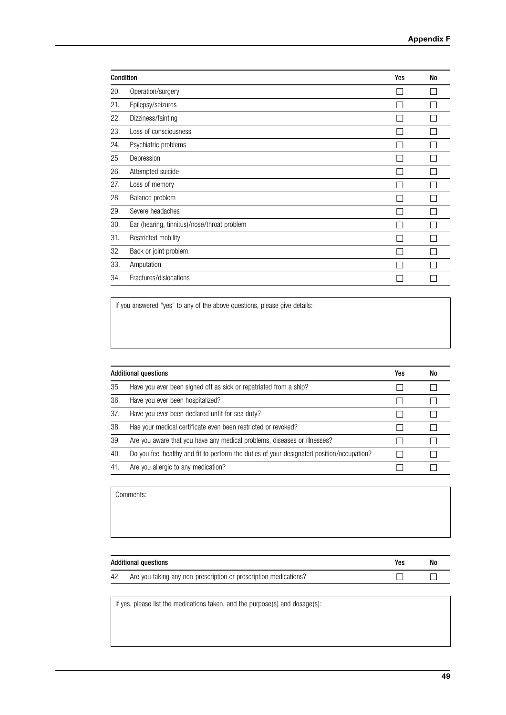| <b>Condition</b> |                                             | Yes | No |
|------------------|---------------------------------------------|-----|----|
| 20.              | Operation/surgery                           |     |    |
| 21.              | Epilepsy/seizures                           |     |    |
| 22.              | Dizziness/fainting                          |     |    |
| 23.              | Loss of consciousness                       |     |    |
| 24.              | Psychiatric problems                        |     |    |
| 25.              | Depression                                  |     |    |
| 26.              | Attempted suicide                           |     |    |
| 27.              | Loss of memory                              |     |    |
| 28.              | Balance problem                             |     |    |
| 29.              | Severe headaches                            |     |    |
| 30.              | Ear (hearing, tinnitus)/nose/throat problem |     |    |
| 31.              | Restricted mobility                         |     |    |
| 32.              | Back or joint problem                       |     |    |
| 33.              | Amputation                                  |     |    |
| 34.              | Fractures/dislocations                      |     |    |

If you answered "yes" to any of the above questions, please give details:

|     | <b>Additional questions</b>                                                               | Yes | No |
|-----|-------------------------------------------------------------------------------------------|-----|----|
| 35. | Have you ever been signed off as sick or repatriated from a ship?                         |     |    |
| 36. | Have you ever been hospitalized?                                                          |     |    |
| 37. | Have you ever been declared unfit for sea duty?                                           |     |    |
| 38. | Has your medical certificate even been restricted or revoked?                             |     |    |
| 39. | Are you aware that you have any medical problems, diseases or illnesses?                  |     |    |
| 40. | Do you feel healthy and fit to perform the duties of your designated position/occupation? |     |    |
| 41. | Are you allergic to any medication?                                                       |     |    |

Comments:

| Additional questions                                                 | Yes | No |
|----------------------------------------------------------------------|-----|----|
| 42. Are you taking any non-prescription or prescription medications? |     |    |

If yes, please list the medications taken, and the purpose(s) and dosage(s):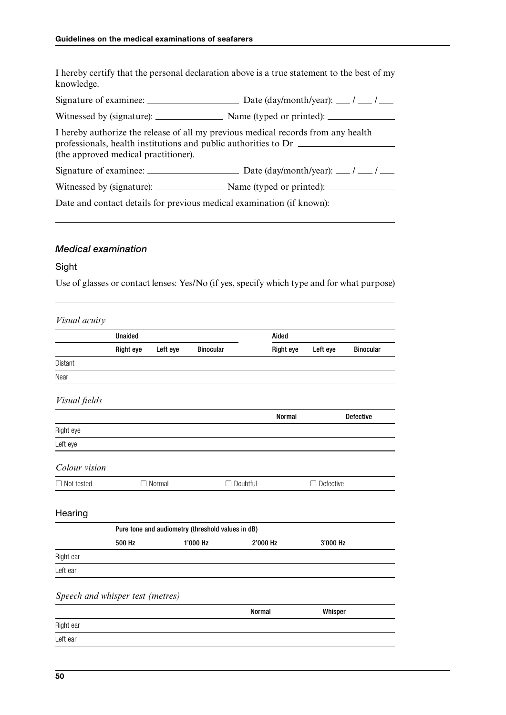I hereby certify that the personal declaration above is a true statement to the best of my knowledge.

Signature of examinee:  $\frac{1}{2}$  Date (day/month/year):  $\frac{1}{2}$  /  $\frac{1}{2}$ 

Witnessed by (signature): Name (typed or printed): \_\_\_\_\_\_\_\_\_\_\_\_\_\_\_\_\_\_\_\_\_\_\_\_\_\_\_\_\_\_

I hereby authorize the release of all my previous medical records from any health professionals, health institutions and public authorities to Dr (the approved medical practitioner).

Signature of examinee:  $\Box$  Date (day/month/year):  $\Box$  /  $\Box$ 

Witnessed by (signature): Name (typed or printed): \_\_\_\_\_\_\_\_\_\_\_\_\_\_\_\_\_\_\_\_\_\_\_\_\_\_\_\_\_\_

Date and contact details for previous medical examination (if known):

#### *Medical examination*

#### **Sight**

Use of glasses or contact lenses: Yes/No (if yes, specify which type and for what purpose)

| Visual acuity                    |                  |               |                                                   |                  |                  |                  |
|----------------------------------|------------------|---------------|---------------------------------------------------|------------------|------------------|------------------|
|                                  | <b>Unaided</b>   |               |                                                   | Aided            |                  |                  |
|                                  | <b>Right eye</b> | Left eye      | <b>Binocular</b>                                  | <b>Right eye</b> | Left eye         | <b>Binocular</b> |
| <b>Distant</b>                   |                  |               |                                                   |                  |                  |                  |
| Near                             |                  |               |                                                   |                  |                  |                  |
| Visual fields                    |                  |               |                                                   |                  |                  |                  |
|                                  |                  |               |                                                   | Normal           |                  | <b>Defective</b> |
| Right eye                        |                  |               |                                                   |                  |                  |                  |
| Left eye                         |                  |               |                                                   |                  |                  |                  |
| Colour vision                    |                  |               |                                                   |                  |                  |                  |
| $\Box$ Not tested                |                  | $\Box$ Normal |                                                   | $\Box$ Doubtful  | $\Box$ Defective |                  |
| Hearing                          |                  |               |                                                   |                  |                  |                  |
|                                  |                  |               | Pure tone and audiometry (threshold values in dB) |                  |                  |                  |
|                                  | 500 Hz           |               | 1'000 Hz                                          | 2'000 Hz         | 3'000 Hz         |                  |
| Right ear                        |                  |               |                                                   |                  |                  |                  |
| Left ear                         |                  |               |                                                   |                  |                  |                  |
| Speech and whisper test (metres) |                  |               |                                                   |                  |                  |                  |
|                                  |                  |               |                                                   | Normal           | Whisper          |                  |
| Right ear                        |                  |               |                                                   |                  |                  |                  |
| Left ear                         |                  |               |                                                   |                  |                  |                  |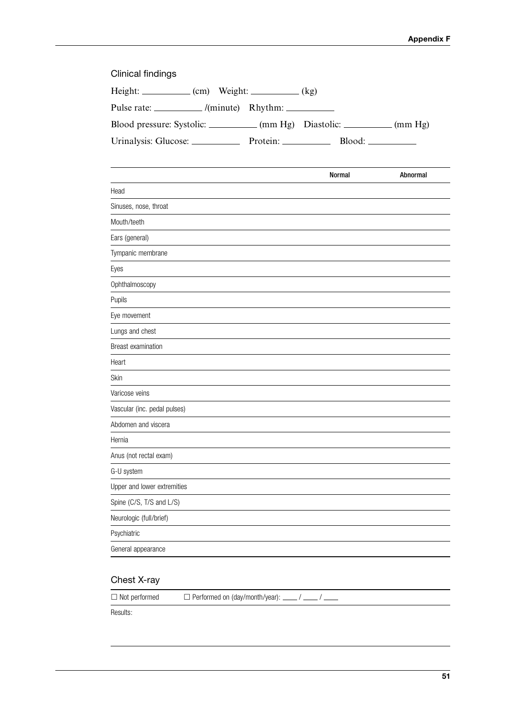| <b>Clinical findings</b>                                               |  |               |          |
|------------------------------------------------------------------------|--|---------------|----------|
| Height: ___________ (cm) Weight: __________ (kg)                       |  |               |          |
| Pulse rate: ___________ /(minute) Rhythm: __________                   |  |               |          |
| Blood pressure: Systolic: _________ (mm Hg) Diastolic: _______ (mm Hg) |  |               |          |
| Urinalysis: Glucose: Protein: Blood: Blood:                            |  |               |          |
|                                                                        |  |               |          |
|                                                                        |  | <b>Normal</b> | Abnormal |
| Head                                                                   |  |               |          |
| Sinuses, nose, throat                                                  |  |               |          |
| Mouth/teeth                                                            |  |               |          |
| Ears (general)                                                         |  |               |          |
| Tympanic membrane                                                      |  |               |          |
| Eyes                                                                   |  |               |          |
| Ophthalmoscopy                                                         |  |               |          |
| Pupils                                                                 |  |               |          |
| Eye movement                                                           |  |               |          |
| Lungs and chest                                                        |  |               |          |
| Breast examination                                                     |  |               |          |
| Heart                                                                  |  |               |          |
| Skin                                                                   |  |               |          |
| Varicose veins                                                         |  |               |          |
| Vascular (inc. pedal pulses)                                           |  |               |          |
| Abdomen and viscera                                                    |  |               |          |
| Hernia                                                                 |  |               |          |
| Anus (not rectal exam)                                                 |  |               |          |
| G-U system                                                             |  |               |          |
| Upper and lower extremities                                            |  |               |          |
| Spine (C/S, T/S and L/S)                                               |  |               |          |
| Neurologic (full/brief)                                                |  |               |          |
| Psychiatric                                                            |  |               |          |
| General appearance                                                     |  |               |          |

# Chest X-ray

 $\Box$  Not performed  $\Box$  Performed on (day/month/year):  $\Box$ / $\Box$ /

Results: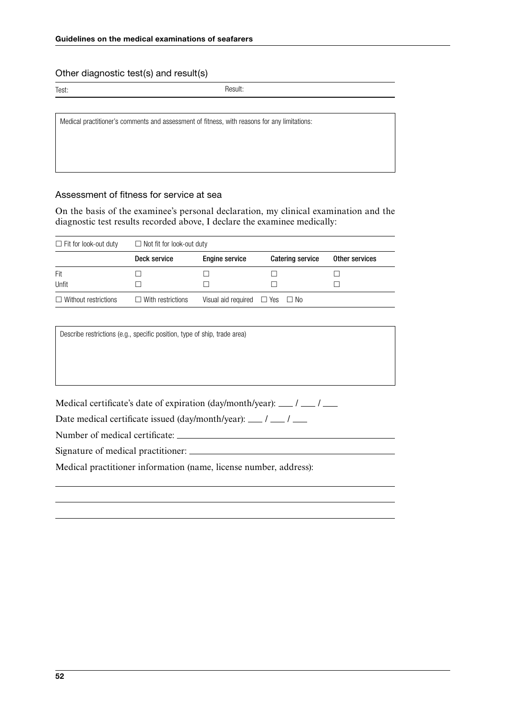#### Other diagnostic test(s) and result(s)

| Test: | Result:                                                                                      |  |
|-------|----------------------------------------------------------------------------------------------|--|
|       |                                                                                              |  |
|       | Medical practitioner's comments and assessment of fitness, with reasons for any limitations: |  |
|       |                                                                                              |  |
|       |                                                                                              |  |
|       |                                                                                              |  |

#### Assessment of fitness for service at sea

On the basis of the examinee's personal declaration, my clinical examination and the diagnostic test results recorded above, I declare the examinee medically:

| $\Box$ Fit for look-out duty | $\Box$ Not fit for look-out duty |                                          |                         |                |  |  |  |  |
|------------------------------|----------------------------------|------------------------------------------|-------------------------|----------------|--|--|--|--|
|                              | Deck service                     | <b>Engine service</b>                    | <b>Catering service</b> | Other services |  |  |  |  |
| Fit                          |                                  |                                          |                         |                |  |  |  |  |
| Unfit                        |                                  |                                          |                         |                |  |  |  |  |
| $\Box$ Without restrictions  | $\Box$ With restrictions         | Visual aid required $\Box$ Yes $\Box$ No |                         |                |  |  |  |  |

| Describe restrictions (e.g., specific position, type of ship, trade area) |  |
|---------------------------------------------------------------------------|--|
|                                                                           |  |
|                                                                           |  |
|                                                                           |  |

Medical certificate's date of expiration (day/month/year):  $\frac{1}{\sqrt{2}}$ 

Date medical certificate issued (day/month/year):  $\angle$  /  $\angle$ 

Number of medical certificate:

Signature of medical practitioner:

Medical practitioner information (name, license number, address):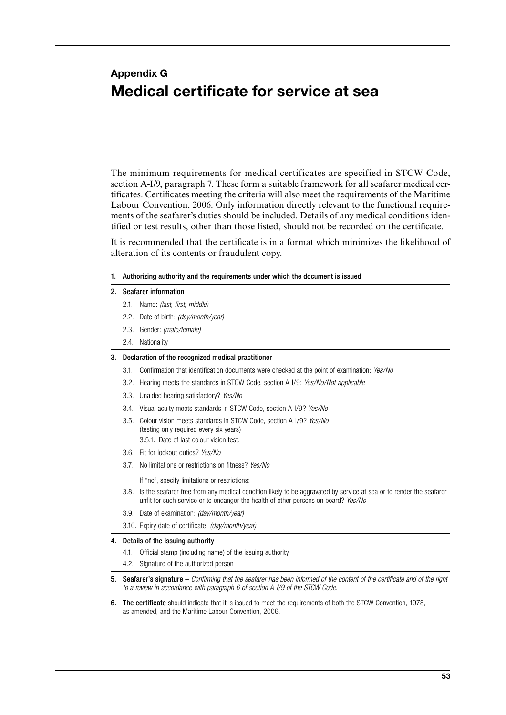# **Appendix G Medical certificate for service at sea**

The minimum requirements for medical certificates are specified in STCW Code, section A-I/9, paragraph 7. These form a suitable framework for all seafarer medical certificates. Certificates meeting the criteria will also meet the requirements of the Maritime Labour Convention, 2006. Only information directly relevant to the functional requirements of the seafarer's duties should be included. Details of any medical conditions identified or test results, other than those listed, should not be recorded on the certificate.

It is recommended that the certificate is in a format which minimizes the likelihood of alteration of its contents or fraudulent copy.

#### 1. Authorizing authority and the requirements under which the document is issued

#### 2. Seafarer information

- 2.1. Name: *(last, first, middle)*
- 2.2. Date of birth: *(day/month/year)*
- 2.3. Gender: *(male/female)*
- 2.4. Nationality

#### 3. Declaration of the recognized medical practitioner

- 3.1. Confirmation that identification documents were checked at the point of examination: *Yes/No*
- 3.2. Hearing meets the standards in STCW Code, section A-I/9: *Yes/No/Not applicable*
- 3.3. Unaided hearing satisfactory? *Yes/No*
- 3.4. Visual acuity meets standards in STCW Code, section A-I/9? *Yes/No*
- 3.5. Colour vision meets standards in STCW Code, section A-I/9? *Yes/No*  (testing only required every six years) 3.5.1. Date of last colour vision test:
- 3.6. Fit for lookout duties? *Yes/No*
- 3.7. No limitations or restrictions on fitness? *Yes/No*

If "no", specify limitations or restrictions:

- 3.8. Is the seafarer free from any medical condition likely to be aggravated by service at sea or to render the seafarer unfit for such service or to endanger the health of other persons on board? *Yes/No*
- 3.9. Date of examination: *(day/month/year)*
- 3.10. Expiry date of certificate: *(day/month/year)*

#### 4. Details of the issuing authority

- 4.1. Official stamp (including name) of the issuing authority
- 4.2. Signature of the authorized person
- 5. Seafarer's signature *Confirming that the seafarer has been informed of the content of the certificate and of the right to a review in accordance with paragraph 6 of section A-I/9 of the STCW Code.*
- 6. The certificate should indicate that it is issued to meet the requirements of both the STCW Convention, 1978, as amended, and the Maritime Labour Convention, 2006.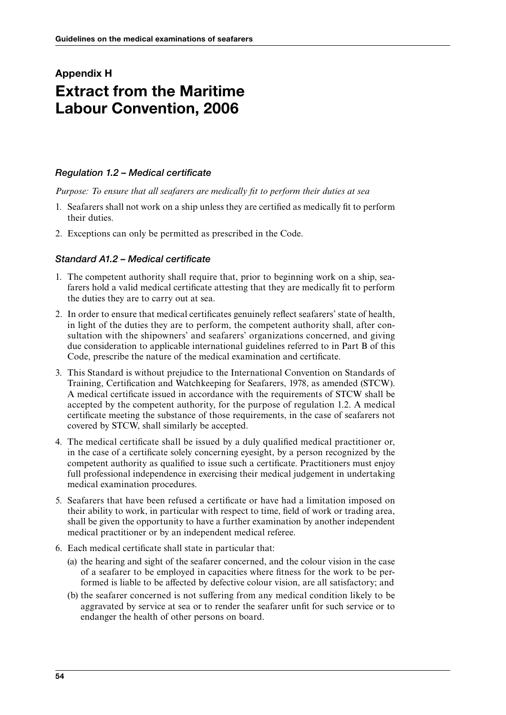# **Appendix H Extract from the Maritime Labour Convention, 2006**

### *Regulation 1.2 – Medical certificate*

*Purpose: To ensure that all seafarers are medically fit to perform their duties at sea*

- 1. Seafarers shall not work on a ship unless they are certified as medically fit to perform their duties.
- 2. Exceptions can only be permitted as prescribed in the Code.

### *Standard A1.2 – Medical certificate*

- 1. The competent authority shall require that, prior to beginning work on a ship, seafarers hold a valid medical certificate attesting that they are medically fit to perform the duties they are to carry out at sea.
- 2. In order to ensure that medical certificates genuinely reflect seafarers' state of health, in light of the duties they are to perform, the competent authority shall, after consultation with the shipowners' and seafarers' organizations concerned, and giving due consideration to applicable international guidelines referred to in Part B of this Code, prescribe the nature of the medical examination and certificate.
- 3. This Standard is without prejudice to the International Convention on Standards of Training, Certification and Watchkeeping for Seafarers, 1978, as amended (STCW). A medical certificate issued in accordance with the requirements of STCW shall be accepted by the competent authority, for the purpose of regulation 1.2. A medical certificate meeting the substance of those requirements, in the case of seafarers not covered by STCW, shall similarly be accepted.
- 4. The medical certificate shall be issued by a duly qualified medical practitioner or, in the case of a certificate solely concerning eyesight, by a person recognized by the competent authority as qualified to issue such a certificate. Practitioners must enjoy full professional independence in exercising their medical judgement in undertaking medical examination procedures.
- 5. Seafarers that have been refused a certificate or have had a limitation imposed on their ability to work, in particular with respect to time, field of work or trading area, shall be given the opportunity to have a further examination by another independent medical practitioner or by an independent medical referee.
- 6. Each medical certificate shall state in particular that:
	- (a) the hearing and sight of the seafarer concerned, and the colour vision in the case of a seafarer to be employed in capacities where fitness for the work to be performed is liable to be affected by defective colour vision, are all satisfactory; and
	- (b) the seafarer concerned is not suffering from any medical condition likely to be aggravated by service at sea or to render the seafarer unfit for such service or to endanger the health of other persons on board.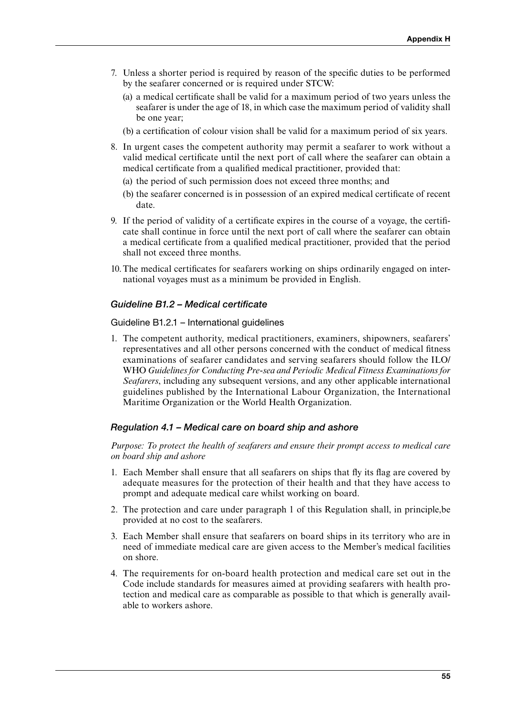- 7. Unless a shorter period is required by reason of the specific duties to be performed by the seafarer concerned or is required under STCW:
	- (a) a medical certificate shall be valid for a maximum period of two years unless the seafarer is under the age of 18, in which case the maximum period of validity shall be one year;
	- (b) a certification of colour vision shall be valid for a maximum period of six years.
- 8. In urgent cases the competent authority may permit a seafarer to work without a valid medical certificate until the next port of call where the seafarer can obtain a medical certificate from a qualified medical practitioner, provided that:
	- (a) the period of such permission does not exceed three months; and
	- (b) the seafarer concerned is in possession of an expired medical certificate of recent date.
- 9. If the period of validity of a certificate expires in the course of a voyage, the certificate shall continue in force until the next port of call where the seafarer can obtain a medical certificate from a qualified medical practitioner, provided that the period shall not exceed three months.
- 10.The medical certificates for seafarers working on ships ordinarily engaged on international voyages must as a minimum be provided in English.

#### *Guideline B1.2 – Medical certificate*

Guideline B1.2.1 – International guidelines

1. The competent authority, medical practitioners, examiners, shipowners, seafarers' representatives and all other persons concerned with the conduct of medical fitness examinations of seafarer candidates and serving seafarers should follow the ILO/ WHO *Guidelines for Conducting Pre-sea and Periodic Medical Fitness Examinations for Seafarers*, including any subsequent versions, and any other applicable international guidelines published by the International Labour Organization, the International Maritime Organization or the World Health Organization.

#### *Regulation 4.1 – Medical care on board ship and ashore*

*Purpose: To protect the health of seafarers and ensure their prompt access to medical care on board ship and ashore*

- 1. Each Member shall ensure that all seafarers on ships that fly its flag are covered by adequate measures for the protection of their health and that they have access to prompt and adequate medical care whilst working on board.
- 2. The protection and care under paragraph 1 of this Regulation shall, in principle,be provided at no cost to the seafarers.
- 3. Each Member shall ensure that seafarers on board ships in its territory who are in need of immediate medical care are given access to the Member's medical facilities on shore.
- 4. The requirements for on-board health protection and medical care set out in the Code include standards for measures aimed at providing seafarers with health protection and medical care as comparable as possible to that which is generally available to workers ashore.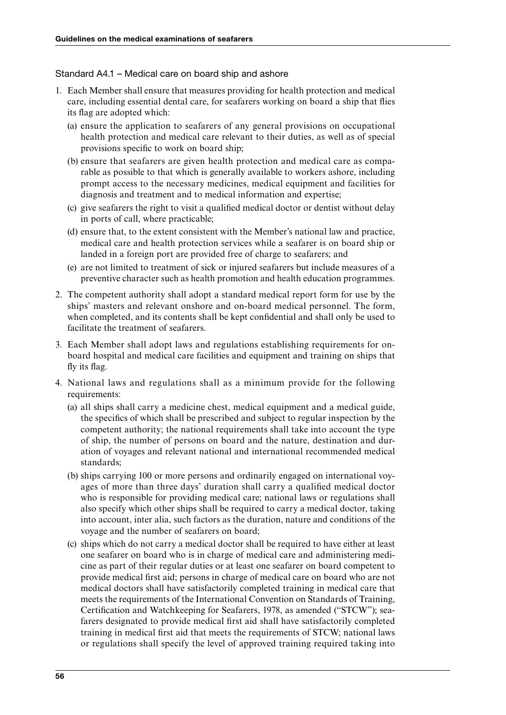#### Standard A4.1 – Medical care on board ship and ashore

- 1. Each Member shall ensure that measures providing for health protection and medical care, including essential dental care, for seafarers working on board a ship that flies its flag are adopted which:
	- (a) ensure the application to seafarers of any general provisions on occupational health protection and medical care relevant to their duties, as well as of special provisions specific to work on board ship;
	- (b) ensure that seafarers are given health protection and medical care as comparable as possible to that which is generally available to workers ashore, including prompt access to the necessary medicines, medical equipment and facilities for diagnosis and treatment and to medical information and expertise;
	- (c) give seafarers the right to visit a qualified medical doctor or dentist without delay in ports of call, where practicable;
	- (d) ensure that, to the extent consistent with the Member's national law and practice, medical care and health protection services while a seafarer is on board ship or landed in a foreign port are provided free of charge to seafarers; and
	- (e) are not limited to treatment of sick or injured seafarers but include measures of a preventive character such as health promotion and health education programmes.
- 2. The competent authority shall adopt a standard medical report form for use by the ships' masters and relevant onshore and on-board medical personnel. The form, when completed, and its contents shall be kept confidential and shall only be used to facilitate the treatment of seafarers.
- 3. Each Member shall adopt laws and regulations establishing requirements for onboard hospital and medical care facilities and equipment and training on ships that fly its flag.
- 4. National laws and regulations shall as a minimum provide for the following requirements:
	- (a) all ships shall carry a medicine chest, medical equipment and a medical guide, the specifics of which shall be prescribed and subject to regular inspection by the competent authority; the national requirements shall take into account the type of ship, the number of persons on board and the nature, destination and duration of voyages and relevant national and international recommended medical standards;
	- (b) ships carrying 100 or more persons and ordinarily engaged on international voyages of more than three days' duration shall carry a qualified medical doctor who is responsible for providing medical care; national laws or regulations shall also specify which other ships shall be required to carry a medical doctor, taking into account, inter alia, such factors as the duration, nature and conditions of the voyage and the number of seafarers on board;
	- (c) ships which do not carry a medical doctor shall be required to have either at least one seafarer on board who is in charge of medical care and administering medicine as part of their regular duties or at least one seafarer on board competent to provide medical first aid; persons in charge of medical care on board who are not medical doctors shall have satisfactorily completed training in medical care that meets the requirements of the International Convention on Standards of Training, Certification and Watchkeeping for Seafarers, 1978, as amended ("STCW"); seafarers designated to provide medical first aid shall have satisfactorily completed training in medical first aid that meets the requirements of STCW; national laws or regulations shall specify the level of approved training required taking into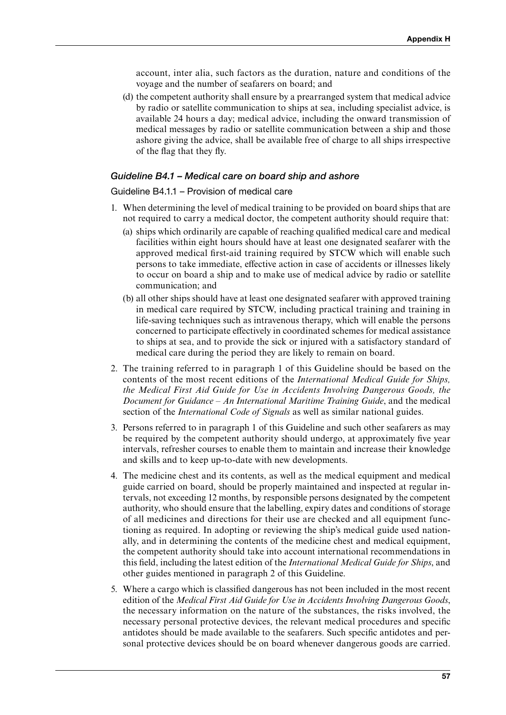account, inter alia, such factors as the duration, nature and conditions of the voyage and the number of seafarers on board; and

(d) the competent authority shall ensure by a prearranged system that medical advice by radio or satellite communication to ships at sea, including specialist advice, is available 24 hours a day; medical advice, including the onward transmission of medical messages by radio or satellite communication between a ship and those ashore giving the advice, shall be available free of charge to all ships irrespective of the flag that they fly.

#### *Guideline B4.1 – Medical care on board ship and ashore*

#### Guideline B4.1.1 – Provision of medical care

- 1. When determining the level of medical training to be provided on board ships that are not required to carry a medical doctor, the competent authority should require that:
	- (a) ships which ordinarily are capable of reaching qualified medical care and medical facilities within eight hours should have at least one designated seafarer with the approved medical first-aid training required by STCW which will enable such persons to take immediate, effective action in case of accidents or illnesses likely to occur on board a ship and to make use of medical advice by radio or satellite communication; and
	- (b) all other ships should have at least one designated seafarer with approved training in medical care required by STCW, including practical training and training in life-saving techniques such as intravenous therapy, which will enable the persons concerned to participate effectively in coordinated schemes for medical assistance to ships at sea, and to provide the sick or injured with a satisfactory standard of medical care during the period they are likely to remain on board.
- 2. The training referred to in paragraph 1 of this Guideline should be based on the contents of the most recent editions of the *International Medical Guide for Ships, the Medical First Aid Guide for Use in Accidents Involving Dangerous Goods, the Document for Guidance – An International Maritime Training Guide*, and the medical section of the *International Code of Signals* as well as similar national guides.
- 3. Persons referred to in paragraph 1 of this Guideline and such other seafarers as may be required by the competent authority should undergo, at approximately five year intervals, refresher courses to enable them to maintain and increase their knowledge and skills and to keep up-to-date with new developments.
- 4. The medicine chest and its contents, as well as the medical equipment and medical guide carried on board, should be properly maintained and inspected at regular intervals, not exceeding 12 months, by responsible persons designated by the competent authority, who should ensure that the labelling, expiry dates and conditions of storage of all medicines and directions for their use are checked and all equipment functioning as required. In adopting or reviewing the ship's medical guide used nationally, and in determining the contents of the medicine chest and medical equipment, the competent authority should take into account international recommendations in this field, including the latest edition of the *International Medical Guide for Ships*, and other guides mentioned in paragraph 2 of this Guideline.
- 5. Where a cargo which is classified dangerous has not been included in the most recent edition of the *Medical First Aid Guide for Use in Accidents Involving Dangerous Goods*, the necessary information on the nature of the substances, the risks involved, the necessary personal protective devices, the relevant medical procedures and specific antidotes should be made available to the seafarers. Such specific antidotes and personal protective devices should be on board whenever dangerous goods are carried.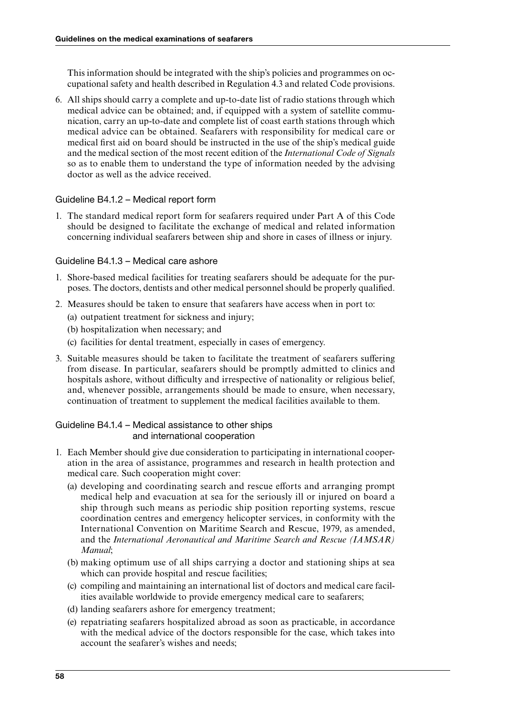This information should be integrated with the ship's policies and programmes on occupational safety and health described in Regulation 4.3 and related Code provisions.

6. All ships should carry a complete and up-to-date list of radio stations through which medical advice can be obtained; and, if equipped with a system of satellite communication, carry an up-to-date and complete list of coast earth stations through which medical advice can be obtained. Seafarers with responsibility for medical care or medical first aid on board should be instructed in the use of the ship's medical guide and the medical section of the most recent edition of the *International Code of Signals* so as to enable them to understand the type of information needed by the advising doctor as well as the advice received.

#### Guideline B4.1.2 – Medical report form

1. The standard medical report form for seafarers required under Part A of this Code should be designed to facilitate the exchange of medical and related information concerning individual seafarers between ship and shore in cases of illness or injury.

#### Guideline B4.1.3 – Medical care ashore

- 1. Shore-based medical facilities for treating seafarers should be adequate for the purposes. The doctors, dentists and other medical personnel should be properly qualified.
- 2. Measures should be taken to ensure that seafarers have access when in port to: (a) outpatient treatment for sickness and injury;
	- (b) hospitalization when necessary; and
	- (c) facilities for dental treatment, especially in cases of emergency.
- 3. Suitable measures should be taken to facilitate the treatment of seafarers suffering from disease. In particular, seafarers should be promptly admitted to clinics and hospitals ashore, without difficulty and irrespective of nationality or religious belief, and, whenever possible, arrangements should be made to ensure, when necessary, continuation of treatment to supplement the medical facilities available to them.

#### Guideline B4.1.4 – Medical assistance to other ships and international cooperation

- 1. Each Member should give due consideration to participating in international cooperation in the area of assistance, programmes and research in health protection and medical care. Such cooperation might cover:
	- (a) developing and coordinating search and rescue efforts and arranging prompt medical help and evacuation at sea for the seriously ill or injured on board a ship through such means as periodic ship position reporting systems, rescue coordination centres and emergency helicopter services, in conformity with the International Convention on Maritime Search and Rescue, 1979, as amended, and the *International Aeronautical and Maritime Search and Rescue (IAMSAR) Manual*;
	- (b) making optimum use of all ships carrying a doctor and stationing ships at sea which can provide hospital and rescue facilities;
	- (c) compiling and maintaining an international list of doctors and medical care facilities available worldwide to provide emergency medical care to seafarers;
	- (d) landing seafarers ashore for emergency treatment;
	- (e) repatriating seafarers hospitalized abroad as soon as practicable, in accordance with the medical advice of the doctors responsible for the case, which takes into account the seafarer's wishes and needs;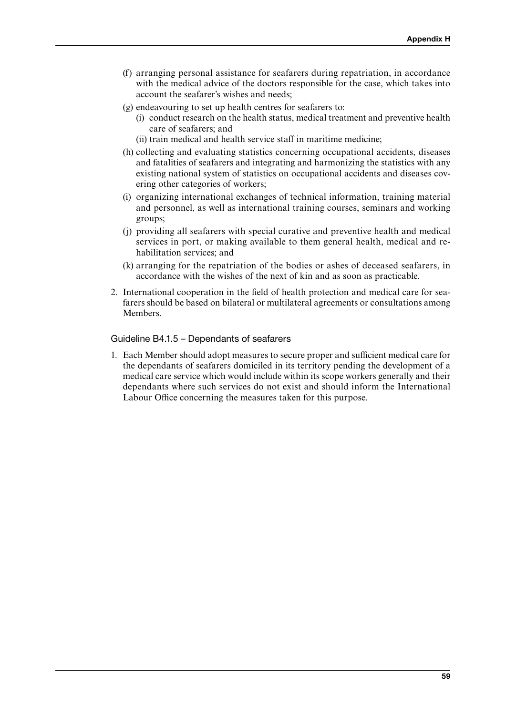- (f) arranging personal assistance for seafarers during repatriation, in accordance with the medical advice of the doctors responsible for the case, which takes into account the seafarer's wishes and needs;
- (g) endeavouring to set up health centres for seafarers to:
	- (i) conduct research on the health status, medical treatment and preventive health care of seafarers; and
	- (ii) train medical and health service staff in maritime medicine;
- (h) collecting and evaluating statistics concerning occupational accidents, diseases and fatalities of seafarers and integrating and harmonizing the statistics with any existing national system of statistics on occupational accidents and diseases covering other categories of workers;
- (i) organizing international exchanges of technical information, training material and personnel, as well as international training courses, seminars and working groups;
- (j) providing all seafarers with special curative and preventive health and medical services in port, or making available to them general health, medical and rehabilitation services; and
- (k) arranging for the repatriation of the bodies or ashes of deceased seafarers, in accordance with the wishes of the next of kin and as soon as practicable.
- 2. International cooperation in the field of health protection and medical care for seafarers should be based on bilateral or multilateral agreements or consultations among **Members**

#### Guideline B4.1.5 – Dependants of seafarers

1. Each Member should adopt measures to secure proper and sufficient medical care for the dependants of seafarers domiciled in its territory pending the development of a medical care service which would include within its scope workers generally and their dependants where such services do not exist and should inform the International Labour Office concerning the measures taken for this purpose.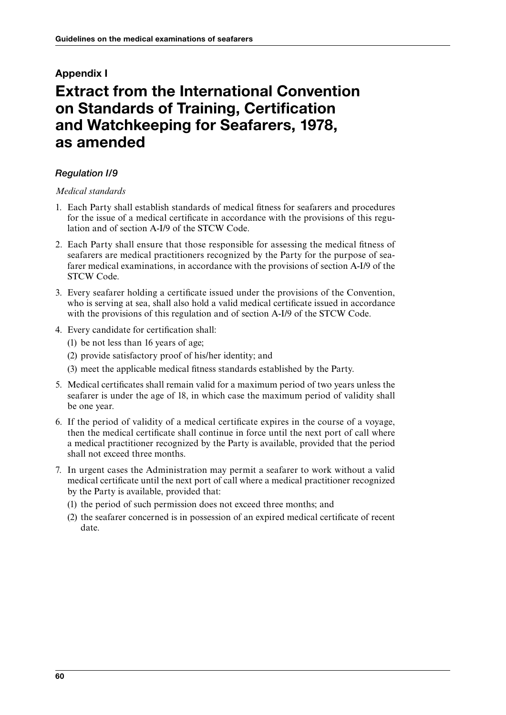# **Appendix I**

# **Extract from the International Convention on Standards of Training, Certification and Watchkeeping for Seafarers, 1978, as amended**

### *Regulation I/9*

#### *Medical standards*

- 1. Each Party shall establish standards of medical fitness for seafarers and procedures for the issue of a medical certificate in accordance with the provisions of this regulation and of section A-I/9 of the STCW Code.
- 2. Each Party shall ensure that those responsible for assessing the medical fitness of seafarers are medical practitioners recognized by the Party for the purpose of seafarer medical examinations, in accordance with the provisions of section A-I/9 of the STCW Code.
- 3. Every seafarer holding a certificate issued under the provisions of the Convention, who is serving at sea, shall also hold a valid medical certificate issued in accordance with the provisions of this regulation and of section A-I/9 of the STCW Code.
- 4. Every candidate for certification shall:
	- (1) be not less than 16 years of age;
	- (2) provide satisfactory proof of his/her identity; and
	- (3) meet the applicable medical fitness standards established by the Party.
- 5. Medical certificates shall remain valid for a maximum period of two years unless the seafarer is under the age of 18, in which case the maximum period of validity shall be one year.
- 6. If the period of validity of a medical certificate expires in the course of a voyage, then the medical certificate shall continue in force until the next port of call where a medical practitioner recognized by the Party is available, provided that the period shall not exceed three months.
- 7. In urgent cases the Administration may permit a seafarer to work without a valid medical certificate until the next port of call where a medical practitioner recognized by the Party is available, provided that:
	- (1) the period of such permission does not exceed three months; and
	- (2) the seafarer concerned is in possession of an expired medical certificate of recent date.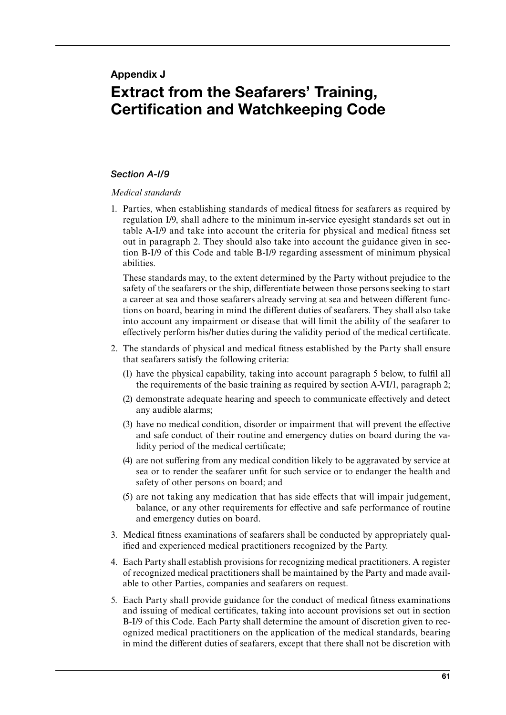# **Extract from the Seafarers' Training, Certification and Watchkeeping Code**

#### *Section A-I/9*

#### *Medical standards*

1. Parties, when establishing standards of medical fitness for seafarers as required by regulation I/9, shall adhere to the minimum in-service eyesight standards set out in table A-I/9 and take into account the criteria for physical and medical fitness set out in paragraph 2. They should also take into account the guidance given in section B-I/9 of this Code and table B-I/9 regarding assessment of minimum physical abilities.

These standards may, to the extent determined by the Party without prejudice to the safety of the seafarers or the ship, differentiate between those persons seeking to start a career at sea and those seafarers already serving at sea and between different functions on board, bearing in mind the different duties of seafarers. They shall also take into account any impairment or disease that will limit the ability of the seafarer to effectively perform his/her duties during the validity period of the medical certificate.

- 2. The standards of physical and medical fitness established by the Party shall ensure that seafarers satisfy the following criteria:
	- (1) have the physical capability, taking into account paragraph 5 below, to fulfil all the requirements of the basic training as required by section A-VI/1, paragraph 2;
	- (2) demonstrate adequate hearing and speech to communicate effectively and detect any audible alarms;
	- (3) have no medical condition, disorder or impairment that will prevent the effective and safe conduct of their routine and emergency duties on board during the validity period of the medical certificate;
	- (4) are not suffering from any medical condition likely to be aggravated by service at sea or to render the seafarer unfit for such service or to endanger the health and safety of other persons on board; and
	- (5) are not taking any medication that has side effects that will impair judgement, balance, or any other requirements for effective and safe performance of routine and emergency duties on board.
- 3. Medical fitness examinations of seafarers shall be conducted by appropriately qualified and experienced medical practitioners recognized by the Party.
- 4. Each Party shall establish provisions for recognizing medical practitioners. A register of recognized medical practitioners shall be maintained by the Party and made available to other Parties, companies and seafarers on request.
- 5. Each Party shall provide guidance for the conduct of medical fitness examinations and issuing of medical certificates, taking into account provisions set out in section B-I/9 of this Code. Each Party shall determine the amount of discretion given to recognized medical practitioners on the application of the medical standards, bearing in mind the different duties of seafarers, except that there shall not be discretion with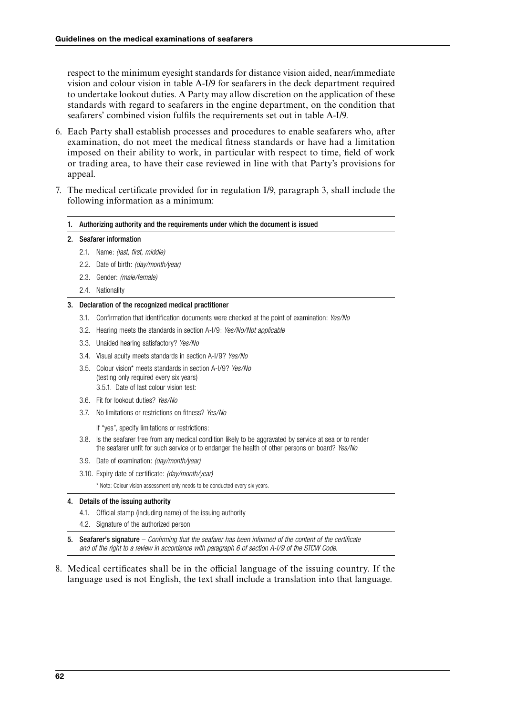respect to the minimum eyesight standards for distance vision aided, near/immediate vision and colour vision in table A-I/9 for seafarers in the deck department required to undertake lookout duties. A Party may allow discretion on the application of these standards with regard to seafarers in the engine department, on the condition that seafarers' combined vision fulfils the requirements set out in table A-I/9.

- 6. Each Party shall establish processes and procedures to enable seafarers who, after examination, do not meet the medical fitness standards or have had a limitation imposed on their ability to work, in particular with respect to time, field of work or trading area, to have their case reviewed in line with that Party's provisions for appeal.
- 7. The medical certificate provided for in regulation I/9, paragraph 3, shall include the following information as a minimum:
	- 1. Authorizing authority and the requirements under which the document is issued

#### 2. Seafarer information

- 2.1. Name: *(last, first, middle)*
- 2.2. Date of birth: *(day/month/year)*
- 2.3. Gender: *(male/female)*
- 2.4. Nationality

#### 3. Declaration of the recognized medical practitioner

- 3.1. Confirmation that identification documents were checked at the point of examination: *Yes/No*
- 3.2. Hearing meets the standards in section A-I/9: *Yes/No/Not applicable*
- 3.3. Unaided hearing satisfactory? *Yes/No*
- 3.4. Visual acuity meets standards in section A-I/9? *Yes/No*
- 3.5. Colour vision\* meets standards in section A-I/9? *Yes/No*  (testing only required every six years) 3.5.1. Date of last colour vision test:
- 3.6. Fit for lookout duties? *Yes/No*
- 3.7. No limitations or restrictions on fitness? *Yes/No*

If "yes", specify limitations or restrictions:

- 3.8. Is the seafarer free from any medical condition likely to be aggravated by service at sea or to render the seafarer unfit for such service or to endanger the health of other persons on board? *Yes/No*
- 3.9. Date of examination: *(day/month/year)*
- 3.10. Expiry date of certificate: *(day/month/year)*

\* Note: Colour vision assessment only needs to be conducted every six years.

4. Details of the issuing authority

- 4.1. Official stamp (including name) of the issuing authority
- 4.2. Signature of the authorized person
- 5. Seafarer's signature *Confirming that the seafarer has been informed of the content of the certificate and of the right to a review in accordance with paragraph 6 of section A-I/9 of the STCW Code.*
- 8. Medical certificates shall be in the official language of the issuing country. If the language used is not English, the text shall include a translation into that language.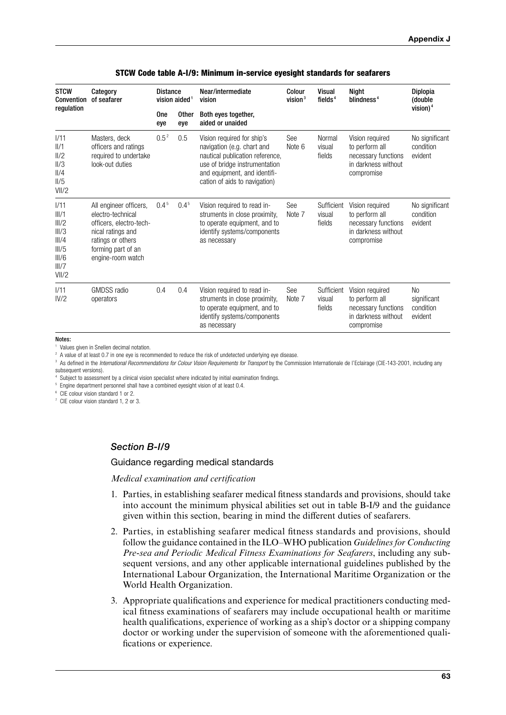| <b>STCW</b><br>Convention                                                    | Category<br>of seafarer                                                                                                                                     | <b>Distance</b><br>vision aided $1$ |                     | Near/intermediate<br>vision                                                                                                                                                                   | Colour<br>vision <sup>3</sup> | Visual<br>fields $4$           | Night<br>blindness <sup>4</sup>                                                               | Diplopia<br>(double                                   |
|------------------------------------------------------------------------------|-------------------------------------------------------------------------------------------------------------------------------------------------------------|-------------------------------------|---------------------|-----------------------------------------------------------------------------------------------------------------------------------------------------------------------------------------------|-------------------------------|--------------------------------|-----------------------------------------------------------------------------------------------|-------------------------------------------------------|
| regulation                                                                   |                                                                                                                                                             | <b>One</b><br>eye                   | <b>Other</b><br>eye | Both eyes together,<br>aided or unaided                                                                                                                                                       |                               |                                |                                                                                               | vision) $4$                                           |
| 1/11<br>II/1<br>II/2<br>II/3<br>II/4<br>II/5<br>VII/2                        | Masters, deck<br>officers and ratings<br>required to undertake<br>look-out duties                                                                           | $0.5^2$                             | 0.5                 | Vision required for ship's<br>navigation (e.g. chart and<br>nautical publication reference,<br>use of bridge instrumentation<br>and equipment, and identifi-<br>cation of aids to navigation) | See<br>Note 6                 | Normal<br>visual<br>fields     | Vision required<br>to perform all<br>necessary functions<br>in darkness without<br>compromise | No significant<br>condition<br>evident                |
| 1/11<br>III/1<br>III/2<br>III/3<br>III/4<br>III/5<br>III/6<br>III/7<br>VII/2 | All engineer officers,<br>electro-technical<br>officers, electro-tech-<br>nical ratings and<br>ratings or others<br>forming part of an<br>engine-room watch | 0.4 <sup>5</sup>                    | 0.4 <sup>5</sup>    | Vision required to read in-<br>struments in close proximity,<br>to operate equipment, and to<br>identify systems/components<br>as necessary                                                   | See<br>Note 7                 | Sufficient<br>visual<br>fields | Vision required<br>to perform all<br>necessary functions<br>in darkness without<br>compromise | No significant<br>condition<br>evident                |
| 1/11<br>IV/2                                                                 | <b>GMDSS</b> radio<br>operators                                                                                                                             | 0.4                                 | 0.4                 | Vision required to read in-<br>struments in close proximity,<br>to operate equipment, and to<br>identify systems/components<br>as necessary                                                   | See<br>Note 7                 | Sufficient<br>visual<br>fields | Vision required<br>to perform all<br>necessary functions<br>in darkness without<br>compromise | N <sub>0</sub><br>significant<br>condition<br>evident |

#### STCW Code table A-I/9: Minimum in-service eyesight standards for seafarers

Notes:

Values given in Snellen decimal notation.

<sup>2</sup> A value of at least 0.7 in one eye is recommended to reduce the risk of undetected underlying eye disease.

<sup>3</sup> As defined in the International Recommendations for Colour Vision Requirements for Transport by the Commission Internationale de l'Eclairage (CIE-143-2001, including any subsequent versions).

Subject to assessment by a clinical vision specialist where indicated by initial examination findings.

<sup>5</sup> Engine department personnel shall have a combined eyesight vision of at least 0.4.

<sup>6</sup> CIE colour vision standard 1 or 2.

<sup>7</sup> CIE colour vision standard 1, 2 or 3.

#### *Section B-I/9*

#### Guidance regarding medical standards

*Medical examination and certification*

- 1. Parties, in establishing seafarer medical fitness standards and provisions, should take into account the minimum physical abilities set out in table B-I/9 and the guidance given within this section, bearing in mind the different duties of seafarers.
- 2. Parties, in establishing seafarer medical fitness standards and provisions, should follow the guidance contained in the ILO–WHO publication *Guidelines for Conducting Pre-sea and Periodic Medical Fitness Examinations for Seafarers*, including any subsequent versions, and any other applicable international guidelines published by the International Labour Organization, the International Maritime Organization or the World Health Organization.
- 3. Appropriate qualifications and experience for medical practitioners conducting medical fitness examinations of seafarers may include occupational health or maritime health qualifications, experience of working as a ship's doctor or a shipping company doctor or working under the supervision of someone with the aforementioned qualifications or experience.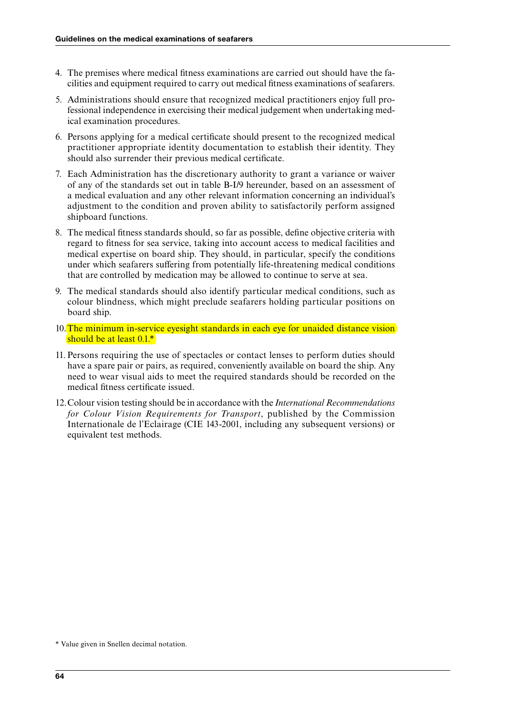- 4. The premises where medical fitness examinations are carried out should have the facilities and equipment required to carry out medical fitness examinations of seafarers.
- 5. Administrations should ensure that recognized medical practitioners enjoy full professional independence in exercising their medical judgement when undertaking medical examination procedures.
- 6. Persons applying for a medical certificate should present to the recognized medical practitioner appropriate identity documentation to establish their identity. They should also surrender their previous medical certificate.
- 7. Each Administration has the discretionary authority to grant a variance or waiver of any of the standards set out in table B-I/9 hereunder, based on an assessment of a medical evaluation and any other relevant information concerning an individual's adjustment to the condition and proven ability to satisfactorily perform assigned shipboard functions.
- 8. The medical fitness standards should, so far as possible, define objective criteria with regard to fitness for sea service, taking into account access to medical facilities and medical expertise on board ship. They should, in particular, specify the conditions under which seafarers suffering from potentially life-threatening medical conditions that are controlled by medication may be allowed to continue to serve at sea.
- 9. The medical standards should also identify particular medical conditions, such as colour blindness, which might preclude seafarers holding particular positions on board ship.
- 10.The minimum in-service eyesight standards in each eye for unaided distance vision should be at least  $0.1$ <sup>\*</sup>
- 11. Persons requiring the use of spectacles or contact lenses to perform duties should have a spare pair or pairs, as required, conveniently available on board the ship. Any need to wear visual aids to meet the required standards should be recorded on the medical fitness certificate issued.
- 12.Colour vision testing should be in accordance with the *International Recommendations for Colour Vision Requirements for Transport*, published by the Commission Internationale de l'Eclairage (CIE 143-2001, including any subsequent versions) or equivalent test methods.

<sup>\*</sup> Value given in Snellen decimal notation.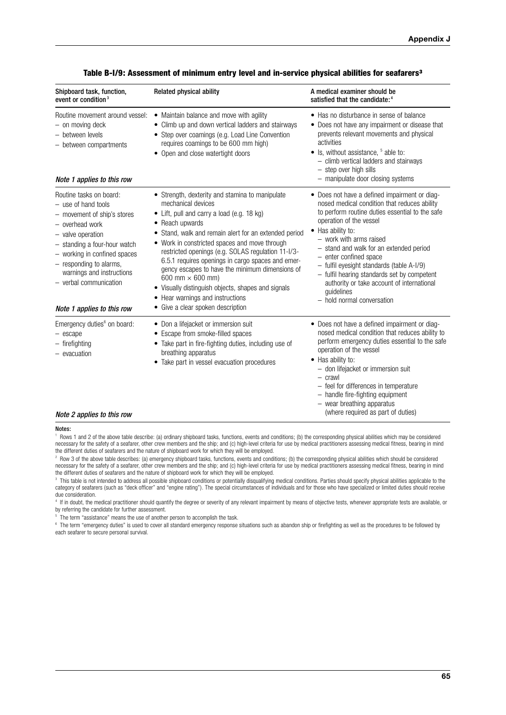| Shipboard task, function,<br>event or condition <sup>3</sup>                                                                                                                                                                                                                                              | <b>Related physical ability</b>                                                                                                                                                                                                                                                                                                                                                                                                                                                                                                                                          | A medical examiner should be<br>satisfied that the candidate: <sup>4</sup>                                                                                                                                                                                                                                                                                                                                                                                                             |  |  |
|-----------------------------------------------------------------------------------------------------------------------------------------------------------------------------------------------------------------------------------------------------------------------------------------------------------|--------------------------------------------------------------------------------------------------------------------------------------------------------------------------------------------------------------------------------------------------------------------------------------------------------------------------------------------------------------------------------------------------------------------------------------------------------------------------------------------------------------------------------------------------------------------------|----------------------------------------------------------------------------------------------------------------------------------------------------------------------------------------------------------------------------------------------------------------------------------------------------------------------------------------------------------------------------------------------------------------------------------------------------------------------------------------|--|--|
| Routine movement around vessel:<br>- on moving deck<br>- between levels<br>- between compartments<br>Note 1 applies to this row                                                                                                                                                                           | • Maintain balance and move with agility<br>• Climb up and down vertical ladders and stairways<br>• Step over coamings (e.g. Load Line Convention<br>requires coamings to be 600 mm high)<br>• Open and close watertight doors                                                                                                                                                                                                                                                                                                                                           | • Has no disturbance in sense of balance<br>• Does not have any impairment or disease that<br>prevents relevant movements and physical<br>activities<br>$\bullet$ Is, without assistance, $5$ able to:<br>- climb vertical ladders and stairways<br>- step over high sills<br>- manipulate door closing systems                                                                                                                                                                        |  |  |
| Routine tasks on board:<br>$-$ use of hand tools<br>- movement of ship's stores<br>- overhead work<br>- valve operation<br>- standing a four-hour watch<br>- working in confined spaces<br>$-$ responding to alarms,<br>warnings and instructions<br>- verbal communication<br>Note 1 applies to this row | • Strength, dexterity and stamina to manipulate<br>mechanical devices<br>• Lift, pull and carry a load (e.g. 18 kg)<br>• Reach upwards<br>• Stand, walk and remain alert for an extended period<br>• Work in constricted spaces and move through<br>restricted openings (e.g. SOLAS regulation 11-I/3-<br>6.5.1 requires openings in cargo spaces and emer-<br>gency escapes to have the minimum dimensions of<br>600 mm $\times$ 600 mm)<br>• Visually distinguish objects, shapes and signals<br>• Hear warnings and instructions<br>• Give a clear spoken description | • Does not have a defined impairment or diag-<br>nosed medical condition that reduces ability<br>to perform routine duties essential to the safe<br>operation of the vessel<br>• Has ability to:<br>- work with arms raised<br>- stand and walk for an extended period<br>- enter confined space<br>- fulfil eyesight standards (table A-I/9)<br>- fulfil hearing standards set by competent<br>authority or take account of international<br>quidelines<br>- hold normal conversation |  |  |
| Emergency duties <sup>6</sup> on board:<br>$-$ escape<br>$-$ firefighting<br>- evacuation<br>Note 2 applies to this row                                                                                                                                                                                   | • Don a lifejacket or immersion suit<br>• Escape from smoke-filled spaces<br>• Take part in fire-fighting duties, including use of<br>breathing apparatus<br>• Take part in vessel evacuation procedures                                                                                                                                                                                                                                                                                                                                                                 | • Does not have a defined impairment or diag-<br>nosed medical condition that reduces ability to<br>perform emergency duties essential to the safe<br>operation of the vessel<br>• Has ability to:<br>- don lifejacket or immersion suit<br>$-$ crawl<br>- feel for differences in temperature<br>- handle fire-fighting equipment<br>- wear breathing apparatus<br>(where required as part of duties)                                                                                 |  |  |

#### Table B-I/9: Assessment of minimum entry level and in-service physical abilities for seafarers<sup>3</sup>

#### *Note 2 applies to this row*

Notes:

<sup>1</sup> Rows 1 and 2 of the above table describe: (a) ordinary shipboard tasks, functions, events and conditions; (b) the corresponding physical abilities which may be considered necessary for the safety of a seafarer, other crew members and the ship; and (c) high-level criteria for use by medical practitioners assessing medical fitness, bearing in mind the different duties of seafarers and the nature of shipboard work for which they will be employed.

<sup>2</sup> Row 3 of the above table describes: (a) emergency shipboard tasks, functions, events and conditions; (b) the corresponding physical abilities which should be considered necessary for the safety of a seafarer, other crew members and the ship; and (c) high-level criteria for use by medical practitioners assessing medical fitness, bearing in mind the different duties of seafarers and the nature of shipboard work for which they will be employed.

<sup>3</sup> This table is not intended to address all possible shipboard conditions or potentially disqualifying medical conditions. Parties should specify physical abilities applicable to the category of seafarers (such as "deck officer" and "engine rating"). The special circumstances of individuals and for those who have specialized or limited duties should receive due consideration.

<sup>4</sup> If in doubt, the medical practitioner should quantify the degree or severity of any relevant impairment by means of objective tests, whenever appropriate tests are available, or by referring the candidate for further assessment.

 $5\overline{}$ . The term "assistance" means the use of another person to accomplish the task.

<sup>6</sup> The term "emergency duties" is used to cover all standard emergency response situations such as abandon ship or firefighting as well as the procedures to be followed by each seafarer to secure personal survival.